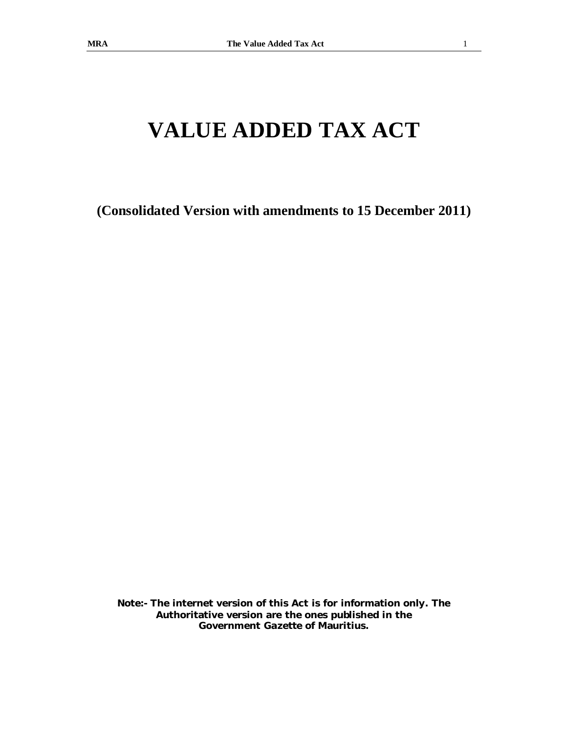# **VALUE ADDED TAX ACT**

**(Consolidated Version with amendments to 15 December 2011)** 

**Note:- The internet version of this Act is for information only. The Authoritative version are the ones published in the Government** *Gazette* **of Mauritius.**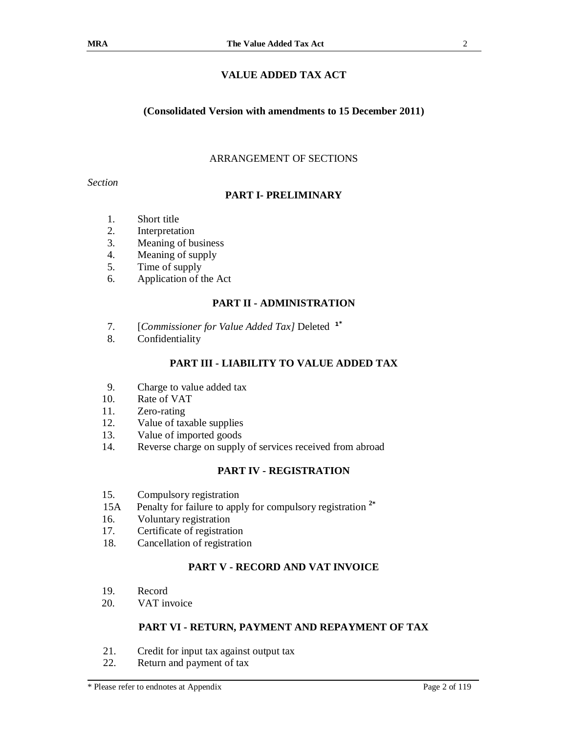## **VALUE ADDED TAX ACT**

#### **(Consolidated Version with amendments to 15 December 2011)**

#### ARRANGEMENT OF SECTIONS

*Section* 

#### **PART I- PRELIMINARY**

- 1. Short title
- 2. Interpretation
- 3. Meaning of business
- 4. Meaning of supply
- 5. Time of supply
- 6. Application of the Act

#### **PART II - ADMINISTRATION**

- 7. [*Commissioner for Value Added Tax]* Deleted **1\***
- 8. Confidentiality

#### **PART III - LIABILITY TO VALUE ADDED TAX**

- 9. Charge to value added tax
- 10. Rate of VAT
- 11. Zero-rating
- 12. Value of taxable supplies
- 13. Value of imported goods
- 14. Reverse charge on supply of services received from abroad

## **PART IV - REGISTRATION**

- 15. Compulsory registration
- 15A Penalty for failure to apply for compulsory registration **<sup>2</sup>\***
- 16. Voluntary registration
- 17. Certificate of registration
- 18. Cancellation of registration

## **PART V - RECORD AND VAT INVOICE**

- 19. Record
- 20. VAT invoice

#### **PART VI - RETURN, PAYMENT AND REPAYMENT OF TAX**

- 21. Credit for input tax against output tax
- 22. Return and payment of tax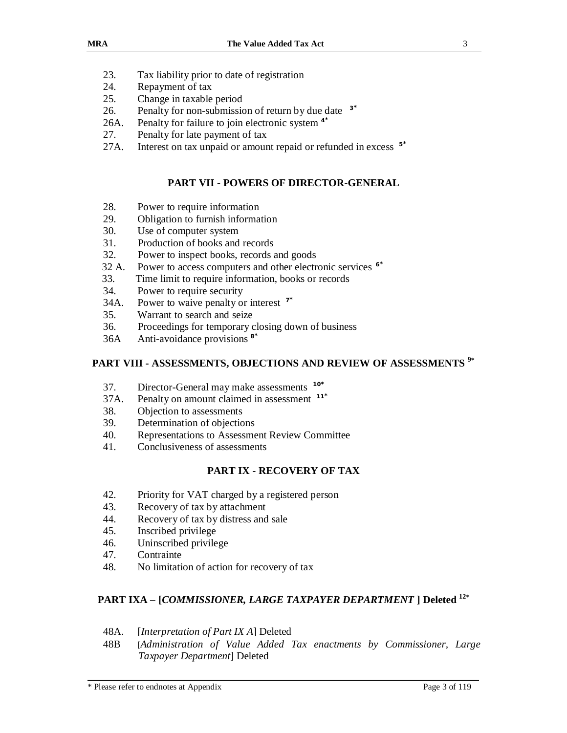- 23. Tax liability prior to date of registration
- 24. Repayment of tax
- 25. Change in taxable period
- 26. Penalty for non-submission of return by due date **3\***
- 26A. Penalty for failure to join electronic system **<sup>4</sup>\***
- 27. Penalty for late payment of tax
- 27A. Interest on tax unpaid or amount repaid or refunded in excess **5\***

#### **PART VII - POWERS OF DIRECTOR-GENERAL**

- 28. Power to require information
- 29. Obligation to furnish information
- 30. Use of computer system
- 31. Production of books and records
- 32. Power to inspect books, records and goods
- 32 A. Power to access computers and other electronic services **<sup>6</sup>\***
- 33. Time limit to require information, books or records
- 34. Power to require security
- 34A. Power to waive penalty or interest **7\***
- 35. Warrant to search and seize
- 36. Proceedings for temporary closing down of business
- 36A Anti-avoidance provisions **8\***

## **PART VIII - ASSESSMENTS, OBJECTIONS AND REVIEW OF ASSESSMENTS <sup>9</sup>\***

- 37. Director-General may make assessments **10\***
- 37A. Penalty on amount claimed in assessment **11\***
- 38. Objection to assessments
- 39. Determination of objections
- 40. Representations to Assessment Review Committee
- 41. Conclusiveness of assessments

#### **PART IX - RECOVERY OF TAX**

- 42. Priority for VAT charged by a registered person
- 43. Recovery of tax by attachment
- 44. Recovery of tax by distress and sale
- 45. Inscribed privilege
- 46. Uninscribed privilege
- 47. Contrainte
- 48. No limitation of action for recovery of tax

## **PART IXA – [***COMMISSIONER, LARGE TAXPAYER DEPARTMENT* **] Deleted <sup>12</sup>**\*

- 48A. [*Interpretation of Part IX A*] Deleted
- 48B [*Administration of Value Added Tax enactments by Commissioner, Large Taxpayer Department*] Deleted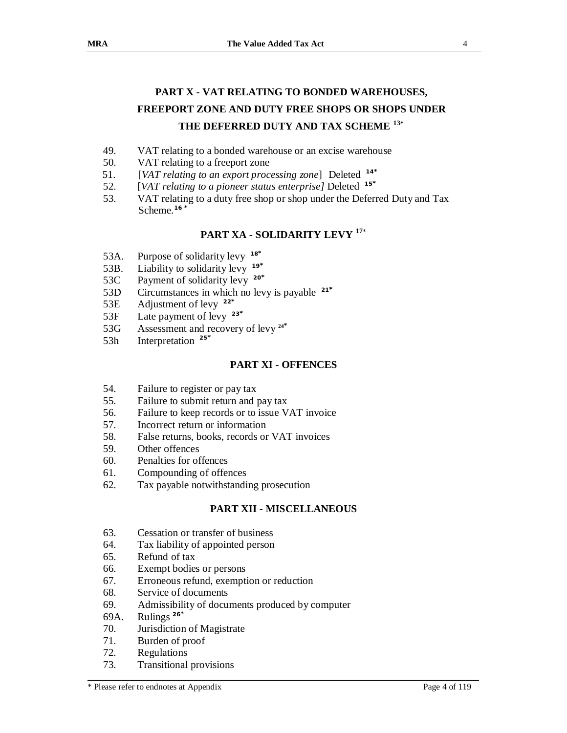## **PART X - VAT RELATING TO BONDED WAREHOUSES, FREEPORT ZONE AND DUTY FREE SHOPS OR SHOPS UNDER THE DEFERRED DUTY AND TAX SCHEME <sup>13</sup>\***

- 49. VAT relating to a bonded warehouse or an excise warehouse
- 50. VAT relating to a freeport zone
- 51. [*VAT relating to an export processing zone*] Deleted **14\***
- 52. [*VAT relating to a pioneer status enterprise]* Deleted **15\***
- 53. VAT relating to a duty free shop or shop under the Deferred Duty and Tax Scheme.**<sup>16</sup> \***

## **PART XA - SOLIDARITY LEVY <sup>17</sup>**\*

- 53A. Purpose of solidarity levy **18\***
- 53B. Liability to solidarity levy **19\***
- 53C Payment of solidarity levy **20\***
- 53D Circumstances in which no levy is payable **21\***
- 53E Adjustment of levy **22\***
- 53F Late payment of levy **23\***
- 53G Assessment and recovery of levy **24\***
- 53h Interpretation **25\***

#### **PART XI - OFFENCES**

- 54. Failure to register or pay tax
- 55. Failure to submit return and pay tax
- 56. Failure to keep records or to issue VAT invoice
- 57. Incorrect return or information
- 58. False returns, books, records or VAT invoices
- 59. Other offences
- 60. Penalties for offences
- 61. Compounding of offences
- 62. Tax payable notwithstanding prosecution

## **PART XII - MISCELLANEOUS**

- 63. Cessation or transfer of business
- 64. Tax liability of appointed person
- 65. Refund of tax
- 66. Exempt bodies or persons
- 67. Erroneous refund, exemption or reduction
- 68. Service of documents
- 69. Admissibility of documents produced by computer
- 69A. Rulings **<sup>26</sup>\***
- 70. Jurisdiction of Magistrate
- 71. Burden of proof
- 72. Regulations
- 73. Transitional provisions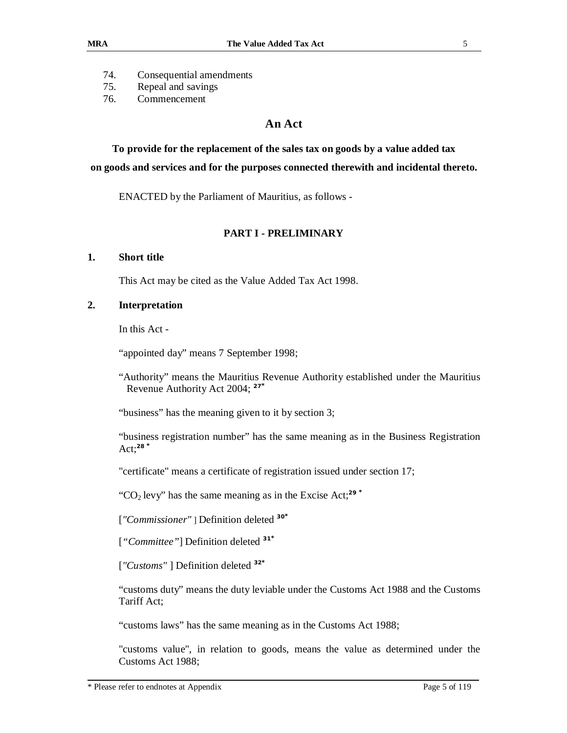- 74. Consequential amendments
- 75. Repeal and savings
- 76. Commencement

## **An Act**

**To provide for the replacement of the sales tax on goods by a value added tax on goods and services and for the purposes connected therewith and incidental thereto.** 

ENACTED by the Parliament of Mauritius, as follows -

#### **PART I - PRELIMINARY**

#### **1. Short title**

This Act may be cited as the Value Added Tax Act 1998.

#### **2. Interpretation**

In this Act -

"appointed day" means 7 September 1998;

"Authority" means the Mauritius Revenue Authority established under the Mauritius Revenue Authority Act 2004; **<sup>27</sup>\***

"business" has the meaning given to it by section 3;

"business registration number" has the same meaning as in the Business Registration Act;**<sup>28</sup> \***

"certificate" means a certificate of registration issued under section 17;

"CO<sub>2</sub> levy" has the same meaning as in the Excise Act;<sup>29</sup>  $*$ 

[*"Commissioner"* ] Definition deleted **<sup>30</sup>\***

[*"Committee"*] Definition deleted **<sup>31</sup>\***

[*"Customs"* ] Definition deleted **<sup>32</sup>\***

"customs duty" means the duty leviable under the Customs Act 1988 and the Customs Tariff Act;

"customs laws" has the same meaning as in the Customs Act 1988;

"customs value", in relation to goods, means the value as determined under the Customs Act 1988;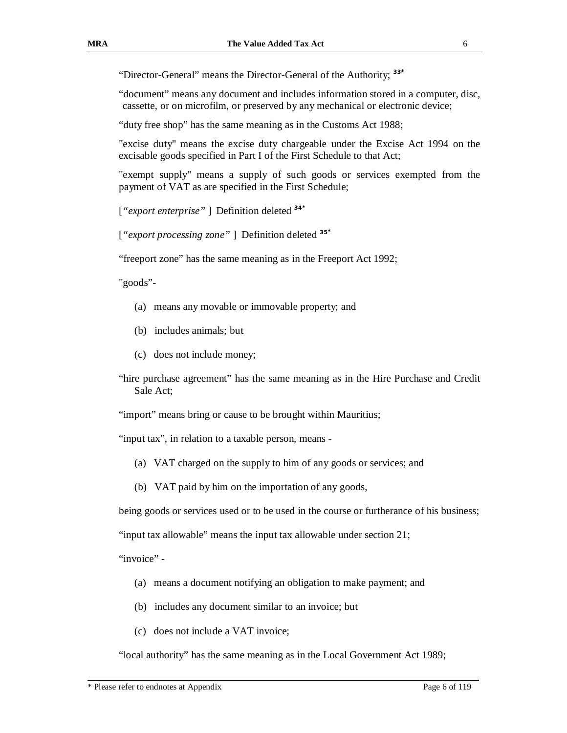"Director-General" means the Director-General of the Authority; **<sup>33</sup>\***

"document" means any document and includes information stored in a computer, disc, cassette, or on microfilm, or preserved by any mechanical or electronic device;

"duty free shop" has the same meaning as in the Customs Act 1988;

"excise duty" means the excise duty chargeable under the Excise Act 1994 on the excisable goods specified in Part I of the First Schedule to that Act;

"exempt supply" means a supply of such goods or services exempted from the payment of VAT as are specified in the First Schedule;

[*"export enterprise"* ] Definition deleted **<sup>34</sup>\***

[*"export processing zone"* ] Definition deleted **35\***

"freeport zone" has the same meaning as in the Freeport Act 1992;

"goods"-

- (a) means any movable or immovable property; and
- (b) includes animals; but
- (c) does not include money;

"hire purchase agreement" has the same meaning as in the Hire Purchase and Credit Sale Act;

"import" means bring or cause to be brought within Mauritius;

"input tax", in relation to a taxable person, means -

- (a) VAT charged on the supply to him of any goods or services; and
- (b) VAT paid by him on the importation of any goods,

being goods or services used or to be used in the course or furtherance of his business;

"input tax allowable" means the input tax allowable under section 21;

"invoice" -

- (a) means a document notifying an obligation to make payment; and
- (b) includes any document similar to an invoice; but
- (c) does not include a VAT invoice;

"local authority" has the same meaning as in the Local Government Act 1989;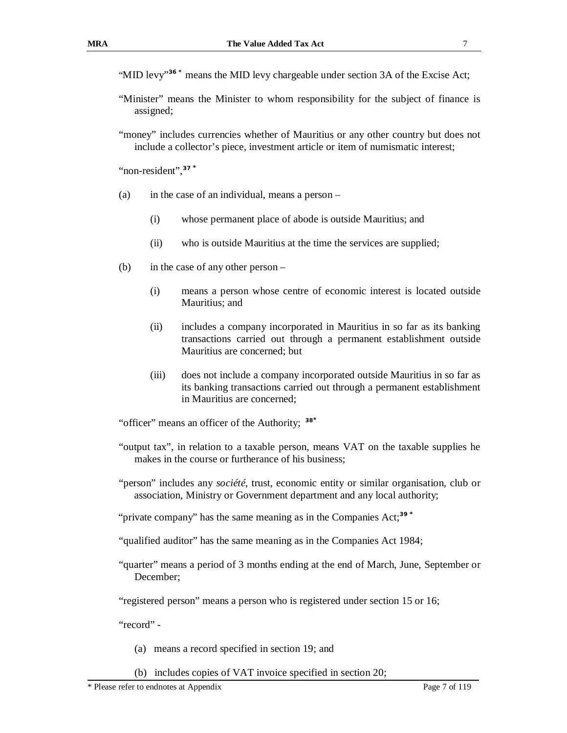"MID levy"<sup>36</sup> \* means the MID levy chargeable under section 3A of the Excise Act;

- "Minister" means the Minister to whom responsibility for the subject of finance is assigned;
- "money" includes currencies whether of Mauritius or any other country but does not include a collector's piece, investment article or item of numismatic interest;

"non-resident",**<sup>37</sup> \***

- (a) in the case of an individual, means a person
	- (i) whose permanent place of abode is outside Mauritius; and
	- (ii) who is outside Mauritius at the time the services are supplied;
- (b) in the case of any other person
	- (i) means a person whose centre of economic interest is located outside Mauritius; and
	- (ii) includes a company incorporated in Mauritius in so far as its banking transactions carried out through a permanent establishment outside Mauritius are concerned; but
	- (iii) does not include a company incorporated outside Mauritius in so far as its banking transactions carried out through a permanent establishment in Mauritius are concerned;

"officer" means an officer of the Authority; **38\***

- "output tax", in relation to a taxable person, means VAT on the taxable supplies he makes in the course or furtherance of his business;
- "person" includes any *société*, trust, economic entity or similar organisation, club or association, Ministry or Government department and any local authority;

"private company" has the same meaning as in the Companies Act;**<sup>39</sup> \***

- "qualified auditor" has the same meaning as in the Companies Act 1984;
- "quarter" means a period of 3 months ending at the end of March, June, September or December;

"registered person" means a person who is registered under section 15 or 16;

"record" -

- (a) means a record specified in section 19; and
- (b) includes copies of VAT invoice specified in section 20;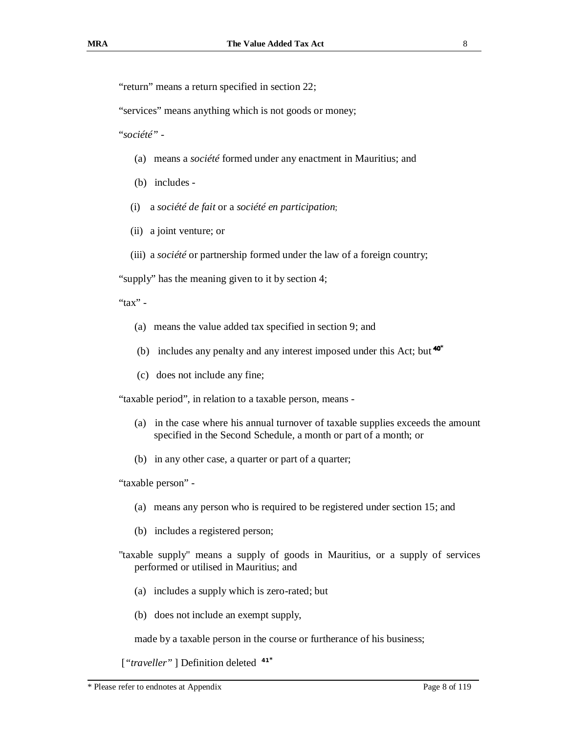"return" means a return specified in section 22;

"services" means anything which is not goods or money;

"*société"* -

- (a) means a *société* formed under any enactment in Mauritius; and
- (b) includes -
- (i) a *société de fait* or a *société en participation*;
- (ii) a joint venture; or
- (iii) a *société* or partnership formed under the law of a foreign country;

"supply" has the meaning given to it by section 4;

#### " $\text{tax}"$  -

- (a) means the value added tax specified in section 9; and
- (b) includes any penalty and any interest imposed under this Act; but **\***
- (c) does not include any fine;

"taxable period", in relation to a taxable person, means -

- (a) in the case where his annual turnover of taxable supplies exceeds the amount specified in the Second Schedule, a month or part of a month; or
- (b) in any other case, a quarter or part of a quarter;

"taxable person" -

- (a) means any person who is required to be registered under section 15; and
- (b) includes a registered person;
- "taxable supply" means a supply of goods in Mauritius, or a supply of services performed or utilised in Mauritius; and
	- (a) includes a supply which is zero-rated; but
	- (b) does not include an exempt supply,

made by a taxable person in the course or furtherance of his business;

[*"traveller"* ] Definition deleted **41\***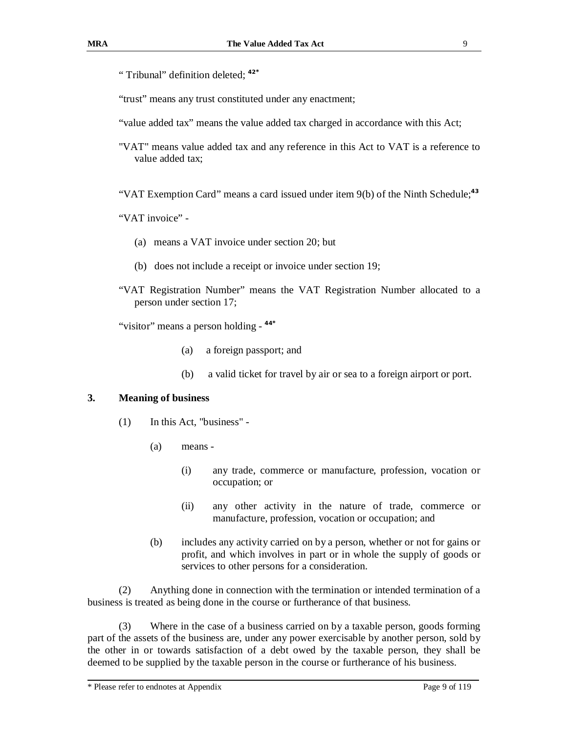" Tribunal" definition deleted; **<sup>42</sup>\***

"trust" means any trust constituted under any enactment;

"value added tax" means the value added tax charged in accordance with this Act;

"VAT" means value added tax and any reference in this Act to VAT is a reference to value added tax;

"VAT Exemption Card" means a card issued under item 9(b) of the Ninth Schedule;**<sup>43</sup>**

"VAT invoice" -

- (a) means a VAT invoice under section 20; but
- (b) does not include a receipt or invoice under section 19;
- "VAT Registration Number" means the VAT Registration Number allocated to a person under section 17;

"visitor" means a person holding - **44\***

- (a) a foreign passport; and
- (b) a valid ticket for travel by air or sea to a foreign airport or port.

#### **3. Meaning of business**

- (1) In this Act, "business"
	- (a) means
		- (i) any trade, commerce or manufacture, profession, vocation or occupation; or
		- (ii) any other activity in the nature of trade, commerce or manufacture, profession, vocation or occupation; and
	- (b) includes any activity carried on by a person, whether or not for gains or profit, and which involves in part or in whole the supply of goods or services to other persons for a consideration.

(2) Anything done in connection with the termination or intended termination of a business is treated as being done in the course or furtherance of that business.

(3) Where in the case of a business carried on by a taxable person, goods forming part of the assets of the business are, under any power exercisable by another person, sold by the other in or towards satisfaction of a debt owed by the taxable person, they shall be deemed to be supplied by the taxable person in the course or furtherance of his business.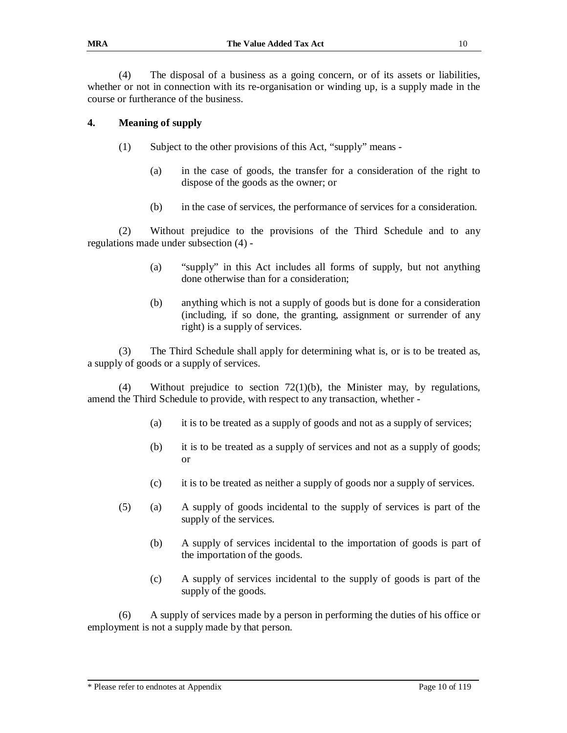(4) The disposal of a business as a going concern, or of its assets or liabilities, whether or not in connection with its re-organisation or winding up, is a supply made in the course or furtherance of the business.

#### **4. Meaning of supply**

- (1) Subject to the other provisions of this Act, "supply" means
	- (a) in the case of goods, the transfer for a consideration of the right to dispose of the goods as the owner; or
	- (b) in the case of services, the performance of services for a consideration.

(2) Without prejudice to the provisions of the Third Schedule and to any regulations made under subsection (4) -

- (a) "supply" in this Act includes all forms of supply, but not anything done otherwise than for a consideration;
- (b) anything which is not a supply of goods but is done for a consideration (including, if so done, the granting, assignment or surrender of any right) is a supply of services.

(3) The Third Schedule shall apply for determining what is, or is to be treated as, a supply of goods or a supply of services.

(4) Without prejudice to section  $72(1)(b)$ , the Minister may, by regulations, amend the Third Schedule to provide, with respect to any transaction, whether -

- (a) it is to be treated as a supply of goods and not as a supply of services;
- (b) it is to be treated as a supply of services and not as a supply of goods; or
- (c) it is to be treated as neither a supply of goods nor a supply of services.
- (5) (a) A supply of goods incidental to the supply of services is part of the supply of the services.
	- (b) A supply of services incidental to the importation of goods is part of the importation of the goods.
	- (c) A supply of services incidental to the supply of goods is part of the supply of the goods.

(6) A supply of services made by a person in performing the duties of his office or employment is not a supply made by that person.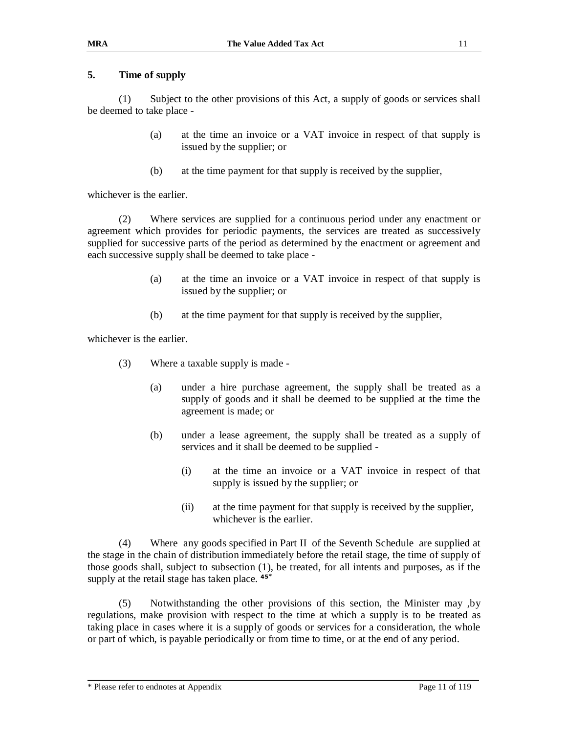## **5. Time of supply**

(1) Subject to the other provisions of this Act, a supply of goods or services shall be deemed to take place -

- (a) at the time an invoice or a VAT invoice in respect of that supply is issued by the supplier; or
- (b) at the time payment for that supply is received by the supplier,

whichever is the earlier.

(2) Where services are supplied for a continuous period under any enactment or agreement which provides for periodic payments, the services are treated as successively supplied for successive parts of the period as determined by the enactment or agreement and each successive supply shall be deemed to take place -

- (a) at the time an invoice or a VAT invoice in respect of that supply is issued by the supplier; or
- (b) at the time payment for that supply is received by the supplier,

whichever is the earlier.

- (3) Where a taxable supply is made
	- (a) under a hire purchase agreement, the supply shall be treated as a supply of goods and it shall be deemed to be supplied at the time the agreement is made; or
	- (b) under a lease agreement, the supply shall be treated as a supply of services and it shall be deemed to be supplied -
		- (i) at the time an invoice or a VAT invoice in respect of that supply is issued by the supplier; or
		- (ii) at the time payment for that supply is received by the supplier, whichever is the earlier.

(4) Where any goods specified in Part II of the Seventh Schedule are supplied at the stage in the chain of distribution immediately before the retail stage, the time of supply of those goods shall, subject to subsection (1), be treated, for all intents and purposes, as if the supply at the retail stage has taken place. **45\***

(5) Notwithstanding the other provisions of this section, the Minister may ,by regulations, make provision with respect to the time at which a supply is to be treated as taking place in cases where it is a supply of goods or services for a consideration, the whole or part of which, is payable periodically or from time to time, or at the end of any period.

\* Please refer to endnotes at Appendix Page 11 of 119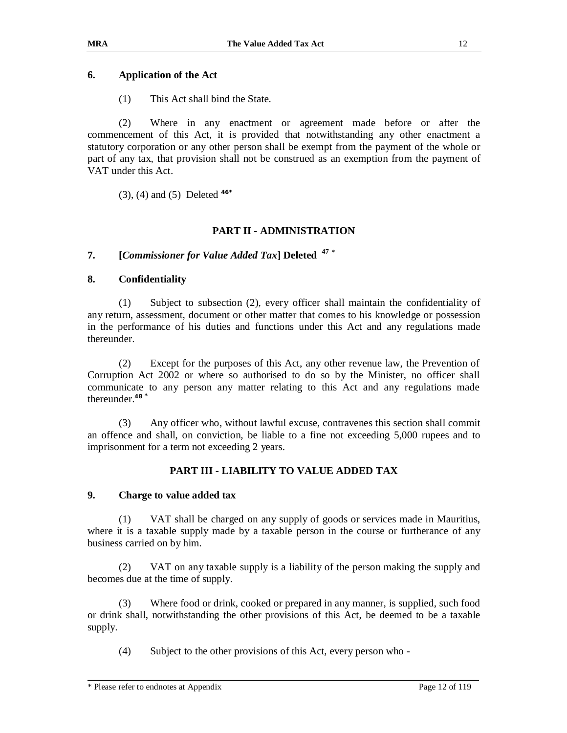## **6. Application of the Act**

(1) This Act shall bind the State.

(2) Where in any enactment or agreement made before or after the commencement of this Act, it is provided that notwithstanding any other enactment a statutory corporation or any other person shall be exempt from the payment of the whole or part of any tax, that provision shall not be construed as an exemption from the payment of VAT under this Act.

(3), (4) and (5) Deleted **46\***

## **PART II - ADMINISTRATION**

## **7. [***Commissioner for Value Added Tax***] Deleted 47 \***

#### **8. Confidentiality**

(1) Subject to subsection (2), every officer shall maintain the confidentiality of any return, assessment, document or other matter that comes to his knowledge or possession in the performance of his duties and functions under this Act and any regulations made thereunder.

(2) Except for the purposes of this Act, any other revenue law, the Prevention of Corruption Act 2002 or where so authorised to do so by the Minister, no officer shall communicate to any person any matter relating to this Act and any regulations made thereunder.**<sup>48</sup> \***

(3) Any officer who, without lawful excuse, contravenes this section shall commit an offence and shall, on conviction, be liable to a fine not exceeding 5,000 rupees and to imprisonment for a term not exceeding 2 years.

## **PART III - LIABILITY TO VALUE ADDED TAX**

#### **9. Charge to value added tax**

(1) VAT shall be charged on any supply of goods or services made in Mauritius, where it is a taxable supply made by a taxable person in the course or furtherance of any business carried on by him.

(2) VAT on any taxable supply is a liability of the person making the supply and becomes due at the time of supply.

(3) Where food or drink, cooked or prepared in any manner, is supplied, such food or drink shall, notwithstanding the other provisions of this Act, be deemed to be a taxable supply.

(4) Subject to the other provisions of this Act, every person who -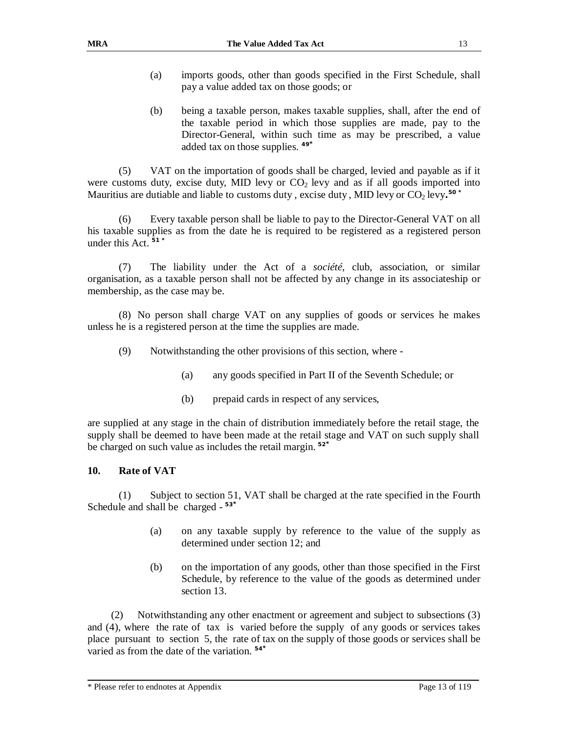- (a) imports goods, other than goods specified in the First Schedule, shall pay a value added tax on those goods; or
- (b) being a taxable person, makes taxable supplies, shall, after the end of the taxable period in which those supplies are made, pay to the Director-General, within such time as may be prescribed, a value added tax on those supplies. **49\***

(5) VAT on the importation of goods shall be charged, levied and payable as if it were customs duty, excise duty, MID levy or  $CO<sub>2</sub>$  levy and as if all goods imported into Mauritius are dutiable and liable to customs duty , excise duty , MID levy or CO<sub>2</sub> levy.<sup>50\*</sup>

(6) Every taxable person shall be liable to pay to the Director-General VAT on all his taxable supplies as from the date he is required to be registered as a registered person under this Act. **51 \***

(7) The liability under the Act of a *société*, club, association, or similar organisation, as a taxable person shall not be affected by any change in its associateship or membership, as the case may be.

 (8) No person shall charge VAT on any supplies of goods or services he makes unless he is a registered person at the time the supplies are made.

- (9) Notwithstanding the other provisions of this section, where
	- (a) any goods specified in Part II of the Seventh Schedule; or
	- (b) prepaid cards in respect of any services,

are supplied at any stage in the chain of distribution immediately before the retail stage, the supply shall be deemed to have been made at the retail stage and VAT on such supply shall be charged on such value as includes the retail margin. **<sup>52</sup>\***

#### **10. Rate of VAT**

(1) Subject to section 51, VAT shall be charged at the rate specified in the Fourth Schedule and shall be charged - **53\***

- (a) on any taxable supply by reference to the value of the supply as determined under section 12; and
- (b) on the importation of any goods, other than those specified in the First Schedule, by reference to the value of the goods as determined under section 13.

(2) Notwithstanding any other enactment or agreement and subject to subsections (3) and (4), where the rate of tax is varied before the supply of any goods or services takes place pursuant to section 5, the rate of tax on the supply of those goods or services shall be varied as from the date of the variation. **54\***

<sup>\*</sup> Please refer to endnotes at Appendix Page 13 of 119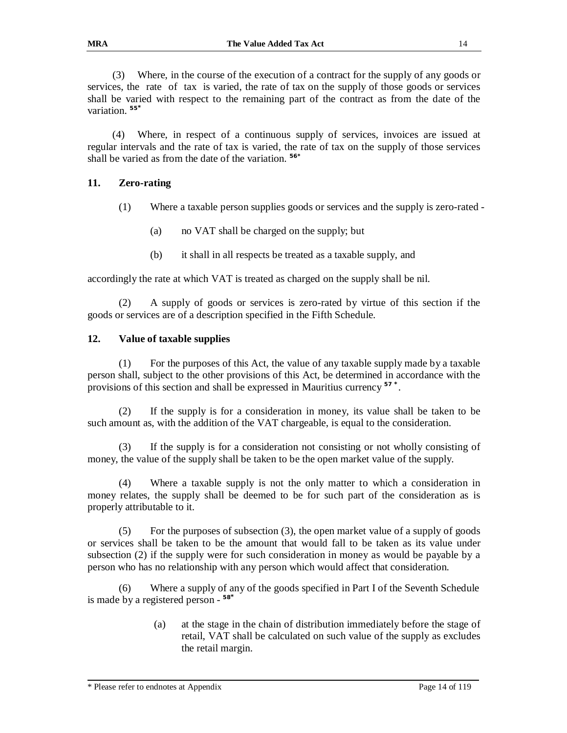(3) Where, in the course of the execution of a contract for the supply of any goods or services, the rate of tax is varied, the rate of tax on the supply of those goods or services shall be varied with respect to the remaining part of the contract as from the date of the variation. **55\***

(4) Where, in respect of a continuous supply of services, invoices are issued at regular intervals and the rate of tax is varied, the rate of tax on the supply of those services shall be varied as from the date of the variation. **56\***

#### **11. Zero-rating**

- (1) Where a taxable person supplies goods or services and the supply is zero-rated
	- (a) no VAT shall be charged on the supply; but
	- (b) it shall in all respects be treated as a taxable supply, and

accordingly the rate at which VAT is treated as charged on the supply shall be nil.

(2) A supply of goods or services is zero-rated by virtue of this section if the goods or services are of a description specified in the Fifth Schedule.

#### **12. Value of taxable supplies**

(1) For the purposes of this Act, the value of any taxable supply made by a taxable person shall, subject to the other provisions of this Act, be determined in accordance with the provisions of this section and shall be expressed in Mauritius currency **<sup>57</sup> \*** .

(2) If the supply is for a consideration in money, its value shall be taken to be such amount as, with the addition of the VAT chargeable, is equal to the consideration.

(3) If the supply is for a consideration not consisting or not wholly consisting of money, the value of the supply shall be taken to be the open market value of the supply.

(4) Where a taxable supply is not the only matter to which a consideration in money relates, the supply shall be deemed to be for such part of the consideration as is properly attributable to it.

(5) For the purposes of subsection (3), the open market value of a supply of goods or services shall be taken to be the amount that would fall to be taken as its value under subsection (2) if the supply were for such consideration in money as would be payable by a person who has no relationship with any person which would affect that consideration.

(6) Where a supply of any of the goods specified in Part I of the Seventh Schedule is made by a registered person - **58\***

> (a) at the stage in the chain of distribution immediately before the stage of retail, VAT shall be calculated on such value of the supply as excludes the retail margin.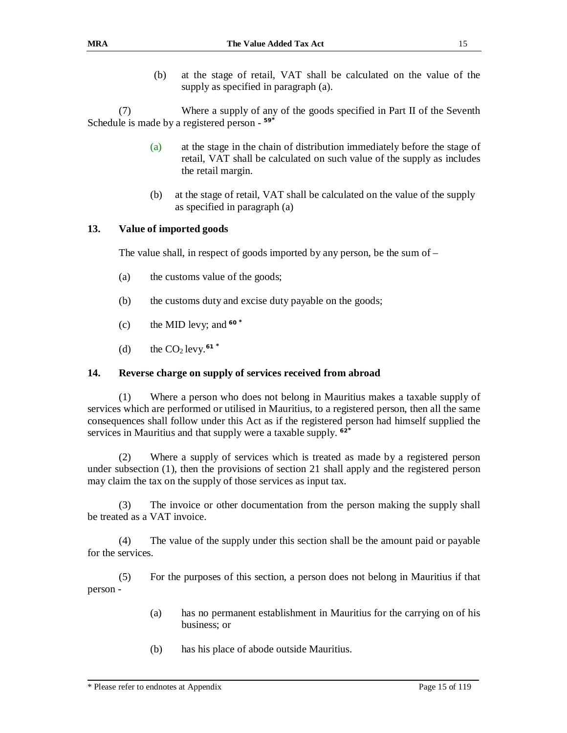(b) at the stage of retail, VAT shall be calculated on the value of the supply as specified in paragraph (a).

(7) Where a supply of any of the goods specified in Part II of the Seventh Schedule is made by a registered person - **59\***

- (a) at the stage in the chain of distribution immediately before the stage of retail, VAT shall be calculated on such value of the supply as includes the retail margin.
- (b) at the stage of retail, VAT shall be calculated on the value of the supply as specified in paragraph (a)

#### **13. Value of imported goods**

The value shall, in respect of goods imported by any person, be the sum of –

- (a) the customs value of the goods;
- (b) the customs duty and excise duty payable on the goods;
- (c) the MID levy; and **<sup>60</sup> \***
- (d) the  $CO_2$  levy.<sup>61</sup>

#### **14. Reverse charge on supply of services received from abroad**

(1) Where a person who does not belong in Mauritius makes a taxable supply of services which are performed or utilised in Mauritius, to a registered person, then all the same consequences shall follow under this Act as if the registered person had himself supplied the services in Mauritius and that supply were a taxable supply. **62\***

(2) Where a supply of services which is treated as made by a registered person under subsection (1), then the provisions of section 21 shall apply and the registered person may claim the tax on the supply of those services as input tax.

(3) The invoice or other documentation from the person making the supply shall be treated as a VAT invoice.

(4) The value of the supply under this section shall be the amount paid or payable for the services.

(5) For the purposes of this section, a person does not belong in Mauritius if that person -

- (a) has no permanent establishment in Mauritius for the carrying on of his business; or
- (b) has his place of abode outside Mauritius.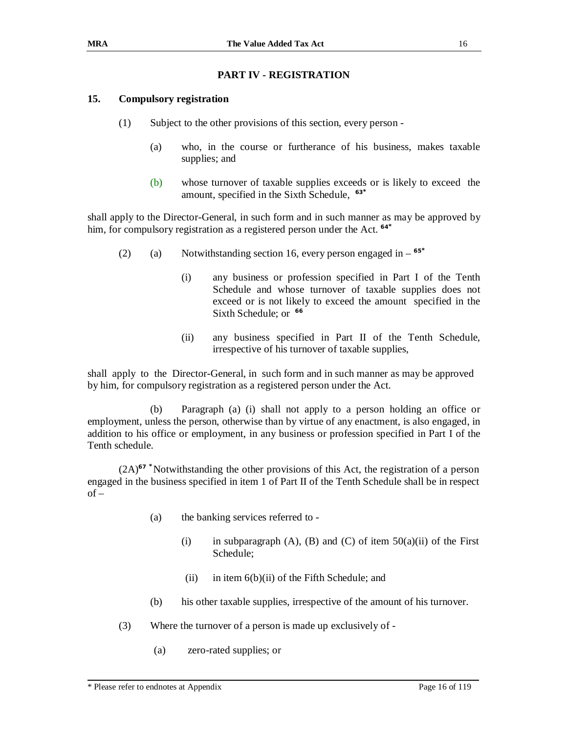## **PART IV - REGISTRATION**

## **15. Compulsory registration**

- (1) Subject to the other provisions of this section, every person
	- (a) who, in the course or furtherance of his business, makes taxable supplies; and
	- (b) whose turnover of taxable supplies exceeds or is likely to exceed the amount, specified in the Sixth Schedule, **63\***

shall apply to the Director-General, in such form and in such manner as may be approved by him, for compulsory registration as a registered person under the Act. **64\***

- (2) (a) Notwithstanding section 16, every person engaged in **65\***
	- (i) any business or profession specified in Part I of the Tenth Schedule and whose turnover of taxable supplies does not exceed or is not likely to exceed the amount specified in the Sixth Schedule; or **66**
	- (ii) any business specified in Part II of the Tenth Schedule, irrespective of his turnover of taxable supplies,

shall apply to the Director-General, in such form and in such manner as may be approved by him, for compulsory registration as a registered person under the Act.

(b) Paragraph (a) (i) shall not apply to a person holding an office or employment, unless the person, otherwise than by virtue of any enactment, is also engaged, in addition to his office or employment, in any business or profession specified in Part I of the Tenth schedule.

(2A)**<sup>67</sup> \***Notwithstanding the other provisions of this Act, the registration of a person engaged in the business specified in item 1 of Part II of the Tenth Schedule shall be in respect  $of -$ 

- (a) the banking services referred to
	- (i) in subparagraph (A), (B) and (C) of item  $50(a)(ii)$  of the First Schedule;
	- (ii) in item  $6(b)(ii)$  of the Fifth Schedule; and
- (b) his other taxable supplies, irrespective of the amount of his turnover.
- (3) Where the turnover of a person is made up exclusively of
	- (a) zero-rated supplies; or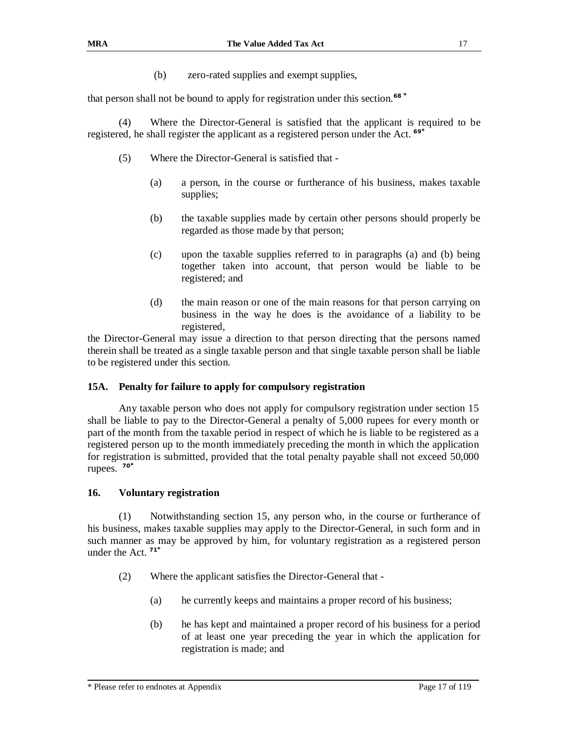(b) zero-rated supplies and exempt supplies,

that person shall not be bound to apply for registration under this section.**<sup>68</sup> \***

(4) Where the Director-General is satisfied that the applicant is required to be registered, he shall register the applicant as a registered person under the Act. **69\***

- (5) Where the Director-General is satisfied that
	- (a) a person, in the course or furtherance of his business, makes taxable supplies;
	- (b) the taxable supplies made by certain other persons should properly be regarded as those made by that person;
	- (c) upon the taxable supplies referred to in paragraphs (a) and (b) being together taken into account, that person would be liable to be registered; and
	- (d) the main reason or one of the main reasons for that person carrying on business in the way he does is the avoidance of a liability to be registered,

the Director-General may issue a direction to that person directing that the persons named therein shall be treated as a single taxable person and that single taxable person shall be liable to be registered under this section.

#### **15A. Penalty for failure to apply for compulsory registration**

Any taxable person who does not apply for compulsory registration under section 15 shall be liable to pay to the Director-General a penalty of 5,000 rupees for every month or part of the month from the taxable period in respect of which he is liable to be registered as a registered person up to the month immediately preceding the month in which the application for registration is submitted, provided that the total penalty payable shall not exceed 50,000 rupees. **70\***

#### **16. Voluntary registration**

(1) Notwithstanding section 15, any person who, in the course or furtherance of his business, makes taxable supplies may apply to the Director-General, in such form and in such manner as may be approved by him, for voluntary registration as a registered person under the Act. **71\***

- (2) Where the applicant satisfies the Director-General that
	- (a) he currently keeps and maintains a proper record of his business;
	- (b) he has kept and maintained a proper record of his business for a period of at least one year preceding the year in which the application for registration is made; and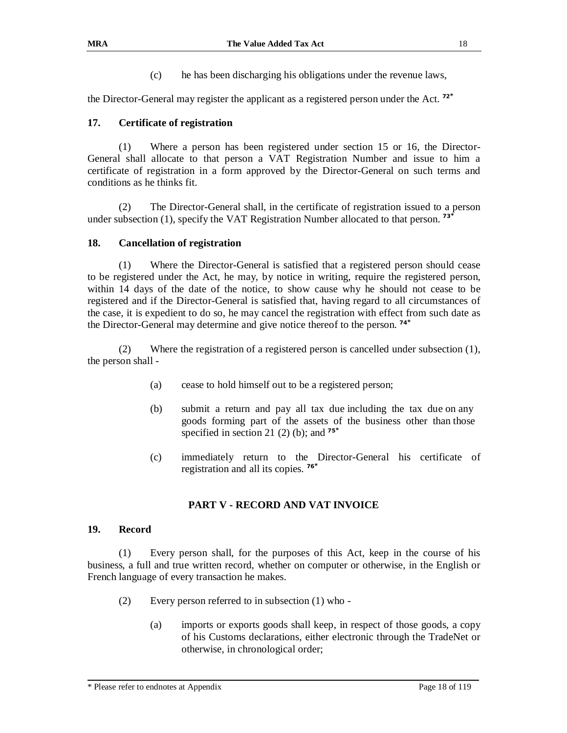(c) he has been discharging his obligations under the revenue laws,

the Director-General may register the applicant as a registered person under the Act. **72\***

#### **17. Certificate of registration**

(1) Where a person has been registered under section 15 or 16, the Director-General shall allocate to that person a VAT Registration Number and issue to him a certificate of registration in a form approved by the Director-General on such terms and conditions as he thinks fit.

(2) The Director-General shall, in the certificate of registration issued to a person under subsection (1), specify the VAT Registration Number allocated to that person. **73\***

#### **18. Cancellation of registration**

(1) Where the Director-General is satisfied that a registered person should cease to be registered under the Act, he may, by notice in writing, require the registered person, within 14 days of the date of the notice, to show cause why he should not cease to be registered and if the Director-General is satisfied that, having regard to all circumstances of the case, it is expedient to do so, he may cancel the registration with effect from such date as the Director-General may determine and give notice thereof to the person. **74\***

(2) Where the registration of a registered person is cancelled under subsection (1), the person shall -

- (a) cease to hold himself out to be a registered person;
- (b) submit a return and pay all tax due including the tax due on any goods forming part of the assets of the business other than those specified in section 21 (2) (b); and **75\***
- (c) immediately return to the Director-General his certificate of registration and all its copies. **76\***

#### **PART V - RECORD AND VAT INVOICE**

#### **19. Record**

(1) Every person shall, for the purposes of this Act, keep in the course of his business, a full and true written record, whether on computer or otherwise, in the English or French language of every transaction he makes.

- (2) Every person referred to in subsection (1) who
	- (a) imports or exports goods shall keep, in respect of those goods, a copy of his Customs declarations, either electronic through the TradeNet or otherwise, in chronological order;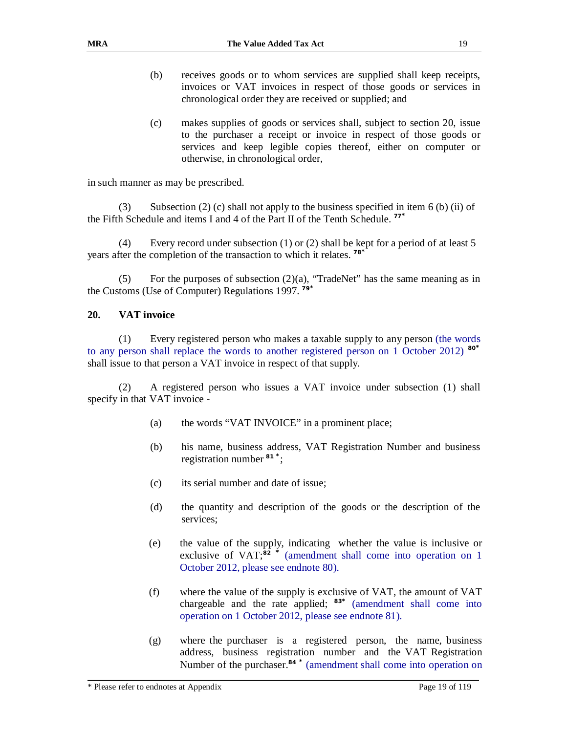- (b) receives goods or to whom services are supplied shall keep receipts, invoices or VAT invoices in respect of those goods or services in chronological order they are received or supplied; and
- (c) makes supplies of goods or services shall, subject to section 20, issue to the purchaser a receipt or invoice in respect of those goods or services and keep legible copies thereof, either on computer or otherwise, in chronological order,

in such manner as may be prescribed.

(3) Subsection (2) (c) shall not apply to the business specified in item 6 (b) (ii) of the Fifth Schedule and items I and 4 of the Part II of the Tenth Schedule. **77\***

(4) Every record under subsection (1) or (2) shall be kept for a period of at least 5 years after the completion of the transaction to which it relates. **78\***

(5) For the purposes of subsection  $(2)(a)$ , "TradeNet" has the same meaning as in the Customs (Use of Computer) Regulations 1997. **79\***

#### **20. VAT invoice**

(1) Every registered person who makes a taxable supply to any person (the words to any person shall replace the words to another registered person on 1 October 2012) **<sup>80</sup>\*** shall issue to that person a VAT invoice in respect of that supply.

(2) A registered person who issues a VAT invoice under subsection (1) shall specify in that VAT invoice -

- (a) the words "VAT INVOICE" in a prominent place;
- (b) his name, business address, VAT Registration Number and business registration number **<sup>81</sup> \***;
- (c) its serial number and date of issue;
- (d) the quantity and description of the goods or the description of the services;
- (e) the value of the supply, indicating whether the value is inclusive or exclusive of VAT;<sup>82</sup> <sup>\*</sup> (amendment shall come into operation on 1 October 2012, please see endnote 80).
- (f) where the value of the supply is exclusive of VAT, the amount of VAT chargeable and the rate applied; **<sup>83</sup>\*** (amendment shall come into operation on 1 October 2012, please see endnote 81).
- (g) where the purchaser is a registered person, the name, business address, business registration number and the VAT Registration Number of the purchaser.**<sup>84</sup> \*** (amendment shall come into operation on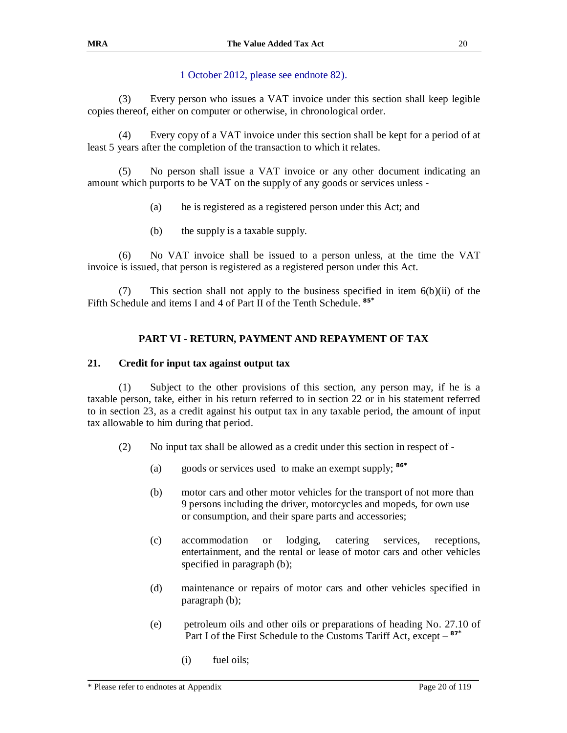## 1 October 2012, please see endnote 82).

(3) Every person who issues a VAT invoice under this section shall keep legible copies thereof, either on computer or otherwise, in chronological order.

(4) Every copy of a VAT invoice under this section shall be kept for a period of at least 5 years after the completion of the transaction to which it relates.

(5) No person shall issue a VAT invoice or any other document indicating an amount which purports to be VAT on the supply of any goods or services unless -

- (a) he is registered as a registered person under this Act; and
- (b) the supply is a taxable supply.

(6) No VAT invoice shall be issued to a person unless, at the time the VAT invoice is issued, that person is registered as a registered person under this Act.

(7) This section shall not apply to the business specified in item 6(b)(ii) of the Fifth Schedule and items I and 4 of Part II of the Tenth Schedule. **85\***

## **PART VI - RETURN, PAYMENT AND REPAYMENT OF TAX**

#### **21. Credit for input tax against output tax**

(1) Subject to the other provisions of this section, any person may, if he is a taxable person, take, either in his return referred to in section 22 or in his statement referred to in section 23, as a credit against his output tax in any taxable period, the amount of input tax allowable to him during that period.

- (2) No input tax shall be allowed as a credit under this section in respect of
	- (a) goods or services used to make an exempt supply; **<sup>86</sup>\***
	- (b) motor cars and other motor vehicles for the transport of not more than 9 persons including the driver, motorcycles and mopeds, for own use or consumption, and their spare parts and accessories;
	- (c) accommodation or lodging, catering services, receptions, entertainment, and the rental or lease of motor cars and other vehicles specified in paragraph (b);
	- (d) maintenance or repairs of motor cars and other vehicles specified in paragraph (b);
	- (e) petroleum oils and other oils or preparations of heading No. 27.10 of Part I of the First Schedule to the Customs Tariff Act, except – **87\***
		- (i) fuel oils;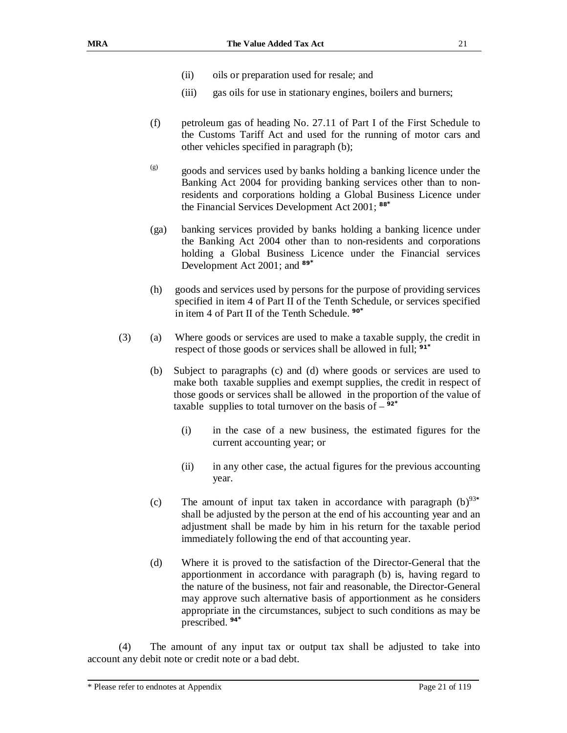- (ii) oils or preparation used for resale; and
- (iii) gas oils for use in stationary engines, boilers and burners;
- (f) petroleum gas of heading No. 27.11 of Part I of the First Schedule to the Customs Tariff Act and used for the running of motor cars and other vehicles specified in paragraph (b);
- (g) goods and services used by banks holding a banking licence under the Banking Act 2004 for providing banking services other than to nonresidents and corporations holding a Global Business Licence under the Financial Services Development Act 2001; **88\***
- (ga) banking services provided by banks holding a banking licence under the Banking Act 2004 other than to non-residents and corporations holding a Global Business Licence under the Financial services Development Act 2001; and **<sup>89</sup>\***
- (h) goods and services used by persons for the purpose of providing services specified in item 4 of Part II of the Tenth Schedule, or services specified in item 4 of Part II of the Tenth Schedule. **90\***
- (3) (a) Where goods or services are used to make a taxable supply, the credit in respect of those goods or services shall be allowed in full; **91\***
	- (b) Subject to paragraphs (c) and (d) where goods or services are used to make both taxable supplies and exempt supplies, the credit in respect of those goods or services shall be allowed in the proportion of the value of taxable supplies to total turnover on the basis of  $-$ <sup>92\*</sup>
		- (i) in the case of a new business, the estimated figures for the current accounting year; or
		- (ii) in any other case, the actual figures for the previous accounting year.
	- (c) The amount of input tax taken in accordance with paragraph  $(b)^{93*}$ shall be adjusted by the person at the end of his accounting year and an adjustment shall be made by him in his return for the taxable period immediately following the end of that accounting year.
	- (d) Where it is proved to the satisfaction of the Director-General that the apportionment in accordance with paragraph (b) is, having regard to the nature of the business, not fair and reasonable, the Director-General may approve such alternative basis of apportionment as he considers appropriate in the circumstances, subject to such conditions as may be prescribed. **94\***

(4) The amount of any input tax or output tax shall be adjusted to take into account any debit note or credit note or a bad debt.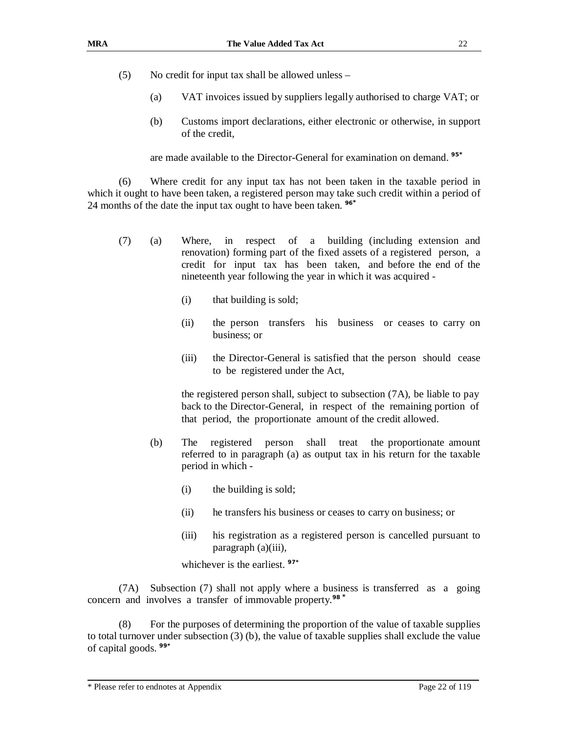- (5) No credit for input tax shall be allowed unless
	- (a) VAT invoices issued by suppliers legally authorised to charge VAT; or
	- (b) Customs import declarations, either electronic or otherwise, in support of the credit,

are made available to the Director-General for examination on demand. **95\***

(6) Where credit for any input tax has not been taken in the taxable period in which it ought to have been taken, a registered person may take such credit within a period of 24 months of the date the input tax ought to have been taken. **96\***

- (7) (a) Where, in respect of a building (including extension and renovation) forming part of the fixed assets of a registered person, a credit for input tax has been taken, and before the end of the nineteenth year following the year in which it was acquired -
	- (i) that building is sold;
	- (ii) the person transfers his business or ceases to carry on business; or
	- (iii) the Director-General is satisfied that the person should cease to be registered under the Act,

the registered person shall, subject to subsection (7A), be liable to pay back to the Director-General, in respect of the remaining portion of that period, the proportionate amount of the credit allowed.

- (b) The registered person shall treat the proportionate amount referred to in paragraph (a) as output tax in his return for the taxable period in which -
	- (i) the building is sold;
	- (ii) he transfers his business or ceases to carry on business; or
	- (iii) his registration as a registered person is cancelled pursuant to paragraph (a)(iii),

whichever is the earliest. **97\***

(7A) Subsection (7) shall not apply where a business is transferred as a going concern and involves a transfer of immovable property.**98 \***

(8) For the purposes of determining the proportion of the value of taxable supplies to total turnover under subsection  $(3)$  (b), the value of taxable supplies shall exclude the value of capital goods. **99\***

<sup>\*</sup> Please refer to endnotes at Appendix Page 22 of 119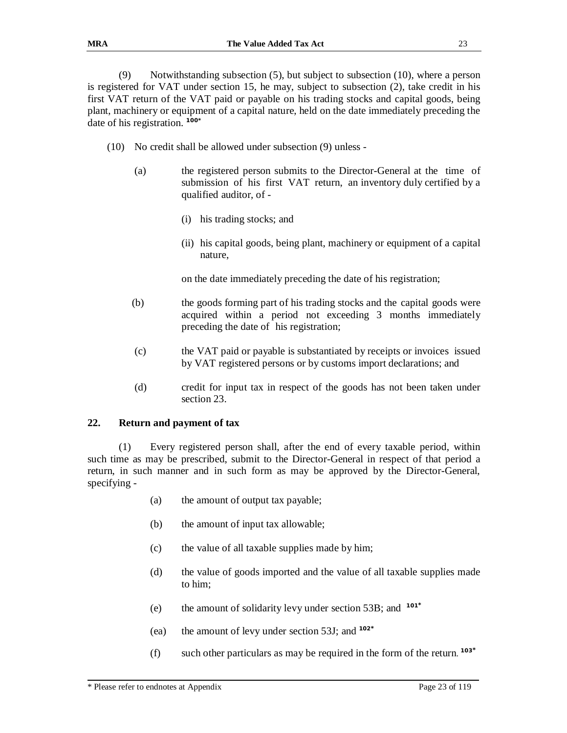(9) Notwithstanding subsection (5), but subject to subsection (10), where a person is registered for VAT under section 15, he may, subject to subsection (2), take credit in his first VAT return of the VAT paid or payable on his trading stocks and capital goods, being plant, machinery or equipment of a capital nature, held on the date immediately preceding the date of his registration. **100\***

- (10) No credit shall be allowed under subsection (9) unless
	- (a) the registered person submits to the Director-General at the time of submission of his first VAT return, an inventory duly certified by a qualified auditor, of -
		- (i) his trading stocks; and
		- (ii) his capital goods, being plant, machinery or equipment of a capital nature,

on the date immediately preceding the date of his registration;

- (b) the goods forming part of his trading stocks and the capital goods were acquired within a period not exceeding 3 months immediately preceding the date of his registration;
- (c) the VAT paid or payable is substantiated by receipts or invoices issued by VAT registered persons or by customs import declarations; and
- (d) credit for input tax in respect of the goods has not been taken under section 23.

#### **22. Return and payment of tax**

(1) Every registered person shall, after the end of every taxable period, within such time as may be prescribed, submit to the Director-General in respect of that period a return, in such manner and in such form as may be approved by the Director-General, specifying -

- (a) the amount of output tax payable;
- (b) the amount of input tax allowable;
- (c) the value of all taxable supplies made by him;
- (d) the value of goods imported and the value of all taxable supplies made to him;
- (e) the amount of solidarity levy under section 53B; and **101\***
- (ea) the amount of levy under section 53J; and **102\***
- (f) such other particulars as may be required in the form of the return. **103\***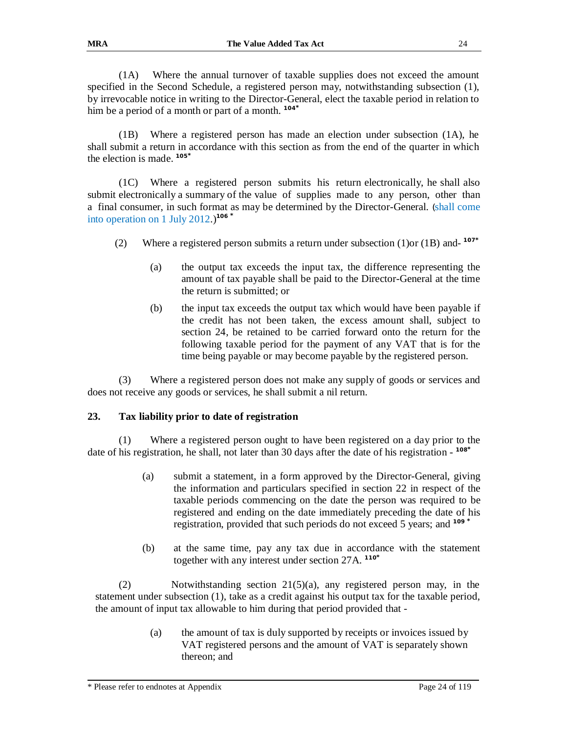(1A) Where the annual turnover of taxable supplies does not exceed the amount specified in the Second Schedule, a registered person may, notwithstanding subsection (1), by irrevocable notice in writing to the Director-General, elect the taxable period in relation to him be a period of a month or part of a month. **104\***

(1B) Where a registered person has made an election under subsection (1A), he shall submit a return in accordance with this section as from the end of the quarter in which the election is made. **105\***

(1C) Where a registered person submits his return electronically, he shall also submit electronically a summary of the value of supplies made to any person, other than a final consumer, in such format as may be determined by the Director-General. (shall come into operation on 1 July 2012.)**<sup>106</sup>\***

- (2) Where a registered person submits a return under subsection (1)or (1B) and-**107\***
	- (a) the output tax exceeds the input tax, the difference representing the amount of tax payable shall be paid to the Director-General at the time the return is submitted; or
	- (b) the input tax exceeds the output tax which would have been payable if the credit has not been taken, the excess amount shall, subject to section 24, be retained to be carried forward onto the return for the following taxable period for the payment of any VAT that is for the time being payable or may become payable by the registered person.

(3) Where a registered person does not make any supply of goods or services and does not receive any goods or services, he shall submit a nil return.

#### **23. Tax liability prior to date of registration**

(1) Where a registered person ought to have been registered on a day prior to the date of his registration, he shall, not later than 30 days after the date of his registration - **108\***

- (a) submit a statement, in a form approved by the Director-General, giving the information and particulars specified in section 22 in respect of the taxable periods commencing on the date the person was required to be registered and ending on the date immediately preceding the date of his registration, provided that such periods do not exceed 5 years; and **<sup>109</sup>\***
- (b) at the same time, pay any tax due in accordance with the statement together with any interest under section 27A. **110\***

(2) Notwithstanding section 21(5)(a), any registered person may, in the statement under subsection (1), take as a credit against his output tax for the taxable period, the amount of input tax allowable to him during that period provided that -

> (a) the amount of tax is duly supported by receipts or invoices issued by VAT registered persons and the amount of VAT is separately shown thereon; and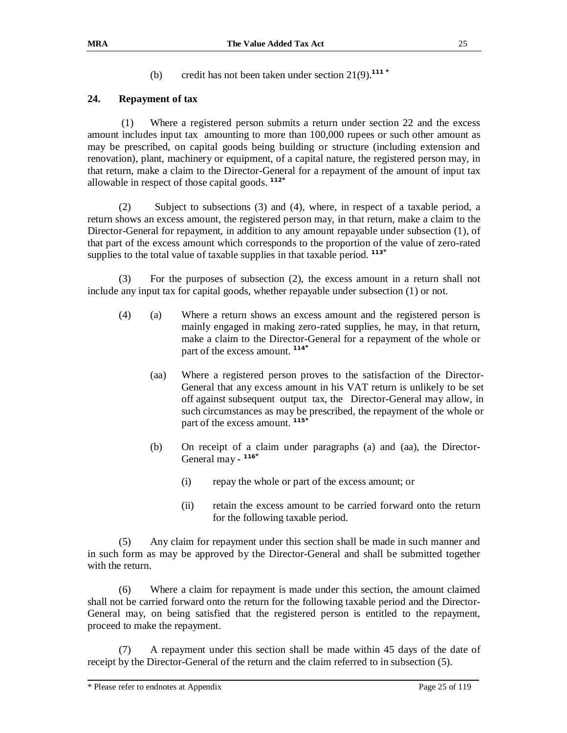(b) credit has not been taken under section 21(9).**<sup>111</sup> \***

## **24. Repayment of tax**

(1) Where a registered person submits a return under section 22 and the excess amount includes input tax amounting to more than 100,000 rupees or such other amount as may be prescribed, on capital goods being building or structure (including extension and renovation), plant, machinery or equipment, of a capital nature, the registered person may, in that return, make a claim to the Director-General for a repayment of the amount of input tax allowable in respect of those capital goods. **112\***

(2) Subject to subsections (3) and (4), where, in respect of a taxable period, a return shows an excess amount, the registered person may, in that return, make a claim to the Director-General for repayment, in addition to any amount repayable under subsection (1), of that part of the excess amount which corresponds to the proportion of the value of zero-rated supplies to the total value of taxable supplies in that taxable period. **113\***

(3) For the purposes of subsection (2), the excess amount in a return shall not include any input tax for capital goods, whether repayable under subsection (1) or not.

- (4) (a) Where a return shows an excess amount and the registered person is mainly engaged in making zero-rated supplies, he may, in that return, make a claim to the Director-General for a repayment of the whole or part of the excess amount. **114\***
	- (aa) Where a registered person proves to the satisfaction of the Director-General that any excess amount in his VAT return is unlikely to be set off against subsequent output tax, the Director-General may allow, in such circumstances as may be prescribed, the repayment of the whole or part of the excess amount. **115\***
	- (b) On receipt of a claim under paragraphs (a) and (aa), the Director-General may - **116\*** 
		- (i) repay the whole or part of the excess amount; or
		- (ii) retain the excess amount to be carried forward onto the return for the following taxable period.

(5) Any claim for repayment under this section shall be made in such manner and in such form as may be approved by the Director-General and shall be submitted together with the return.

(6) Where a claim for repayment is made under this section, the amount claimed shall not be carried forward onto the return for the following taxable period and the Director-General may, on being satisfied that the registered person is entitled to the repayment, proceed to make the repayment.

(7) A repayment under this section shall be made within 45 days of the date of receipt by the Director-General of the return and the claim referred to in subsection (5).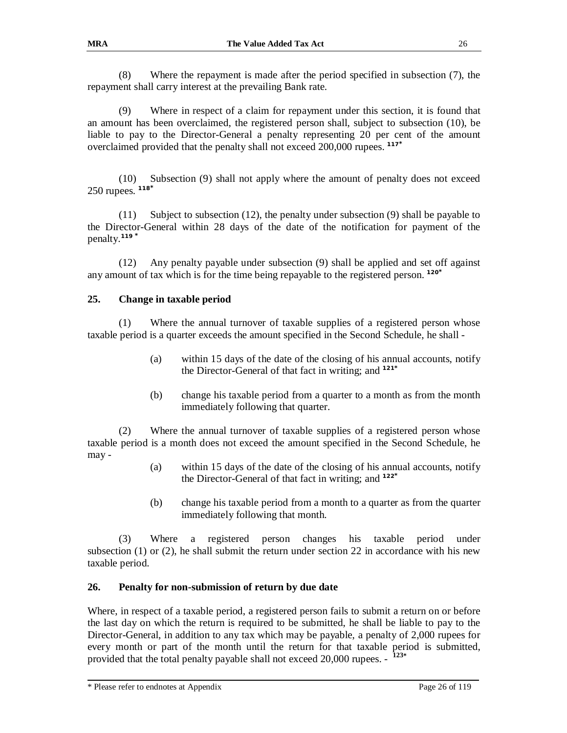(8) Where the repayment is made after the period specified in subsection (7), the repayment shall carry interest at the prevailing Bank rate.

(9) Where in respect of a claim for repayment under this section, it is found that an amount has been overclaimed, the registered person shall, subject to subsection (10), be liable to pay to the Director-General a penalty representing 20 per cent of the amount overclaimed provided that the penalty shall not exceed 200,000 rupees. **117\***

(10) Subsection (9) shall not apply where the amount of penalty does not exceed 250 rupees. **118\***

(11) Subject to subsection (12), the penalty under subsection (9) shall be payable to the Director-General within 28 days of the date of the notification for payment of the penalty.**<sup>119</sup> \***

(12) Any penalty payable under subsection (9) shall be applied and set off against any amount of tax which is for the time being repayable to the registered person. **120\***

#### **25. Change in taxable period**

(1) Where the annual turnover of taxable supplies of a registered person whose taxable period is a quarter exceeds the amount specified in the Second Schedule, he shall -

- (a) within 15 days of the date of the closing of his annual accounts, notify the Director-General of that fact in writing; and **<sup>121</sup>\***
- (b) change his taxable period from a quarter to a month as from the month immediately following that quarter.

(2) Where the annual turnover of taxable supplies of a registered person whose taxable period is a month does not exceed the amount specified in the Second Schedule, he may -

- (a) within 15 days of the date of the closing of his annual accounts, notify the Director-General of that fact in writing; and **<sup>122</sup>\***
- (b) change his taxable period from a month to a quarter as from the quarter immediately following that month.

(3) Where a registered person changes his taxable period under subsection  $(1)$  or  $(2)$ , he shall submit the return under section 22 in accordance with his new taxable period.

#### **26. Penalty for non-submission of return by due date**

Where, in respect of a taxable period, a registered person fails to submit a return on or before the last day on which the return is required to be submitted, he shall be liable to pay to the Director-General, in addition to any tax which may be payable, a penalty of 2,000 rupees for every month or part of the month until the return for that taxable period is submitted, provided that the total penalty payable shall not exceed 20,000 rupees. - **123\***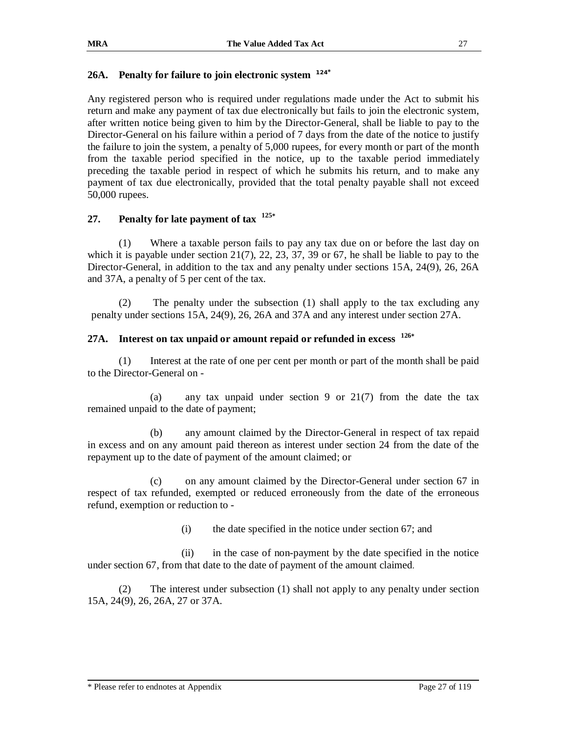#### **26A. Penalty for failure to join electronic system 124\***

Any registered person who is required under regulations made under the Act to submit his return and make any payment of tax due electronically but fails to join the electronic system, after written notice being given to him by the Director-General, shall be liable to pay to the Director-General on his failure within a period of 7 days from the date of the notice to justify the failure to join the system, a penalty of 5,000 rupees, for every month or part of the month from the taxable period specified in the notice, up to the taxable period immediately preceding the taxable period in respect of which he submits his return, and to make any payment of tax due electronically, provided that the total penalty payable shall not exceed 50,000 rupees.

## **27. Penalty for late payment of tax 125\***

(1) Where a taxable person fails to pay any tax due on or before the last day on which it is payable under section  $21(7)$ ,  $22$ ,  $23$ ,  $37$ ,  $39$  or  $67$ , he shall be liable to pay to the Director-General, in addition to the tax and any penalty under sections 15A, 24(9), 26, 26A and 37A, a penalty of 5 per cent of the tax.

 (2) The penalty under the subsection (1) shall apply to the tax excluding any penalty under sections 15A, 24(9), 26, 26A and 37A and any interest under section 27A.

## **27A. Interest on tax unpaid or amount repaid or refunded in excess 126\***

(1) Interest at the rate of one per cent per month or part of the month shall be paid to the Director-General on -

(a) any tax unpaid under section 9 or 21(7) from the date the tax remained unpaid to the date of payment;

(b) any amount claimed by the Director-General in respect of tax repaid in excess and on any amount paid thereon as interest under section 24 from the date of the repayment up to the date of payment of the amount claimed; or

(c) on any amount claimed by the Director-General under section 67 in respect of tax refunded, exempted or reduced erroneously from the date of the erroneous refund, exemption or reduction to -

(i) the date specified in the notice under section 67; and

(ii) in the case of non-payment by the date specified in the notice under section 67, from that date to the date of payment of the amount claimed.

(2) The interest under subsection (1) shall not apply to any penalty under section 15A, 24(9), 26, 26A, 27 or 37A.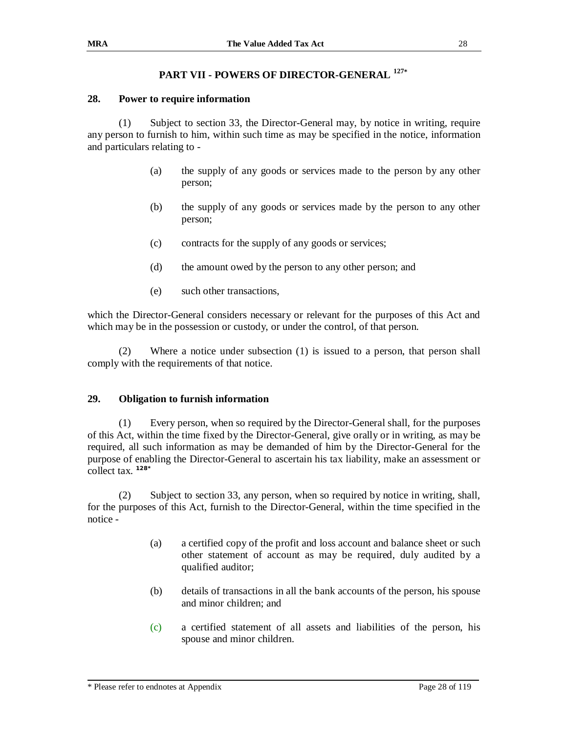## **PART VII - POWERS OF DIRECTOR-GENERAL <sup>127</sup>\***

#### **28. Power to require information**

(1) Subject to section 33, the Director-General may, by notice in writing, require any person to furnish to him, within such time as may be specified in the notice, information and particulars relating to -

- (a) the supply of any goods or services made to the person by any other person;
- (b) the supply of any goods or services made by the person to any other person;
- (c) contracts for the supply of any goods or services;
- (d) the amount owed by the person to any other person; and
- (e) such other transactions,

which the Director-General considers necessary or relevant for the purposes of this Act and which may be in the possession or custody, or under the control, of that person.

(2) Where a notice under subsection (1) is issued to a person, that person shall comply with the requirements of that notice.

#### **29. Obligation to furnish information**

(1) Every person, when so required by the Director-General shall, for the purposes of this Act, within the time fixed by the Director-General, give orally or in writing, as may be required, all such information as may be demanded of him by the Director-General for the purpose of enabling the Director-General to ascertain his tax liability, make an assessment or collect tax. **128\***

(2) Subject to section 33, any person, when so required by notice in writing, shall, for the purposes of this Act, furnish to the Director-General, within the time specified in the notice -

- (a) a certified copy of the profit and loss account and balance sheet or such other statement of account as may be required, duly audited by a qualified auditor;
- (b) details of transactions in all the bank accounts of the person, his spouse and minor children; and
- (c) a certified statement of all assets and liabilities of the person, his spouse and minor children.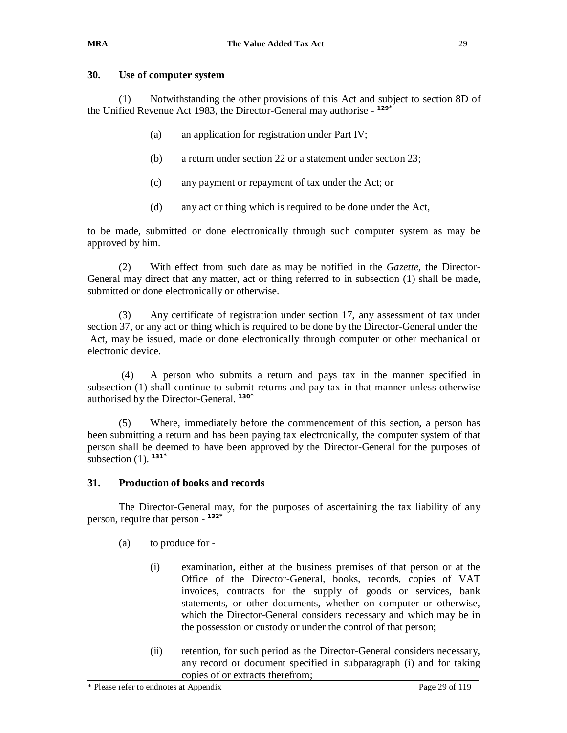#### **30. Use of computer system**

(1) Notwithstanding the other provisions of this Act and subject to section 8D of the Unified Revenue Act 1983, the Director-General may authorise - **129\***

- (a) an application for registration under Part IV;
- (b) a return under section 22 or a statement under section 23;
- (c) any payment or repayment of tax under the Act; or
- (d) any act or thing which is required to be done under the Act,

to be made, submitted or done electronically through such computer system as may be approved by him.

(2) With effect from such date as may be notified in the *Gazette*, the Director-General may direct that any matter, act or thing referred to in subsection (1) shall be made, submitted or done electronically or otherwise.

(3) Any certificate of registration under section 17, any assessment of tax under section 37, or any act or thing which is required to be done by the Director-General under the Act, may be issued, made or done electronically through computer or other mechanical or electronic device.

 (4) A person who submits a return and pays tax in the manner specified in subsection (1) shall continue to submit returns and pay tax in that manner unless otherwise authorised by the Director-General. **130\***

 (5) Where, immediately before the commencement of this section, a person has been submitting a return and has been paying tax electronically, the computer system of that person shall be deemed to have been approved by the Director-General for the purposes of subsection (1). **131\***

## **31. Production of books and records**

The Director-General may, for the purposes of ascertaining the tax liability of any person, require that person - **132\***

- (a) to produce for
	- (i) examination, either at the business premises of that person or at the Office of the Director-General, books, records, copies of VAT invoices, contracts for the supply of goods or services, bank statements, or other documents, whether on computer or otherwise, which the Director-General considers necessary and which may be in the possession or custody or under the control of that person;
	- (ii) retention, for such period as the Director-General considers necessary, any record or document specified in subparagraph (i) and for taking copies of or extracts therefrom;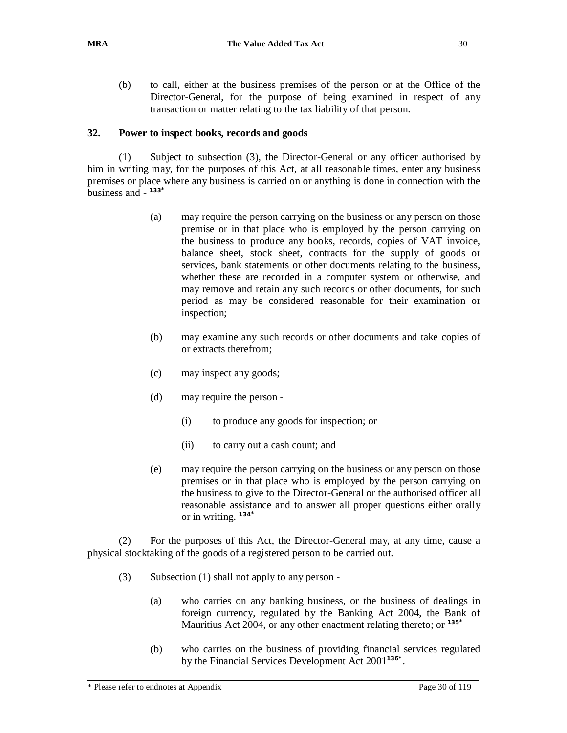(b) to call, either at the business premises of the person or at the Office of the Director-General, for the purpose of being examined in respect of any transaction or matter relating to the tax liability of that person.

## **32. Power to inspect books, records and goods**

(1) Subject to subsection (3), the Director-General or any officer authorised by him in writing may, for the purposes of this Act, at all reasonable times, enter any business premises or place where any business is carried on or anything is done in connection with the business and - **133\***

- (a) may require the person carrying on the business or any person on those premise or in that place who is employed by the person carrying on the business to produce any books, records, copies of VAT invoice, balance sheet, stock sheet, contracts for the supply of goods or services, bank statements or other documents relating to the business, whether these are recorded in a computer system or otherwise, and may remove and retain any such records or other documents, for such period as may be considered reasonable for their examination or inspection;
- (b) may examine any such records or other documents and take copies of or extracts therefrom;
- (c) may inspect any goods;
- (d) may require the person
	- (i) to produce any goods for inspection; or
	- (ii) to carry out a cash count; and
- (e) may require the person carrying on the business or any person on those premises or in that place who is employed by the person carrying on the business to give to the Director-General or the authorised officer all reasonable assistance and to answer all proper questions either orally or in writing. **134\***

(2) For the purposes of this Act, the Director-General may, at any time, cause a physical stocktaking of the goods of a registered person to be carried out.

- (3) Subsection (1) shall not apply to any person
	- (a) who carries on any banking business, or the business of dealings in foreign currency, regulated by the Banking Act 2004, the Bank of Mauritius Act 2004, or any other enactment relating thereto; or **<sup>135</sup>\***
	- (b) who carries on the business of providing financial services regulated by the Financial Services Development Act 2001**136\*** .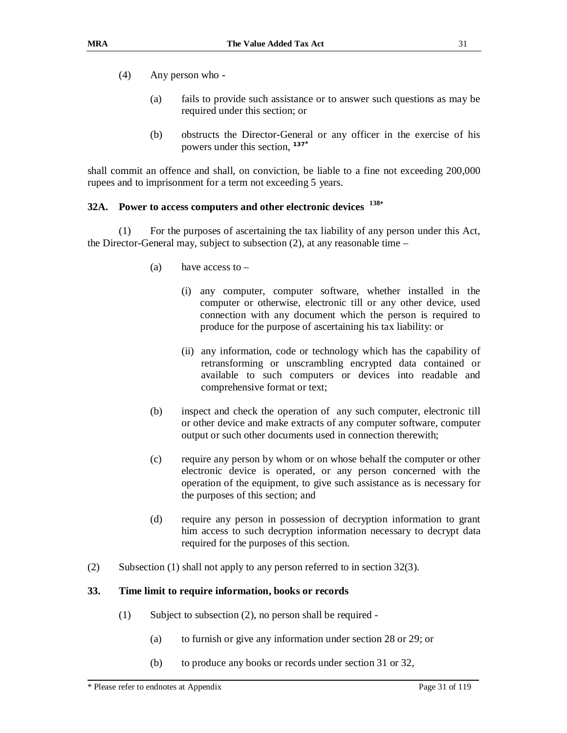- (4) Any person who
	- (a) fails to provide such assistance or to answer such questions as may be required under this section; or
	- (b) obstructs the Director-General or any officer in the exercise of his powers under this section, **137\***

shall commit an offence and shall, on conviction, be liable to a fine not exceeding 200,000 rupees and to imprisonment for a term not exceeding 5 years.

## **32A. Power to access computers and other electronic devices 138\***

(1) For the purposes of ascertaining the tax liability of any person under this Act, the Director-General may, subject to subsection (2), at any reasonable time –

- (a) have access to  $-$ 
	- (i) any computer, computer software, whether installed in the computer or otherwise, electronic till or any other device, used connection with any document which the person is required to produce for the purpose of ascertaining his tax liability: or
	- (ii) any information, code or technology which has the capability of retransforming or unscrambling encrypted data contained or available to such computers or devices into readable and comprehensive format or text;
- (b) inspect and check the operation of any such computer, electronic till or other device and make extracts of any computer software, computer output or such other documents used in connection therewith;
- (c) require any person by whom or on whose behalf the computer or other electronic device is operated, or any person concerned with the operation of the equipment, to give such assistance as is necessary for the purposes of this section; and
- (d) require any person in possession of decryption information to grant him access to such decryption information necessary to decrypt data required for the purposes of this section.
- (2) Subsection (1) shall not apply to any person referred to in section 32(3).

#### **33. Time limit to require information, books or records**

- (1) Subject to subsection (2), no person shall be required
	- (a) to furnish or give any information under section 28 or 29; or
	- (b) to produce any books or records under section 31 or 32,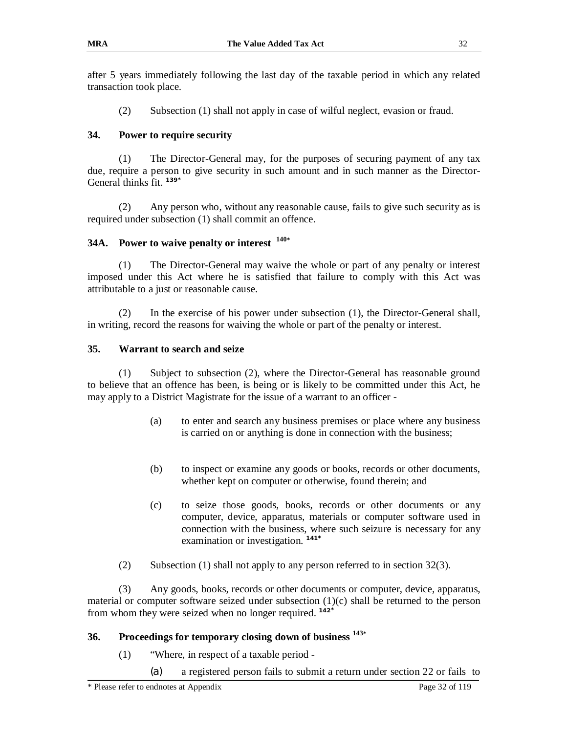after 5 years immediately following the last day of the taxable period in which any related transaction took place.

(2) Subsection (1) shall not apply in case of wilful neglect, evasion or fraud.

## **34. Power to require security**

(1) The Director-General may, for the purposes of securing payment of any tax due, require a person to give security in such amount and in such manner as the Director-General thinks fit. **139\***

(2) Any person who, without any reasonable cause, fails to give such security as is required under subsection (1) shall commit an offence.

## **34A. Power to waive penalty or interest 140\***

(1) The Director-General may waive the whole or part of any penalty or interest imposed under this Act where he is satisfied that failure to comply with this Act was attributable to a just or reasonable cause.

(2) In the exercise of his power under subsection (1), the Director-General shall, in writing, record the reasons for waiving the whole or part of the penalty or interest.

#### **35. Warrant to search and seize**

(1) Subject to subsection (2), where the Director-General has reasonable ground to believe that an offence has been, is being or is likely to be committed under this Act, he may apply to a District Magistrate for the issue of a warrant to an officer -

- (a) to enter and search any business premises or place where any business is carried on or anything is done in connection with the business;
- (b) to inspect or examine any goods or books, records or other documents, whether kept on computer or otherwise, found therein; and
- (c) to seize those goods, books, records or other documents or any computer, device, apparatus, materials or computer software used in connection with the business, where such seizure is necessary for any examination or investigation. **141\***
- (2) Subsection (1) shall not apply to any person referred to in section 32(3).

(3) Any goods, books, records or other documents or computer, device, apparatus, material or computer software seized under subsection  $(1)(c)$  shall be returned to the person from whom they were seized when no longer required. **142\***

## **36. Proceedings for temporary closing down of business <sup>143</sup>\***

- (1) "Where, in respect of a taxable period
	- (a) a registered person fails to submit a return under section 22 or fails to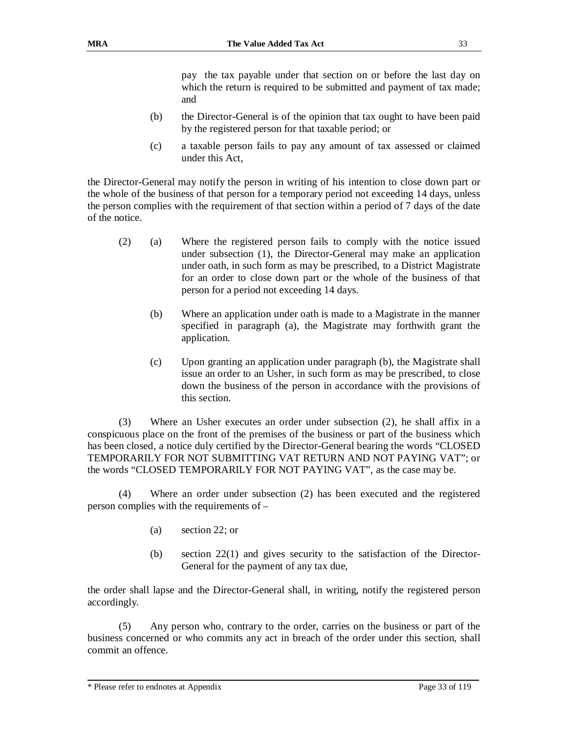pay the tax payable under that section on or before the last day on which the return is required to be submitted and payment of tax made; and

- (b) the Director-General is of the opinion that tax ought to have been paid by the registered person for that taxable period; or
- (c) a taxable person fails to pay any amount of tax assessed or claimed under this Act,

the Director-General may notify the person in writing of his intention to close down part or the whole of the business of that person for a temporary period not exceeding 14 days, unless the person complies with the requirement of that section within a period of 7 days of the date of the notice.

- (2) (a) Where the registered person fails to comply with the notice issued under subsection (1), the Director-General may make an application under oath, in such form as may be prescribed, to a District Magistrate for an order to close down part or the whole of the business of that person for a period not exceeding 14 days.
	- (b) Where an application under oath is made to a Magistrate in the manner specified in paragraph (a), the Magistrate may forthwith grant the application.
	- (c) Upon granting an application under paragraph (b), the Magistrate shall issue an order to an Usher, in such form as may be prescribed, to close down the business of the person in accordance with the provisions of this section.

(3) Where an Usher executes an order under subsection (2), he shall affix in a conspicuous place on the front of the premises of the business or part of the business which has been closed, a notice duly certified by the Director-General bearing the words "CLOSED TEMPORARILY FOR NOT SUBMITTING VAT RETURN AND NOT PAYING VAT"; or the words "CLOSED TEMPORARILY FOR NOT PAYING VAT", as the case may be.

(4) Where an order under subsection (2) has been executed and the registered person complies with the requirements of –

- (a) section 22; or
- (b) section 22(1) and gives security to the satisfaction of the Director-General for the payment of any tax due,

the order shall lapse and the Director-General shall, in writing, notify the registered person accordingly.

(5) Any person who, contrary to the order, carries on the business or part of the business concerned or who commits any act in breach of the order under this section, shall commit an offence.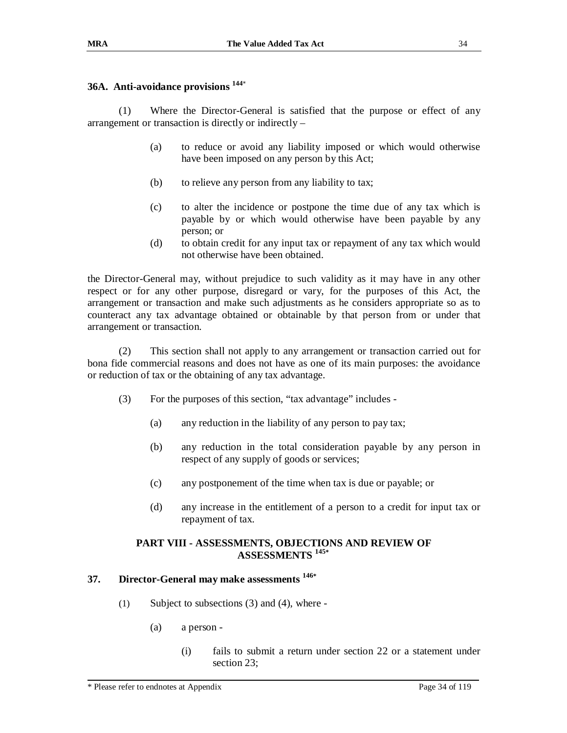#### **36A. Anti-avoidance provisions <sup>144</sup>**\*

(1) Where the Director-General is satisfied that the purpose or effect of any arrangement or transaction is directly or indirectly –

- (a) to reduce or avoid any liability imposed or which would otherwise have been imposed on any person by this Act;
- (b) to relieve any person from any liability to tax;
- (c) to alter the incidence or postpone the time due of any tax which is payable by or which would otherwise have been payable by any person; or
- (d) to obtain credit for any input tax or repayment of any tax which would not otherwise have been obtained.

the Director-General may, without prejudice to such validity as it may have in any other respect or for any other purpose, disregard or vary, for the purposes of this Act, the arrangement or transaction and make such adjustments as he considers appropriate so as to counteract any tax advantage obtained or obtainable by that person from or under that arrangement or transaction.

(2) This section shall not apply to any arrangement or transaction carried out for bona fide commercial reasons and does not have as one of its main purposes: the avoidance or reduction of tax or the obtaining of any tax advantage.

- (3) For the purposes of this section, "tax advantage" includes
	- (a) any reduction in the liability of any person to pay tax;
	- (b) any reduction in the total consideration payable by any person in respect of any supply of goods or services;
	- (c) any postponement of the time when tax is due or payable; or
	- (d) any increase in the entitlement of a person to a credit for input tax or repayment of tax.

#### **PART VIII - ASSESSMENTS, OBJECTIONS AND REVIEW OF ASSESSMENTS <sup>145</sup>\***

#### **37. Director-General may make assessments <sup>146</sup>\***

- (1) Subject to subsections (3) and (4), where
	- (a) a person
		- (i) fails to submit a return under section 22 or a statement under section 23;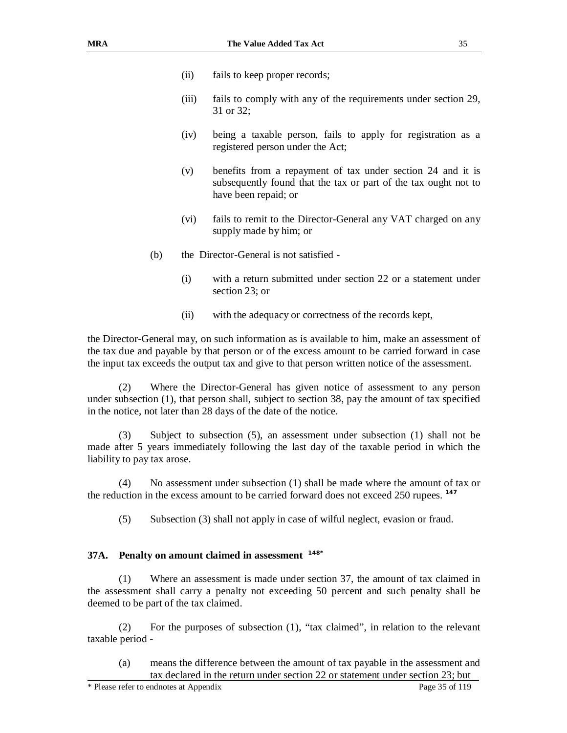- (ii) fails to keep proper records;
- (iii) fails to comply with any of the requirements under section 29, 31 or 32;
- (iv) being a taxable person, fails to apply for registration as a registered person under the Act;
- (v) benefits from a repayment of tax under section 24 and it is subsequently found that the tax or part of the tax ought not to have been repaid; or
- (vi) fails to remit to the Director-General any VAT charged on any supply made by him; or
- (b) the Director-General is not satisfied
	- (i) with a return submitted under section 22 or a statement under section 23; or
	- (ii) with the adequacy or correctness of the records kept,

the Director-General may, on such information as is available to him, make an assessment of the tax due and payable by that person or of the excess amount to be carried forward in case the input tax exceeds the output tax and give to that person written notice of the assessment.

(2) Where the Director-General has given notice of assessment to any person under subsection (1), that person shall, subject to section 38, pay the amount of tax specified in the notice, not later than 28 days of the date of the notice.

(3) Subject to subsection (5), an assessment under subsection (1) shall not be made after 5 years immediately following the last day of the taxable period in which the liability to pay tax arose.

(4) No assessment under subsection (1) shall be made where the amount of tax or the reduction in the excess amount to be carried forward does not exceed 250 rupees. **147** 

(5) Subsection (3) shall not apply in case of wilful neglect, evasion or fraud.

#### **37A. Penalty on amount claimed in assessment 148\***

(1) Where an assessment is made under section 37, the amount of tax claimed in the assessment shall carry a penalty not exceeding 50 percent and such penalty shall be deemed to be part of the tax claimed.

(2) For the purposes of subsection (1), "tax claimed", in relation to the relevant taxable period -

(a) means the difference between the amount of tax payable in the assessment and tax declared in the return under section 22 or statement under section 23; but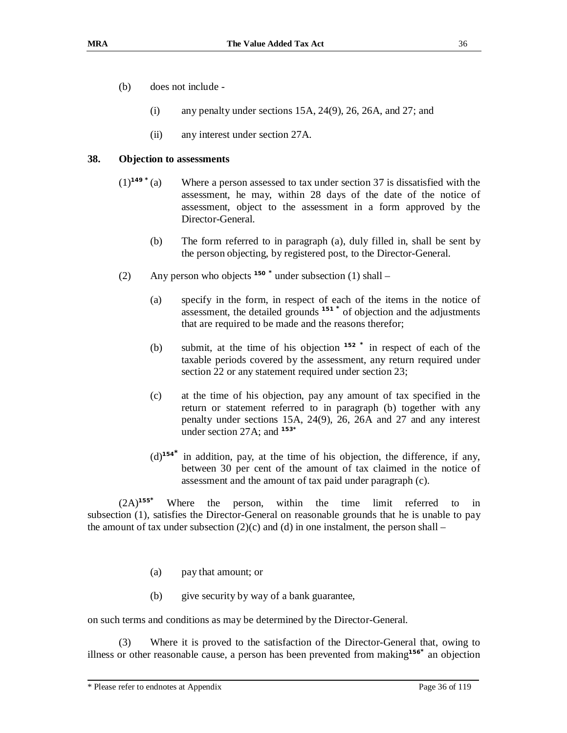- (b) does not include
	- (i) any penalty under sections 15A, 24(9), 26, 26A, and 27; and
	- (ii) any interest under section 27A.

#### **38. Objection to assessments**

- (1)**<sup>149</sup> \*** (a) Where a person assessed to tax under section 37 is dissatisfied with the assessment, he may, within 28 days of the date of the notice of assessment, object to the assessment in a form approved by the Director-General.
	- (b) The form referred to in paragraph (a), duly filled in, shall be sent by the person objecting, by registered post, to the Director-General.
- (2) Any person who objects **<sup>150</sup> \*** under subsection (1) shall
	- (a) specify in the form, in respect of each of the items in the notice of assessment, the detailed grounds **<sup>151</sup> \*** of objection and the adjustments that are required to be made and the reasons therefor;
	- (b) submit, at the time of his objection **<sup>152</sup> \*** in respect of each of the taxable periods covered by the assessment, any return required under section 22 or any statement required under section 23;
	- (c) at the time of his objection, pay any amount of tax specified in the return or statement referred to in paragraph (b) together with any penalty under sections 15A, 24(9), 26, 26A and 27 and any interest under section 27A; and **153\***
	- (d)**<sup>154</sup>\*** in addition, pay, at the time of his objection, the difference, if any, between 30 per cent of the amount of tax claimed in the notice of assessment and the amount of tax paid under paragraph (c).

(2A)**<sup>155</sup>\*** Where the person, within the time limit referred to in subsection (1), satisfies the Director-General on reasonable grounds that he is unable to pay the amount of tax under subsection  $(2)(c)$  and  $(d)$  in one instalment, the person shall –

- (a) pay that amount; or
- (b) give security by way of a bank guarantee,

on such terms and conditions as may be determined by the Director-General.

(3) Where it is proved to the satisfaction of the Director-General that, owing to illness or other reasonable cause, a person has been prevented from making**<sup>156</sup>\*** an objection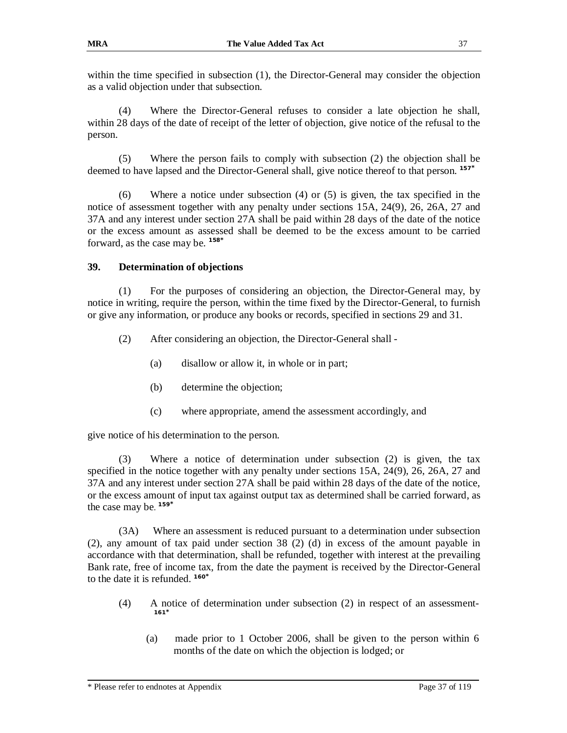within the time specified in subsection (1), the Director-General may consider the objection as a valid objection under that subsection.

(4) Where the Director-General refuses to consider a late objection he shall, within 28 days of the date of receipt of the letter of objection, give notice of the refusal to the person.

(5) Where the person fails to comply with subsection (2) the objection shall be deemed to have lapsed and the Director-General shall, give notice thereof to that person. **157\***

(6) Where a notice under subsection (4) or (5) is given, the tax specified in the notice of assessment together with any penalty under sections 15A, 24(9), 26, 26A, 27 and 37A and any interest under section 27A shall be paid within 28 days of the date of the notice or the excess amount as assessed shall be deemed to be the excess amount to be carried forward, as the case may be. **158\***

### **39. Determination of objections**

(1) For the purposes of considering an objection, the Director-General may, by notice in writing, require the person, within the time fixed by the Director-General, to furnish or give any information, or produce any books or records, specified in sections 29 and 31.

- (2) After considering an objection, the Director-General shall
	- (a) disallow or allow it, in whole or in part;
	- (b) determine the objection;
	- (c) where appropriate, amend the assessment accordingly, and

give notice of his determination to the person.

(3) Where a notice of determination under subsection (2) is given, the tax specified in the notice together with any penalty under sections 15A, 24(9), 26, 26A, 27 and 37A and any interest under section 27A shall be paid within 28 days of the date of the notice, or the excess amount of input tax against output tax as determined shall be carried forward, as the case may be. **159\***

(3A) Where an assessment is reduced pursuant to a determination under subsection (2), any amount of tax paid under section 38 (2) (d) in excess of the amount payable in accordance with that determination, shall be refunded, together with interest at the prevailing Bank rate, free of income tax, from the date the payment is received by the Director-General to the date it is refunded. **160\***

- (4) A notice of determination under subsection (2) in respect of an assessment-**161\***
	- (a) made prior to 1 October 2006, shall be given to the person within 6 months of the date on which the objection is lodged; or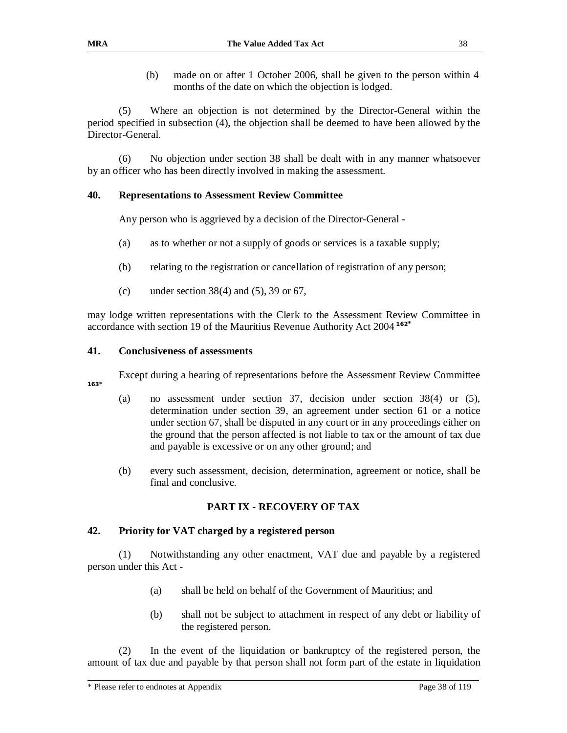(b) made on or after 1 October 2006, shall be given to the person within 4 months of the date on which the objection is lodged.

(5) Where an objection is not determined by the Director-General within the period specified in subsection (4), the objection shall be deemed to have been allowed by the Director-General.

(6) No objection under section 38 shall be dealt with in any manner whatsoever by an officer who has been directly involved in making the assessment.

### **40. Representations to Assessment Review Committee**

Any person who is aggrieved by a decision of the Director-General -

- (a) as to whether or not a supply of goods or services is a taxable supply;
- (b) relating to the registration or cancellation of registration of any person;
- (c) under section  $38(4)$  and  $(5)$ , 39 or 67,

may lodge written representations with the Clerk to the Assessment Review Committee in accordance with section 19 of the Mauritius Revenue Authority Act 2004 **<sup>162</sup>\***

### **41. Conclusiveness of assessments**

Except during a hearing of representations before the Assessment Review Committee

**163\***

- (a) no assessment under section 37, decision under section 38(4) or (5), determination under section 39, an agreement under section 61 or a notice under section 67, shall be disputed in any court or in any proceedings either on the ground that the person affected is not liable to tax or the amount of tax due and payable is excessive or on any other ground; and
- (b) every such assessment, decision, determination, agreement or notice, shall be final and conclusive.

### **PART IX - RECOVERY OF TAX**

### **42. Priority for VAT charged by a registered person**

(1) Notwithstanding any other enactment, VAT due and payable by a registered person under this Act -

- (a) shall be held on behalf of the Government of Mauritius; and
- (b) shall not be subject to attachment in respect of any debt or liability of the registered person.

(2) In the event of the liquidation or bankruptcy of the registered person, the amount of tax due and payable by that person shall not form part of the estate in liquidation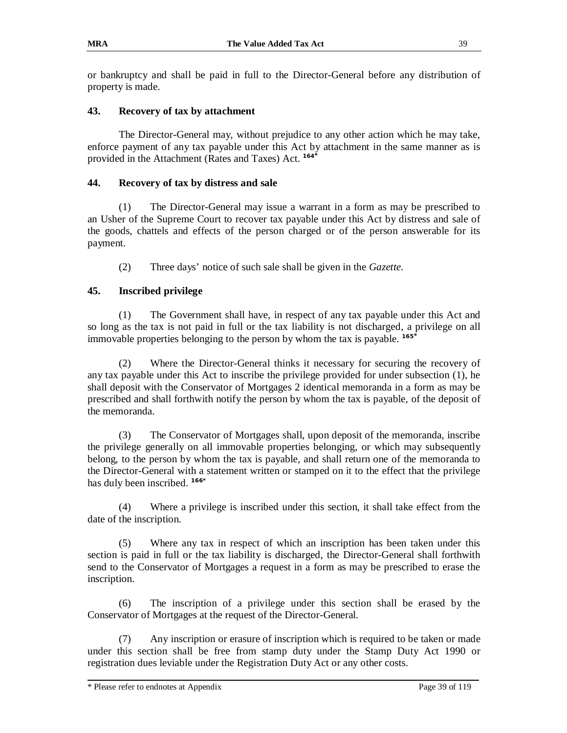or bankruptcy and shall be paid in full to the Director-General before any distribution of property is made.

### **43. Recovery of tax by attachment**

The Director-General may, without prejudice to any other action which he may take, enforce payment of any tax payable under this Act by attachment in the same manner as is provided in the Attachment (Rates and Taxes) Act. **164\***

### **44. Recovery of tax by distress and sale**

(1) The Director-General may issue a warrant in a form as may be prescribed to an Usher of the Supreme Court to recover tax payable under this Act by distress and sale of the goods, chattels and effects of the person charged or of the person answerable for its payment.

(2) Three days' notice of such sale shall be given in the *Gazette*.

### **45. Inscribed privilege**

(1) The Government shall have, in respect of any tax payable under this Act and so long as the tax is not paid in full or the tax liability is not discharged, a privilege on all immovable properties belonging to the person by whom the tax is payable. **165\***

(2) Where the Director-General thinks it necessary for securing the recovery of any tax payable under this Act to inscribe the privilege provided for under subsection (1), he shall deposit with the Conservator of Mortgages 2 identical memoranda in a form as may be prescribed and shall forthwith notify the person by whom the tax is payable, of the deposit of the memoranda.

(3) The Conservator of Mortgages shall, upon deposit of the memoranda, inscribe the privilege generally on all immovable properties belonging, or which may subsequently belong, to the person by whom the tax is payable, and shall return one of the memoranda to the Director-General with a statement written or stamped on it to the effect that the privilege has duly been inscribed. **166\***

(4) Where a privilege is inscribed under this section, it shall take effect from the date of the inscription.

(5) Where any tax in respect of which an inscription has been taken under this section is paid in full or the tax liability is discharged, the Director-General shall forthwith send to the Conservator of Mortgages a request in a form as may be prescribed to erase the inscription.

(6) The inscription of a privilege under this section shall be erased by the Conservator of Mortgages at the request of the Director-General.

(7) Any inscription or erasure of inscription which is required to be taken or made under this section shall be free from stamp duty under the Stamp Duty Act 1990 or registration dues leviable under the Registration Duty Act or any other costs.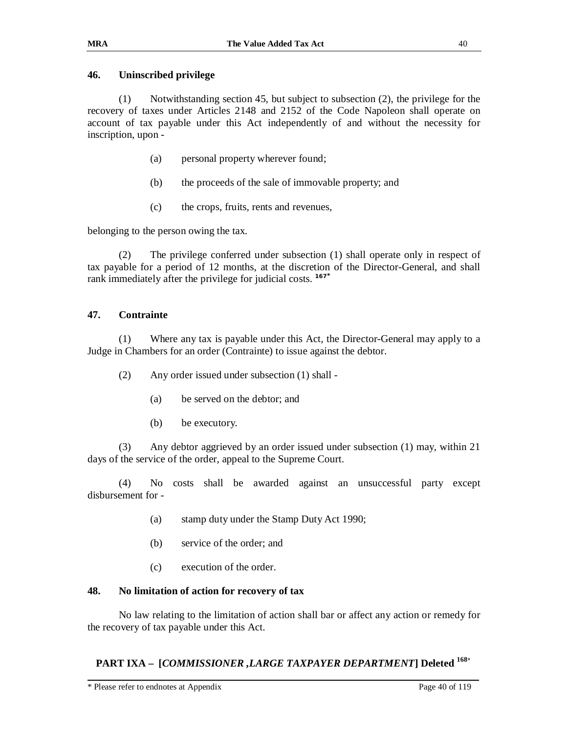#### **46. Uninscribed privilege**

(1) Notwithstanding section 45, but subject to subsection (2), the privilege for the recovery of taxes under Articles 2148 and 2152 of the Code Napoleon shall operate on account of tax payable under this Act independently of and without the necessity for inscription, upon -

- (a) personal property wherever found;
- (b) the proceeds of the sale of immovable property; and
- (c) the crops, fruits, rents and revenues,

belonging to the person owing the tax.

(2) The privilege conferred under subsection (1) shall operate only in respect of tax payable for a period of 12 months, at the discretion of the Director-General, and shall rank immediately after the privilege for judicial costs. **167\***

### **47. Contrainte**

(1) Where any tax is payable under this Act, the Director-General may apply to a Judge in Chambers for an order (Contrainte) to issue against the debtor.

- (2) Any order issued under subsection (1) shall
	- (a) be served on the debtor; and
	- (b) be executory.

(3) Any debtor aggrieved by an order issued under subsection (1) may, within 21 days of the service of the order, appeal to the Supreme Court.

(4) No costs shall be awarded against an unsuccessful party except disbursement for -

- (a) stamp duty under the Stamp Duty Act 1990;
- (b) service of the order; and
- (c) execution of the order.

#### **48. No limitation of action for recovery of tax**

No law relating to the limitation of action shall bar or affect any action or remedy for the recovery of tax payable under this Act.

### **PART IXA – [***COMMISSIONER ,LARGE TAXPAYER DEPARTMENT***] Deleted <sup>168</sup>**\*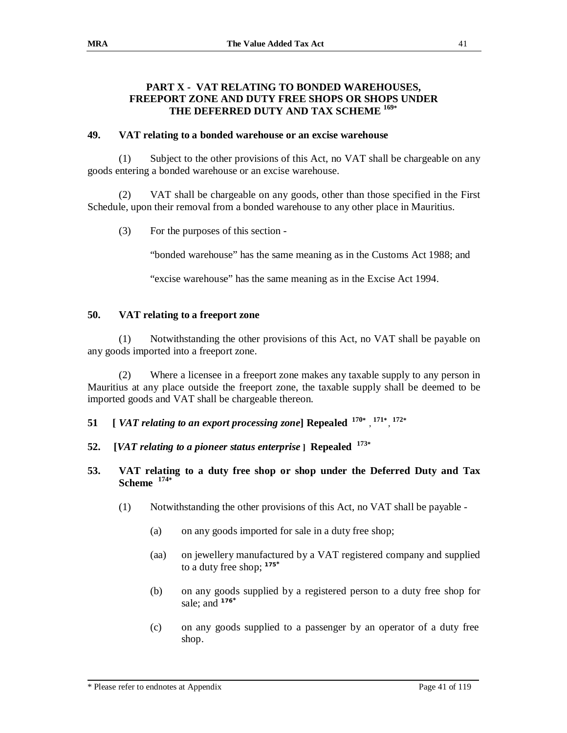### **PART X - VAT RELATING TO BONDED WAREHOUSES, FREEPORT ZONE AND DUTY FREE SHOPS OR SHOPS UNDER THE DEFERRED DUTY AND TAX SCHEME <sup>169</sup>\***

### **49. VAT relating to a bonded warehouse or an excise warehouse**

(1) Subject to the other provisions of this Act, no VAT shall be chargeable on any goods entering a bonded warehouse or an excise warehouse.

(2) VAT shall be chargeable on any goods, other than those specified in the First Schedule, upon their removal from a bonded warehouse to any other place in Mauritius.

(3) For the purposes of this section -

"bonded warehouse" has the same meaning as in the Customs Act 1988; and

"excise warehouse" has the same meaning as in the Excise Act 1994.

### **50. VAT relating to a freeport zone**

(1) Notwithstanding the other provisions of this Act, no VAT shall be payable on any goods imported into a freeport zone.

(2) Where a licensee in a freeport zone makes any taxable supply to any person in Mauritius at any place outside the freeport zone, the taxable supply shall be deemed to be imported goods and VAT shall be chargeable thereon.

**51** *[ VAT relating to an export processing zone***] Repealed**  $170*$ **,**  $171*$ **,**  $172*$ 

- **52. [***VAT relating to a pioneer status enterprise* **] Repealed 173\***
- **53. VAT relating to a duty free shop or shop under the Deferred Duty and Tax Scheme 174\***
	- (1) Notwithstanding the other provisions of this Act, no VAT shall be payable
		- (a) on any goods imported for sale in a duty free shop;
		- (aa) on jewellery manufactured by a VAT registered company and supplied to a duty free shop; **<sup>175</sup>\***
		- (b) on any goods supplied by a registered person to a duty free shop for sale; and **<sup>176</sup>\***
		- (c) on any goods supplied to a passenger by an operator of a duty free shop.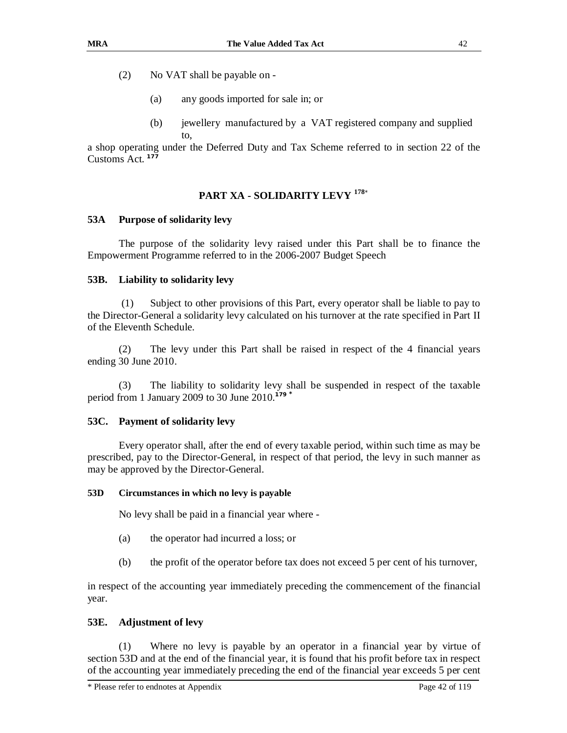- (2) No VAT shall be payable on
	- (a) any goods imported for sale in; or
	- (b) jewellery manufactured by a VAT registered company and supplied to,

a shop operating under the Deferred Duty and Tax Scheme referred to in section 22 of the Customs Act. **177** 

### **PART XA - SOLIDARITY LEVY <sup>178</sup>**\*

### **53A Purpose of solidarity levy**

The purpose of the solidarity levy raised under this Part shall be to finance the Empowerment Programme referred to in the 2006-2007 Budget Speech

### **53B. Liability to solidarity levy**

(1) Subject to other provisions of this Part, every operator shall be liable to pay to the Director-General a solidarity levy calculated on his turnover at the rate specified in Part II of the Eleventh Schedule.

(2) The levy under this Part shall be raised in respect of the 4 financial years ending 30 June 2010.

(3) The liability to solidarity levy shall be suspended in respect of the taxable period from 1 January 2009 to 30 June 2010.**<sup>179</sup>\***

### **53C. Payment of solidarity levy**

Every operator shall, after the end of every taxable period, within such time as may be prescribed, pay to the Director-General, in respect of that period, the levy in such manner as may be approved by the Director-General.

#### **53D Circumstances in which no levy is payable**

No levy shall be paid in a financial year where -

- (a) the operator had incurred a loss; or
- (b) the profit of the operator before tax does not exceed 5 per cent of his turnover,

in respect of the accounting year immediately preceding the commencement of the financial year.

### **53E. Adjustment of levy**

(1) Where no levy is payable by an operator in a financial year by virtue of section 53D and at the end of the financial year, it is found that his profit before tax in respect of the accounting year immediately preceding the end of the financial year exceeds 5 per cent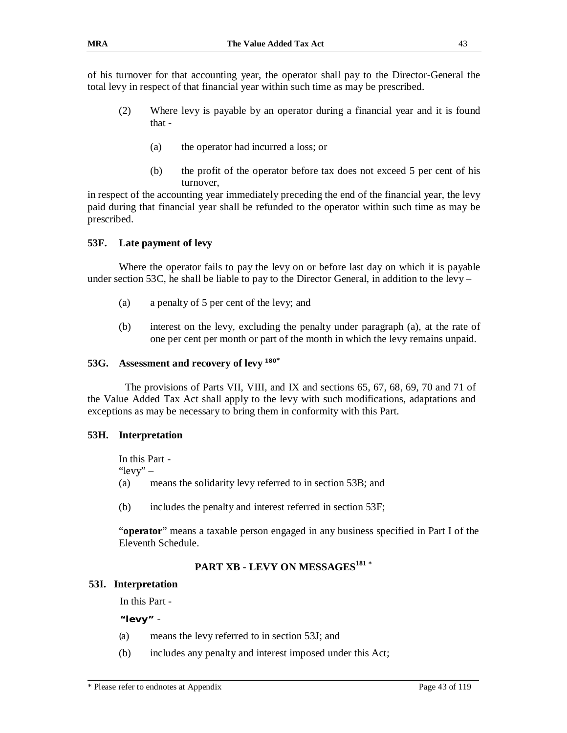of his turnover for that accounting year, the operator shall pay to the Director-General the total levy in respect of that financial year within such time as may be prescribed.

- (2) Where levy is payable by an operator during a financial year and it is found that -
	- (a) the operator had incurred a loss; or
	- (b) the profit of the operator before tax does not exceed 5 per cent of his turnover,

in respect of the accounting year immediately preceding the end of the financial year, the levy paid during that financial year shall be refunded to the operator within such time as may be prescribed.

#### **53F. Late payment of levy**

Where the operator fails to pay the levy on or before last day on which it is payable under section 53C, he shall be liable to pay to the Director General, in addition to the levy –

- (a) a penalty of 5 per cent of the levy; and
- (b) interest on the levy, excluding the penalty under paragraph (a), at the rate of one per cent per month or part of the month in which the levy remains unpaid.

#### **53G. Assessment and recovery of levy <sup>180</sup>\***

The provisions of Parts VII, VIII, and IX and sections 65, 67, 68, 69, 70 and 71 of the Value Added Tax Act shall apply to the levy with such modifications, adaptations and exceptions as may be necessary to bring them in conformity with this Part.

#### **53H. Interpretation**

In this Part - "levy" – (a) means the solidarity levy referred to in section 53B; and

(b) includes the penalty and interest referred in section 53F;

"**operator**" means a taxable person engaged in any business specified in Part I of the Eleventh Schedule.

### **PART XB - LEVY ON MESSAGES<sup>181</sup> \***

#### **53I. Interpretation**

In this Part -

**"levy"** -

- (a) means the levy referred to in section 53J; and
- (b) includes any penalty and interest imposed under this Act;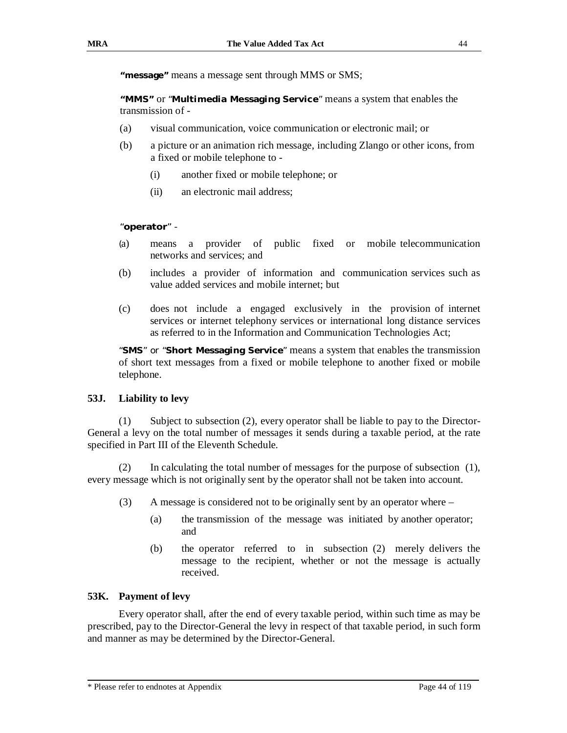**"message"** means a message sent through MMS or SMS;

**"MMS"** or "**Multimedia Messaging Service**" means a system that enables the transmission of -

- (a) visual communication, voice communication or electronic mail; or
- (b) a picture or an animation rich message, including Zlango or other icons, from a fixed or mobile telephone to -
	- (i) another fixed or mobile telephone; or
	- (ii) an electronic mail address;

#### "**operator**" -

- (a) means a provider of public fixed or mobile telecommunication networks and services; and
- (b) includes a provider of information and communication services such as value added services and mobile internet; but
- (c) does not include a engaged exclusively in the provision of internet services or internet telephony services or international long distance services as referred to in the Information and Communication Technologies Act;

"**SMS**" or "**Short Messaging Service**" means a system that enables the transmission of short text messages from a fixed or mobile telephone to another fixed or mobile telephone.

#### **53J. Liability to levy**

(1) Subject to subsection (2), every operator shall be liable to pay to the Director-General a levy on the total number of messages it sends during a taxable period, at the rate specified in Part III of the Eleventh Schedule.

(2) In calculating the total number of messages for the purpose of subsection (1), every message which is not originally sent by the operator shall not be taken into account.

- (3) A message is considered not to be originally sent by an operator where
	- (a) the transmission of the message was initiated by another operator; and
	- (b) the operator referred to in subsection (2) merely delivers the message to the recipient, whether or not the message is actually received.

#### **53K. Payment of levy**

Every operator shall, after the end of every taxable period, within such time as may be prescribed, pay to the Director-General the levy in respect of that taxable period, in such form and manner as may be determined by the Director-General.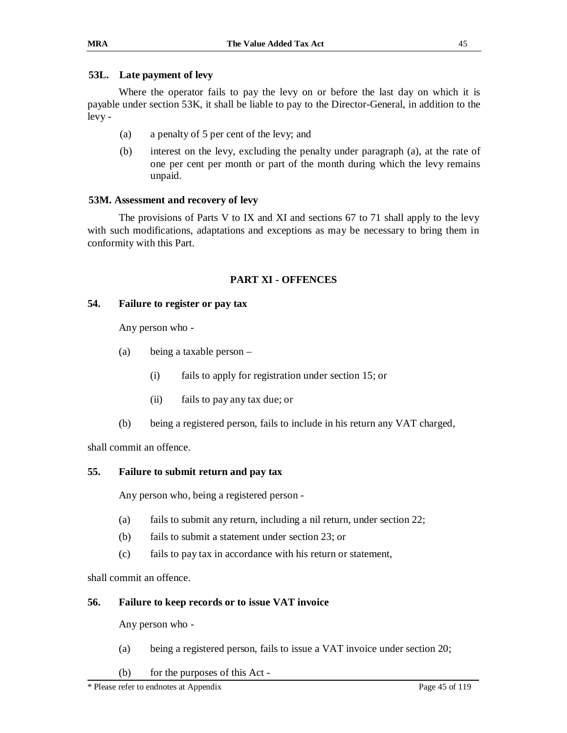#### **53L. Late payment of levy**

Where the operator fails to pay the levy on or before the last day on which it is payable under section 53K, it shall be liable to pay to the Director-General, in addition to the levy -

- (a) a penalty of 5 per cent of the levy; and
- (b) interest on the levy, excluding the penalty under paragraph (a), at the rate of one per cent per month or part of the month during which the levy remains unpaid.

#### **53M. Assessment and recovery of levy**

The provisions of Parts V to IX and XI and sections 67 to 71 shall apply to the levy with such modifications, adaptations and exceptions as may be necessary to bring them in conformity with this Part.

### **PART XI - OFFENCES**

#### **54. Failure to register or pay tax**

Any person who -

- (a) being a taxable person
	- (i) fails to apply for registration under section 15; or
	- (ii) fails to pay any tax due; or
- (b) being a registered person, fails to include in his return any VAT charged,

shall commit an offence.

### **55. Failure to submit return and pay tax**

Any person who, being a registered person -

- (a) fails to submit any return, including a nil return, under section 22;
- (b) fails to submit a statement under section 23; or
- (c) fails to pay tax in accordance with his return or statement,

shall commit an offence.

#### **56. Failure to keep records or to issue VAT invoice**

Any person who -

- (a) being a registered person, fails to issue a VAT invoice under section 20;
- (b) for the purposes of this Act -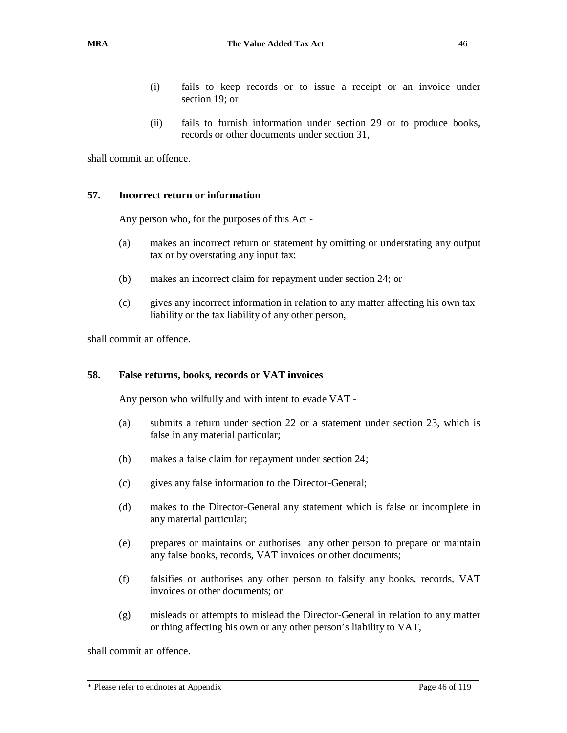- (i) fails to keep records or to issue a receipt or an invoice under section 19; or
- (ii) fails to furnish information under section 29 or to produce books, records or other documents under section 31,

shall commit an offence.

#### **57. Incorrect return or information**

Any person who, for the purposes of this Act -

- (a) makes an incorrect return or statement by omitting or understating any output tax or by overstating any input tax;
- (b) makes an incorrect claim for repayment under section 24; or
- (c) gives any incorrect information in relation to any matter affecting his own tax liability or the tax liability of any other person,

shall commit an offence.

#### **58. False returns, books, records or VAT invoices**

Any person who wilfully and with intent to evade VAT -

- (a) submits a return under section 22 or a statement under section 23, which is false in any material particular;
- (b) makes a false claim for repayment under section 24;
- (c) gives any false information to the Director-General;
- (d) makes to the Director-General any statement which is false or incomplete in any material particular;
- (e) prepares or maintains or authorises any other person to prepare or maintain any false books, records, VAT invoices or other documents;
- (f) falsifies or authorises any other person to falsify any books, records, VAT invoices or other documents; or
- (g) misleads or attempts to mislead the Director-General in relation to any matter or thing affecting his own or any other person's liability to VAT,

shall commit an offence.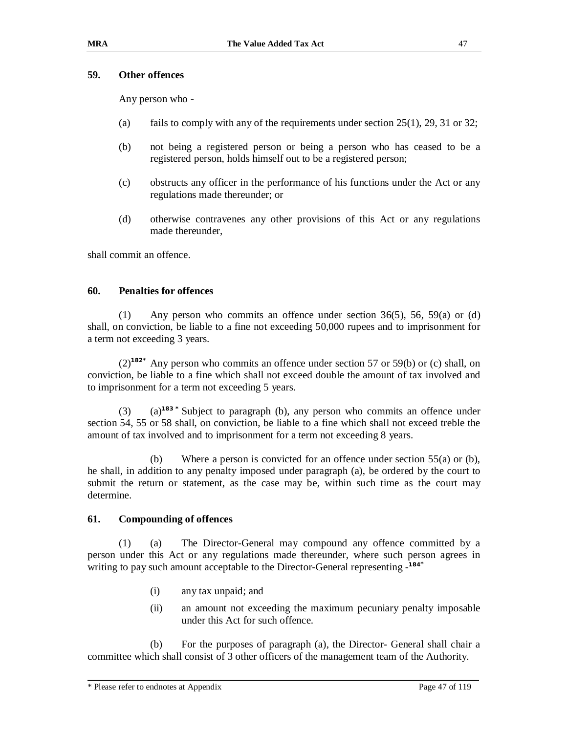#### **59. Other offences**

Any person who -

- (a) fails to comply with any of the requirements under section  $25(1)$ ,  $29$ ,  $31$  or  $32$ ;
- (b) not being a registered person or being a person who has ceased to be a registered person, holds himself out to be a registered person;
- (c) obstructs any officer in the performance of his functions under the Act or any regulations made thereunder; or
- (d) otherwise contravenes any other provisions of this Act or any regulations made thereunder,

shall commit an offence.

#### **60. Penalties for offences**

(1) Any person who commits an offence under section 36(5), 56, 59(a) or (d) shall, on conviction, be liable to a fine not exceeding 50,000 rupees and to imprisonment for a term not exceeding 3 years.

(2)**182\*** Any person who commits an offence under section 57 or 59(b) or (c) shall, on conviction, be liable to a fine which shall not exceed double the amount of tax involved and to imprisonment for a term not exceeding 5 years.

(3) (a)**183 \*** Subject to paragraph (b), any person who commits an offence under section 54, 55 or 58 shall, on conviction, be liable to a fine which shall not exceed treble the amount of tax involved and to imprisonment for a term not exceeding 8 years.

(b) Where a person is convicted for an offence under section 55(a) or (b), he shall, in addition to any penalty imposed under paragraph (a), be ordered by the court to submit the return or statement, as the case may be, within such time as the court may determine.

#### **61. Compounding of offences**

(1) (a) The Director-General may compound any offence committed by a person under this Act or any regulations made thereunder, where such person agrees in writing to pay such amount acceptable to the Director-General representing - **184\***

- (i) any tax unpaid; and
- (ii) an amount not exceeding the maximum pecuniary penalty imposable under this Act for such offence.

(b) For the purposes of paragraph (a), the Director- General shall chair a committee which shall consist of 3 other officers of the management team of the Authority.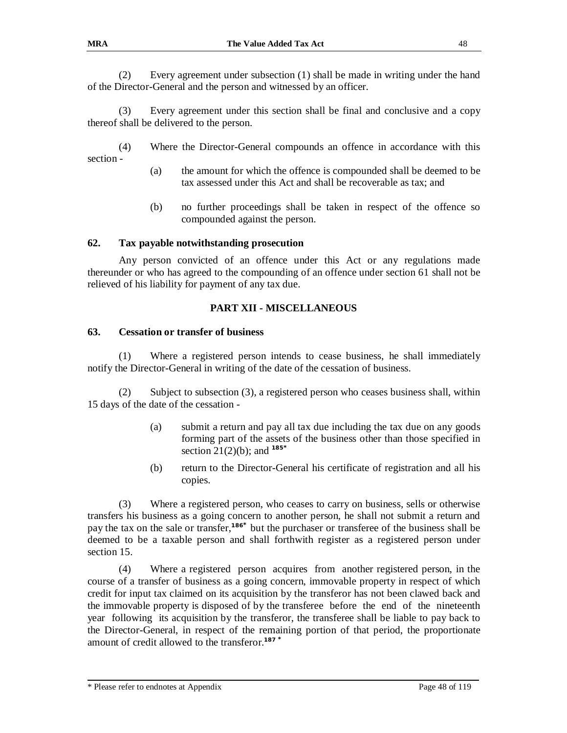(2) Every agreement under subsection (1) shall be made in writing under the hand of the Director-General and the person and witnessed by an officer.

(3) Every agreement under this section shall be final and conclusive and a copy thereof shall be delivered to the person.

(4) Where the Director-General compounds an offence in accordance with this section -

- (a) the amount for which the offence is compounded shall be deemed to be tax assessed under this Act and shall be recoverable as tax; and
- (b) no further proceedings shall be taken in respect of the offence so compounded against the person.

#### **62. Tax payable notwithstanding prosecution**

Any person convicted of an offence under this Act or any regulations made thereunder or who has agreed to the compounding of an offence under section 61 shall not be relieved of his liability for payment of any tax due.

#### **PART XII - MISCELLANEOUS**

#### **63. Cessation or transfer of business**

(1) Where a registered person intends to cease business, he shall immediately notify the Director-General in writing of the date of the cessation of business.

(2) Subject to subsection (3), a registered person who ceases business shall, within 15 days of the date of the cessation -

- (a) submit a return and pay all tax due including the tax due on any goods forming part of the assets of the business other than those specified in section 21(2)(b); and **<sup>185</sup>\***
- (b) return to the Director-General his certificate of registration and all his copies.

(3) Where a registered person, who ceases to carry on business, sells or otherwise transfers his business as a going concern to another person, he shall not submit a return and pay the tax on the sale or transfer,**<sup>186</sup>\*** but the purchaser or transferee of the business shall be deemed to be a taxable person and shall forthwith register as a registered person under section 15.

(4) Where a registered person acquires from another registered person, in the course of a transfer of business as a going concern, immovable property in respect of which credit for input tax claimed on its acquisition by the transferor has not been clawed back and the immovable property is disposed of by the transferee before the end of the nineteenth year following its acquisition by the transferor, the transferee shall be liable to pay back to the Director-General, in respect of the remaining portion of that period, the proportionate amount of credit allowed to the transferor.**<sup>187</sup> \***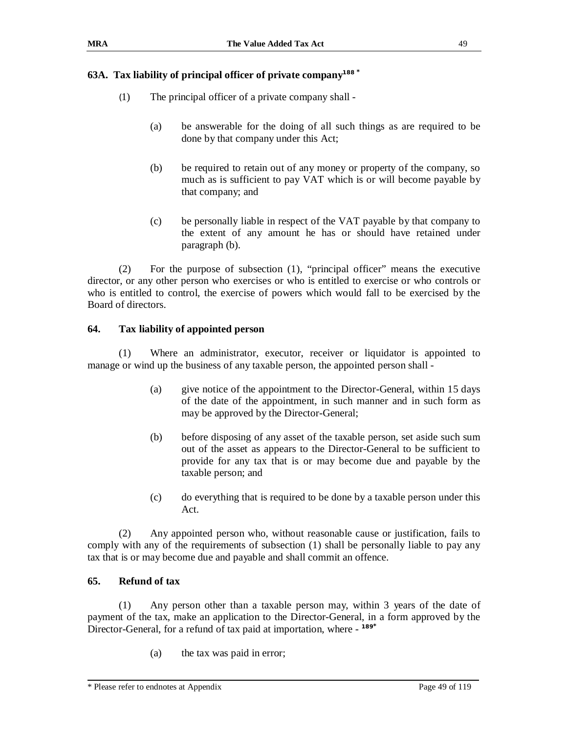### **63A. Tax liability of principal officer of private company***<sup>188</sup>* **\***

- (1) The principal officer of a private company shall
	- (a) be answerable for the doing of all such things as are required to be done by that company under this Act;
	- (b) be required to retain out of any money or property of the company, so much as is sufficient to pay VAT which is or will become payable by that company; and
	- (c) be personally liable in respect of the VAT payable by that company to the extent of any amount he has or should have retained under paragraph (b).

(2) For the purpose of subsection (1), "principal officer" means the executive director, or any other person who exercises or who is entitled to exercise or who controls or who is entitled to control, the exercise of powers which would fall to be exercised by the Board of directors.

### **64. Tax liability of appointed person**

(1) Where an administrator, executor, receiver or liquidator is appointed to manage or wind up the business of any taxable person, the appointed person shall -

- (a) give notice of the appointment to the Director-General, within 15 days of the date of the appointment, in such manner and in such form as may be approved by the Director-General;
- (b) before disposing of any asset of the taxable person, set aside such sum out of the asset as appears to the Director-General to be sufficient to provide for any tax that is or may become due and payable by the taxable person; and
- (c) do everything that is required to be done by a taxable person under this Act.

(2) Any appointed person who, without reasonable cause or justification, fails to comply with any of the requirements of subsection (1) shall be personally liable to pay any tax that is or may become due and payable and shall commit an offence.

### **65. Refund of tax**

(1) Any person other than a taxable person may, within 3 years of the date of payment of the tax, make an application to the Director-General, in a form approved by the Director-General, for a refund of tax paid at importation, where - **189\***

(a) the tax was paid in error;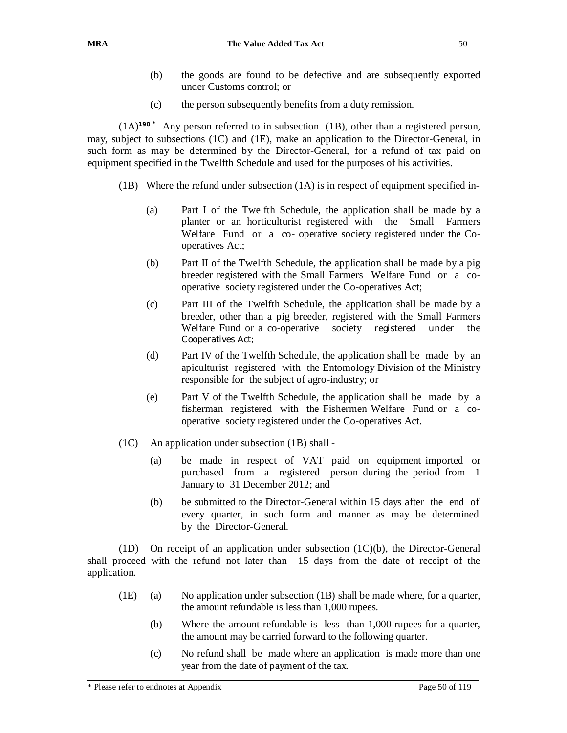- (b) the goods are found to be defective and are subsequently exported under Customs control; or
- (c) the person subsequently benefits from a duty remission.

(1A)**190 \*** Any person referred to in subsection (1B), other than a registered person, may, subject to subsections (1C) and (1E), make an application to the Director-General, in such form as may be determined by the Director-General, for a refund of tax paid on equipment specified in the Twelfth Schedule and used for the purposes of his activities.

- $(1B)$  Where the refund under subsection  $(1A)$  is in respect of equipment specified in-
	- (a) Part I of the Twelfth Schedule, the application shall be made by a planter or an horticulturist registered with the Small Farmers Welfare Fund or a co- operative society registered under the Cooperatives Act;
	- (b) Part II of the Twelfth Schedule, the application shall be made by a pig breeder registered with the Small Farmers Welfare Fund or a cooperative society registered under the Co-operatives Act;
	- (c) Part III of the Twelfth Schedule, the application shall be made by a breeder, other than a pig breeder, registered with the Small Farmers Welfare Fund or a co-operative society registered under the Cooperatives Act;
	- (d) Part IV of the Twelfth Schedule, the application shall be made by an apiculturist registered with the Entomology Division of the Ministry responsible for the subject of agro-industry; or
	- (e) Part V of the Twelfth Schedule, the application shall be made by a fisherman registered with the Fishermen Welfare Fund or a cooperative society registered under the Co-operatives Act.
- (1C) An application under subsection (1B) shall
	- (a) be made in respect of VAT paid on equipment imported or purchased from a registered person during the period from 1 January to 31 December 2012; and
	- (b) be submitted to the Director-General within 15 days after the end of every quarter, in such form and manner as may be determined by the Director-General.

(1D) On receipt of an application under subsection  $(1C)(b)$ , the Director-General shall proceed with the refund not later than 15 days from the date of receipt of the application.

- (1E) (a) No application under subsection (1B) shall be made where, for a quarter, the amount refundable is less than 1,000 rupees.
	- (b) Where the amount refundable is less than 1,000 rupees for a quarter, the amount may be carried forward to the following quarter.
	- (c) No refund shall be made where an application is made more than one year from the date of payment of the tax.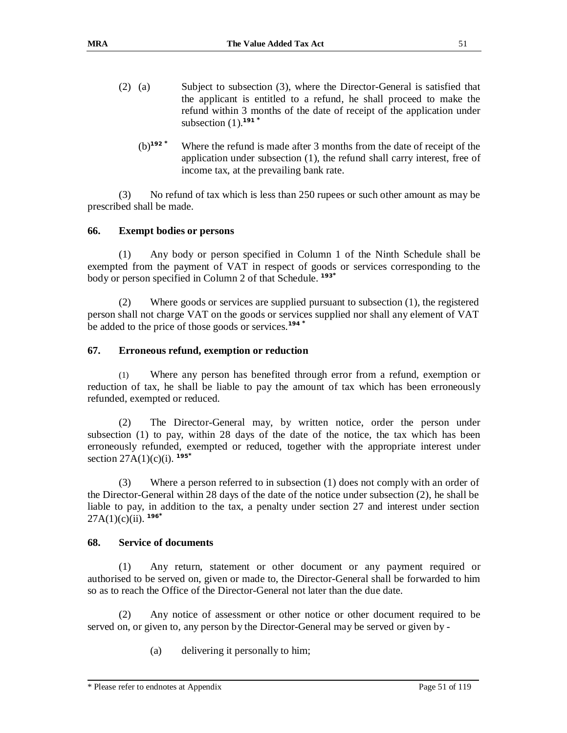- (2) (a) Subject to subsection (3), where the Director-General is satisfied that the applicant is entitled to a refund, he shall proceed to make the refund within 3 months of the date of receipt of the application under subsection (1).**<sup>191</sup> \*** 
	- (b)**<sup>192</sup> \*** Where the refund is made after 3 months from the date of receipt of the application under subsection (1), the refund shall carry interest, free of income tax, at the prevailing bank rate.

(3) No refund of tax which is less than 250 rupees or such other amount as may be prescribed shall be made.

### **66. Exempt bodies or persons**

(1) Any body or person specified in Column 1 of the Ninth Schedule shall be exempted from the payment of VAT in respect of goods or services corresponding to the body or person specified in Column 2 of that Schedule. **193\***

(2) Where goods or services are supplied pursuant to subsection (1), the registered person shall not charge VAT on the goods or services supplied nor shall any element of VAT be added to the price of those goods or services.**<sup>194</sup>\***

### **67. Erroneous refund, exemption or reduction**

(1) Where any person has benefited through error from a refund, exemption or reduction of tax, he shall be liable to pay the amount of tax which has been erroneously refunded, exempted or reduced.

(2) The Director-General may, by written notice, order the person under subsection (1) to pay, within 28 days of the date of the notice, the tax which has been erroneously refunded, exempted or reduced, together with the appropriate interest under section 27A(1)(c)(i). **195\***

(3) Where a person referred to in subsection (1) does not comply with an order of the Director-General within 28 days of the date of the notice under subsection (2), he shall be liable to pay, in addition to the tax, a penalty under section 27 and interest under section 27A(1)(c)(ii). **196\***

### **68. Service of documents**

(1) Any return, statement or other document or any payment required or authorised to be served on, given or made to, the Director-General shall be forwarded to him so as to reach the Office of the Director-General not later than the due date.

(2) Any notice of assessment or other notice or other document required to be served on, or given to, any person by the Director-General may be served or given by -

(a) delivering it personally to him;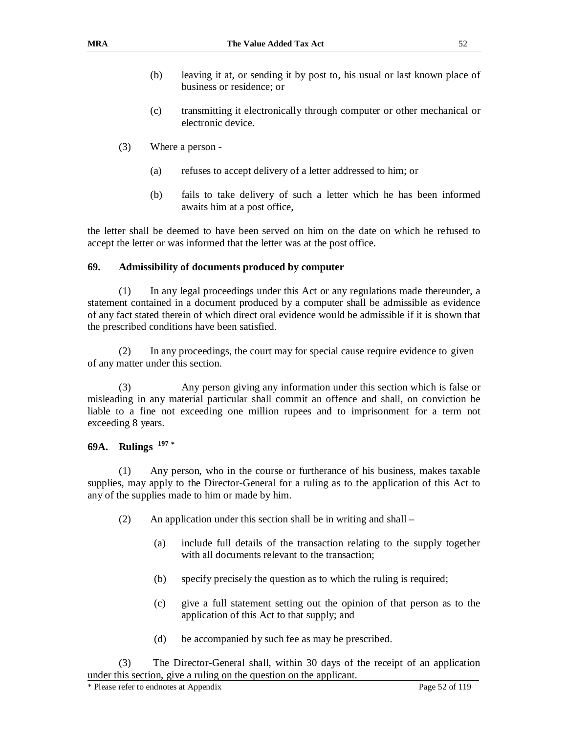- (b) leaving it at, or sending it by post to, his usual or last known place of business or residence; or
- (c) transmitting it electronically through computer or other mechanical or electronic device.
- (3) Where a person
	- (a) refuses to accept delivery of a letter addressed to him; or
	- (b) fails to take delivery of such a letter which he has been informed awaits him at a post office,

the letter shall be deemed to have been served on him on the date on which he refused to accept the letter or was informed that the letter was at the post office.

#### **69. Admissibility of documents produced by computer**

(1) In any legal proceedings under this Act or any regulations made thereunder, a statement contained in a document produced by a computer shall be admissible as evidence of any fact stated therein of which direct oral evidence would be admissible if it is shown that the prescribed conditions have been satisfied.

(2) In any proceedings, the court may for special cause require evidence to given of any matter under this section.

(3) Any person giving any information under this section which is false or misleading in any material particular shall commit an offence and shall, on conviction be liable to a fine not exceeding one million rupees and to imprisonment for a term not exceeding 8 years.

### **69A. Rulings 197 \***

(1) Any person, who in the course or furtherance of his business, makes taxable supplies, may apply to the Director-General for a ruling as to the application of this Act to any of the supplies made to him or made by him.

- (2) An application under this section shall be in writing and shall
	- (a) include full details of the transaction relating to the supply together with all documents relevant to the transaction;
	- (b) specify precisely the question as to which the ruling is required;
	- (c) give a full statement setting out the opinion of that person as to the application of this Act to that supply; and
	- (d) be accompanied by such fee as may be prescribed.

(3) The Director-General shall, within 30 days of the receipt of an application under this section, give a ruling on the question on the applicant.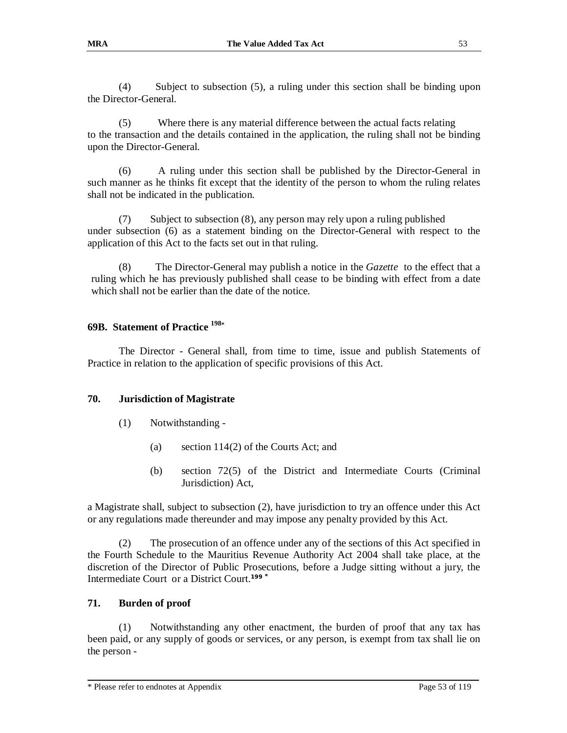(4) Subject to subsection (5), a ruling under this section shall be binding upon the Director-General.

(5) Where there is any material difference between the actual facts relating to the transaction and the details contained in the application, the ruling shall not be binding upon the Director-General.

(6) A ruling under this section shall be published by the Director-General in such manner as he thinks fit except that the identity of the person to whom the ruling relates shall not be indicated in the publication.

(7) Subject to subsection (8), any person may rely upon a ruling published under subsection (6) as a statement binding on the Director-General with respect to the application of this Act to the facts set out in that ruling.

(8) The Director-General may publish a notice in the *Gazette* to the effect that a ruling which he has previously published shall cease to be binding with effect from a date which shall not be earlier than the date of the notice.

### **69B. Statement of Practice <sup>198</sup>\***

The Director - General shall, from time to time, issue and publish Statements of Practice in relation to the application of specific provisions of this Act.

### **70. Jurisdiction of Magistrate**

- (1) Notwithstanding
	- (a) section 114(2) of the Courts Act; and
	- (b) section 72(5) of the District and Intermediate Courts (Criminal Jurisdiction) Act,

a Magistrate shall, subject to subsection (2), have jurisdiction to try an offence under this Act or any regulations made thereunder and may impose any penalty provided by this Act.

(2) The prosecution of an offence under any of the sections of this Act specified in the Fourth Schedule to the Mauritius Revenue Authority Act 2004 shall take place, at the discretion of the Director of Public Prosecutions, before a Judge sitting without a jury, the Intermediate Court or a District Court.**199 \***

### **71. Burden of proof**

(1) Notwithstanding any other enactment, the burden of proof that any tax has been paid, or any supply of goods or services, or any person, is exempt from tax shall lie on the person -

<sup>\*</sup> Please refer to endnotes at Appendix Page 53 of 119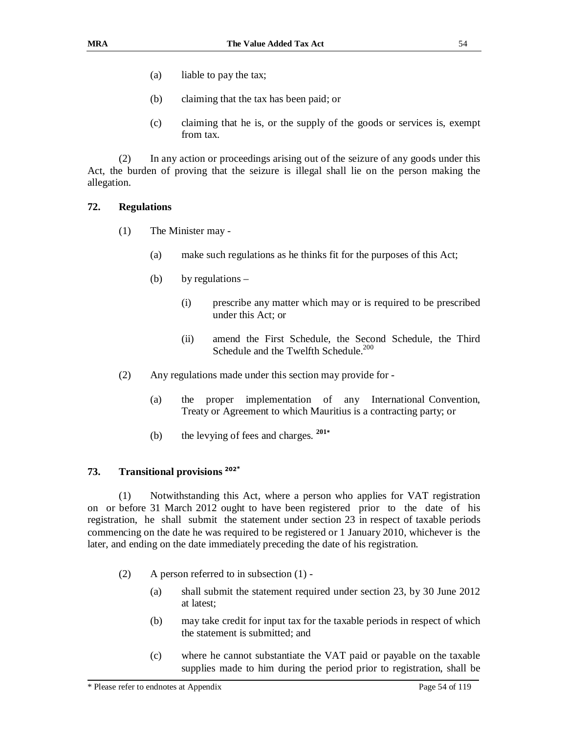- (a) liable to pay the tax;
- (b) claiming that the tax has been paid; or
- (c) claiming that he is, or the supply of the goods or services is, exempt from tax.

(2) In any action or proceedings arising out of the seizure of any goods under this Act, the burden of proving that the seizure is illegal shall lie on the person making the allegation.

#### **72. Regulations**

- (1) The Minister may
	- (a) make such regulations as he thinks fit for the purposes of this Act;
	- (b) by regulations
		- (i) prescribe any matter which may or is required to be prescribed under this Act; or
		- (ii) amend the First Schedule, the Second Schedule, the Third Schedule and the Twelfth Schedule.<sup>200</sup>
- (2) Any regulations made under this section may provide for
	- (a) the proper implementation of any International Convention, Treaty or Agreement to which Mauritius is a contracting party; or
	- (b) the levying of fees and charges.  $201*$

#### **73. Transitional provisions <sup>202</sup>\***

(1) Notwithstanding this Act, where a person who applies for VAT registration on or before 31 March 2012 ought to have been registered prior to the date of his registration, he shall submit the statement under section 23 in respect of taxable periods commencing on the date he was required to be registered or 1 January 2010, whichever is the later, and ending on the date immediately preceding the date of his registration.

- (2) A person referred to in subsection (1)
	- (a) shall submit the statement required under section 23, by 30 June 2012 at latest;
	- (b) may take credit for input tax for the taxable periods in respect of which the statement is submitted; and
	- (c) where he cannot substantiate the VAT paid or payable on the taxable supplies made to him during the period prior to registration, shall be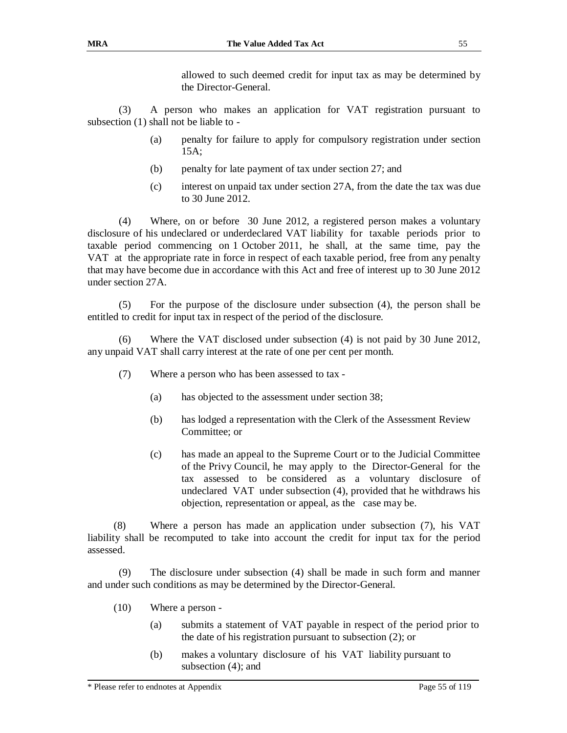allowed to such deemed credit for input tax as may be determined by the Director-General.

(3) A person who makes an application for VAT registration pursuant to subsection (1) shall not be liable to -

- (a) penalty for failure to apply for compulsory registration under section 15A;
- (b) penalty for late payment of tax under section 27; and
- (c) interest on unpaid tax under section 27A, from the date the tax was due to 30 June 2012.

(4) Where, on or before 30 June 2012, a registered person makes a voluntary disclosure of his undeclared or underdeclared VAT liability for taxable periods prior to taxable period commencing on 1 October 2011, he shall, at the same time, pay the VAT at the appropriate rate in force in respect of each taxable period, free from any penalty that may have become due in accordance with this Act and free of interest up to 30 June 2012 under section 27A.

(5) For the purpose of the disclosure under subsection (4), the person shall be entitled to credit for input tax in respect of the period of the disclosure.

(6) Where the VAT disclosed under subsection (4) is not paid by 30 June 2012, any unpaid VAT shall carry interest at the rate of one per cent per month.

- (7) Where a person who has been assessed to tax
	- (a) has objected to the assessment under section 38;
	- (b) has lodged a representation with the Clerk of the Assessment Review Committee; or
	- (c) has made an appeal to the Supreme Court or to the Judicial Committee of the Privy Council, he may apply to the Director-General for the tax assessed to be considered as a voluntary disclosure of undeclared VAT under subsection (4), provided that he withdraws his objection, representation or appeal, as the case may be.

(8) Where a person has made an application under subsection (7), his VAT liability shall be recomputed to take into account the credit for input tax for the period assessed.

(9) The disclosure under subsection (4) shall be made in such form and manner and under such conditions as may be determined by the Director-General.

- (10) Where a person
	- (a) submits a statement of VAT payable in respect of the period prior to the date of his registration pursuant to subsection (2); or
	- (b) makes a voluntary disclosure of his VAT liability pursuant to subsection  $(4)$ ; and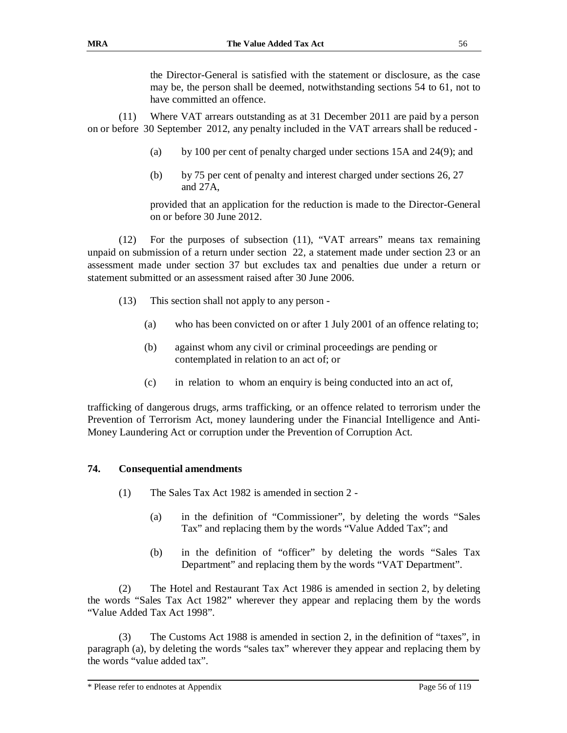the Director-General is satisfied with the statement or disclosure, as the case may be, the person shall be deemed, notwithstanding sections 54 to 61, not to have committed an offence.

(11) Where VAT arrears outstanding as at 31 December 2011 are paid by a person on or before 30 September 2012, any penalty included in the VAT arrears shall be reduced -

- (a) by 100 per cent of penalty charged under sections 15A and 24(9); and
- (b) by 75 per cent of penalty and interest charged under sections 26, 27 and 27A,

provided that an application for the reduction is made to the Director-General on or before 30 June 2012.

(12) For the purposes of subsection (11), "VAT arrears" means tax remaining unpaid on submission of a return under section 22, a statement made under section 23 or an assessment made under section 37 but excludes tax and penalties due under a return or statement submitted or an assessment raised after 30 June 2006.

- (13) This section shall not apply to any person
	- (a) who has been convicted on or after 1 July 2001 of an offence relating to;
	- (b) against whom any civil or criminal proceedings are pending or contemplated in relation to an act of; or
	- (c) in relation to whom an enquiry is being conducted into an act of,

trafficking of dangerous drugs, arms trafficking, or an offence related to terrorism under the Prevention of Terrorism Act, money laundering under the Financial Intelligence and Anti-Money Laundering Act or corruption under the Prevention of Corruption Act.

### **74. Consequential amendments**

- (1) The Sales Tax Act 1982 is amended in section 2
	- (a) in the definition of "Commissioner", by deleting the words "Sales Tax" and replacing them by the words "Value Added Tax"; and
	- (b) in the definition of "officer" by deleting the words "Sales Tax Department" and replacing them by the words "VAT Department".

(2) The Hotel and Restaurant Tax Act 1986 is amended in section 2, by deleting the words "Sales Tax Act 1982" wherever they appear and replacing them by the words "Value Added Tax Act 1998".

(3) The Customs Act 1988 is amended in section 2, in the definition of "taxes", in paragraph (a), by deleting the words "sales tax" wherever they appear and replacing them by the words "value added tax".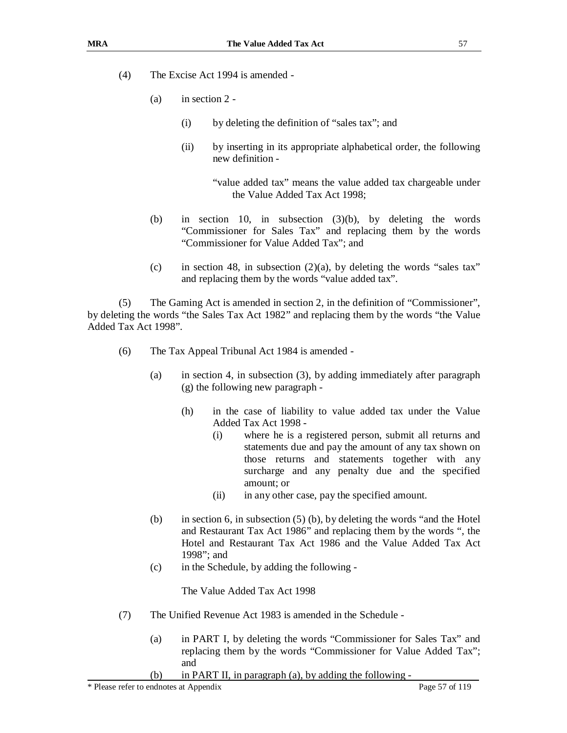- (4) The Excise Act 1994 is amended
	- (a) in section 2
		- (i) by deleting the definition of "sales tax"; and
		- (ii) by inserting in its appropriate alphabetical order, the following new definition -

"value added tax" means the value added tax chargeable under the Value Added Tax Act 1998;

- (b) in section 10, in subsection (3)(b), by deleting the words "Commissioner for Sales Tax" and replacing them by the words "Commissioner for Value Added Tax"; and
- (c) in section 48, in subsection  $(2)(a)$ , by deleting the words "sales tax" and replacing them by the words "value added tax".

(5) The Gaming Act is amended in section 2, in the definition of "Commissioner", by deleting the words "the Sales Tax Act 1982" and replacing them by the words "the Value Added Tax Act 1998".

- (6) The Tax Appeal Tribunal Act 1984 is amended
	- (a) in section 4, in subsection (3), by adding immediately after paragraph (g) the following new paragraph -
		- (h) in the case of liability to value added tax under the Value Added Tax Act 1998 -
			- (i) where he is a registered person, submit all returns and statements due and pay the amount of any tax shown on those returns and statements together with any surcharge and any penalty due and the specified amount; or
			- (ii) in any other case, pay the specified amount.
	- (b) in section 6, in subsection (5) (b), by deleting the words "and the Hotel and Restaurant Tax Act 1986" and replacing them by the words ", the Hotel and Restaurant Tax Act 1986 and the Value Added Tax Act 1998"; and
	- (c) in the Schedule, by adding the following -

The Value Added Tax Act 1998

- (7) The Unified Revenue Act 1983 is amended in the Schedule
	- (a) in PART I, by deleting the words "Commissioner for Sales Tax" and replacing them by the words "Commissioner for Value Added Tax"; and
	- (b) in PART II, in paragraph (a), by adding the following -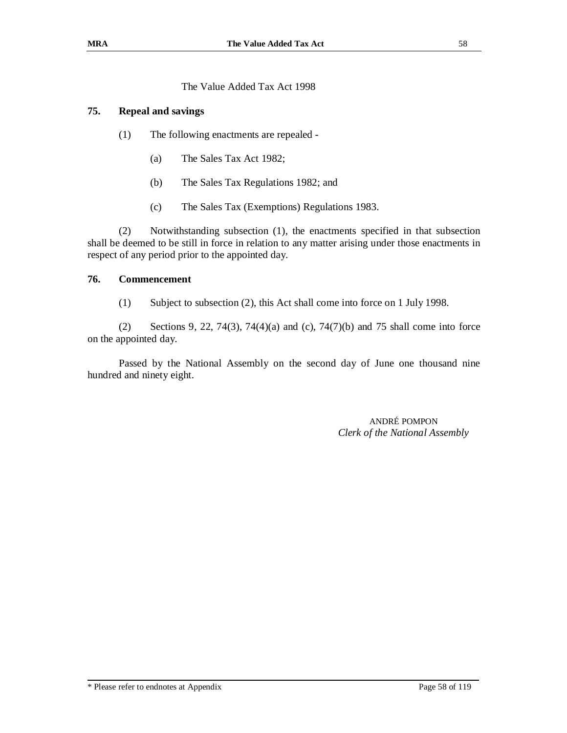The Value Added Tax Act 1998

### **75. Repeal and savings**

- (1) The following enactments are repealed
	- (a) The Sales Tax Act 1982;
	- (b) The Sales Tax Regulations 1982; and
	- (c) The Sales Tax (Exemptions) Regulations 1983.

(2) Notwithstanding subsection (1), the enactments specified in that subsection shall be deemed to be still in force in relation to any matter arising under those enactments in respect of any period prior to the appointed day.

### **76. Commencement**

(1) Subject to subsection (2), this Act shall come into force on 1 July 1998.

(2) Sections 9, 22, 74(3), 74(4)(a) and (c), 74(7)(b) and 75 shall come into force on the appointed day.

Passed by the National Assembly on the second day of June one thousand nine hundred and ninety eight.

> ANDRÉ POMPON *Clerk of the National Assembly*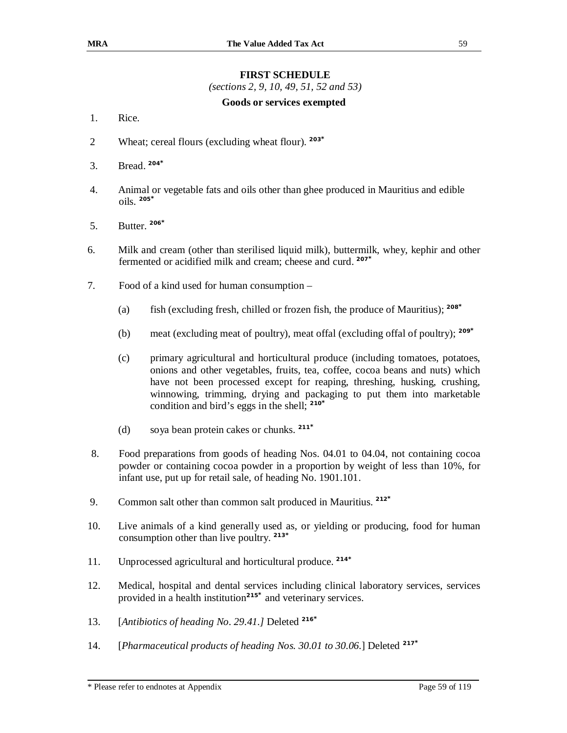### **FIRST SCHEDULE**

*(sections 2, 9, 10, 49, 51, 52 and 53)*

#### **Goods or services exempted**

- 1. Rice.
- 2 Wheat; cereal flours (excluding wheat flour). **203\***
- 3. Bread. **204\***
- 4. Animal or vegetable fats and oils other than ghee produced in Mauritius and edible oils. **205\***
- 5. Butter. **206\***
- 6. Milk and cream (other than sterilised liquid milk), buttermilk, whey, kephir and other fermented or acidified milk and cream; cheese and curd. **207\***
- 7. Food of a kind used for human consumption
	- (a) fish (excluding fresh, chilled or frozen fish, the produce of Mauritius); **<sup>208</sup>\***
	- (b) meat (excluding meat of poultry), meat offal (excluding offal of poultry); **<sup>209</sup>\***
	- (c) primary agricultural and horticultural produce (including tomatoes, potatoes, onions and other vegetables, fruits, tea, coffee, cocoa beans and nuts) which have not been processed except for reaping, threshing, husking, crushing, winnowing, trimming, drying and packaging to put them into marketable condition and bird's eggs in the shell; **<sup>210</sup>\***
	- (d) soya bean protein cakes or chunks. **211\***
- 8. Food preparations from goods of heading Nos. 04.01 to 04.04, not containing cocoa powder or containing cocoa powder in a proportion by weight of less than 10%, for infant use, put up for retail sale, of heading No. 1901.101.
- 9. Common salt other than common salt produced in Mauritius. **212\***
- 10. Live animals of a kind generally used as, or yielding or producing, food for human consumption other than live poultry. **213\***
- 11. Unprocessed agricultural and horticultural produce. **214\***
- 12. Medical, hospital and dental services including clinical laboratory services, services provided in a health institution**<sup>215</sup>\*** and veterinary services.
- 13. [*Antibiotics of heading No. 29.41.]* Deleted **<sup>216</sup>\***
- 14. [*Pharmaceutical products of heading Nos. 30.01 to 30.06.*] Deleted **<sup>217</sup>\***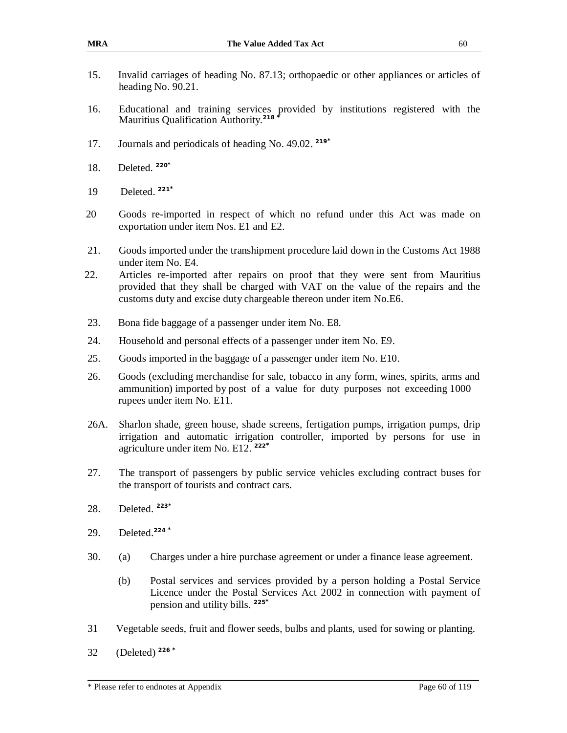- 15. Invalid carriages of heading No. 87.13; orthopaedic or other appliances or articles of heading No. 90.21.
- 16. Educational and training services provided by institutions registered with the Mauritius Qualification Authority.**<sup>218</sup>\***
- 17. Journals and periodicals of heading No. 49.02. **219\***
- 18. Deleted. **220\***
- 19 Deleted. **221\***
- 20 Goods re-imported in respect of which no refund under this Act was made on exportation under item Nos. E1 and E2.
- 21. Goods imported under the transhipment procedure laid down in the Customs Act 1988 under item No. E4.
- 22. Articles re-imported after repairs on proof that they were sent from Mauritius provided that they shall be charged with VAT on the value of the repairs and the customs duty and excise duty chargeable thereon under item No.E6.
- 23. Bona fide baggage of a passenger under item No. E8.
- 24. Household and personal effects of a passenger under item No. E9.
- 25. Goods imported in the baggage of a passenger under item No. E10.
- 26. Goods (excluding merchandise for sale, tobacco in any form, wines, spirits, arms and ammunition) imported by post of a value for duty purposes not exceeding 1000 rupees under item No. E11.
- 26A. Sharlon shade, green house, shade screens, fertigation pumps, irrigation pumps, drip irrigation and automatic irrigation controller, imported by persons for use in agriculture under item No. E12. **222\***
- 27. The transport of passengers by public service vehicles excluding contract buses for the transport of tourists and contract cars.
- 28. Deleted. **223\***
- 29. Deleted.**<sup>224</sup> \***
- 30. (a) Charges under a hire purchase agreement or under a finance lease agreement.
	- (b) Postal services and services provided by a person holding a Postal Service Licence under the Postal Services Act 2002 in connection with payment of pension and utility bills. **225\***
- 31 Vegetable seeds, fruit and flower seeds, bulbs and plants, used for sowing or planting.
- 32 (Deleted) **<sup>226</sup>\***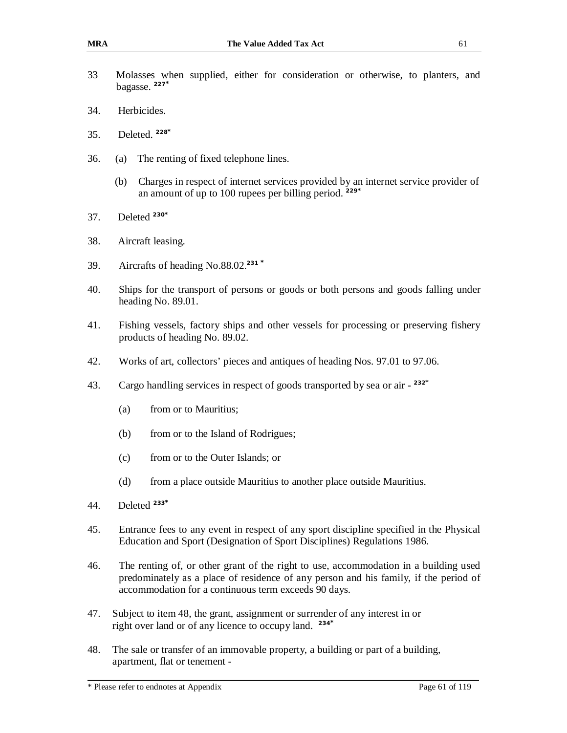- 33 Molasses when supplied, either for consideration or otherwise, to planters, and bagasse. **227\***
- 34. Herbicides.
- 35. Deleted. **228\***
- 36. (a) The renting of fixed telephone lines.
	- (b) Charges in respect of internet services provided by an internet service provider of an amount of up to 100 rupees per billing period. **229\***
- 37. Deleted **<sup>230</sup>\***
- 38. Aircraft leasing.
- 39. Aircrafts of heading No.88.02. **231 \***
- 40. Ships for the transport of persons or goods or both persons and goods falling under heading No. 89.01.
- 41. Fishing vessels, factory ships and other vessels for processing or preserving fishery products of heading No. 89.02.
- 42. Works of art, collectors' pieces and antiques of heading Nos. 97.01 to 97.06.
- 43. Cargo handling services in respect of goods transported by sea or air **232\***
	- (a) from or to Mauritius;
	- (b) from or to the Island of Rodrigues;
	- (c) from or to the Outer Islands; or
	- (d) from a place outside Mauritius to another place outside Mauritius.
- 44. Deleted **<sup>233</sup>\***
- 45. Entrance fees to any event in respect of any sport discipline specified in the Physical Education and Sport (Designation of Sport Disciplines) Regulations 1986.
- 46. The renting of, or other grant of the right to use, accommodation in a building used predominately as a place of residence of any person and his family, if the period of accommodation for a continuous term exceeds 90 days.
- 47. Subject to item 48, the grant, assignment or surrender of any interest in or right over land or of any licence to occupy land. **234\***
- 48. The sale or transfer of an immovable property, a building or part of a building, apartment, flat or tenement -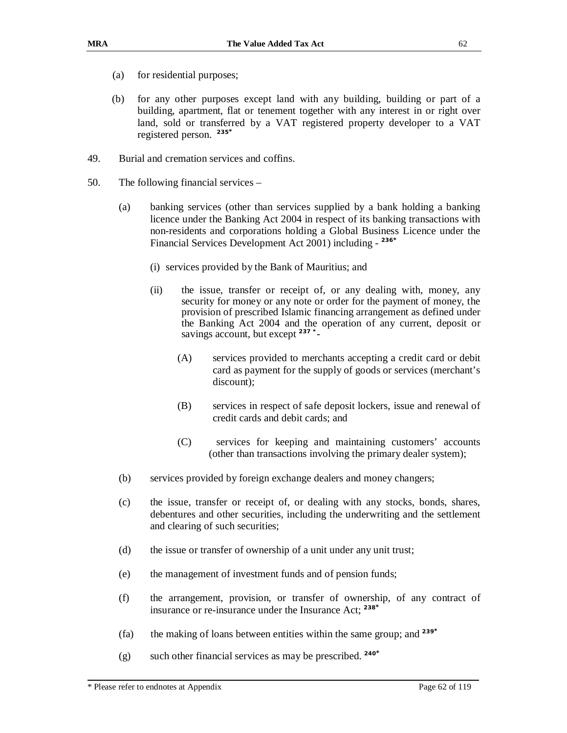- (a) for residential purposes;
- (b) for any other purposes except land with any building, building or part of a building, apartment, flat or tenement together with any interest in or right over land, sold or transferred by a VAT registered property developer to a VAT registered person. **235\***
- 49. Burial and cremation services and coffins.
- 50. The following financial services
	- (a) banking services (other than services supplied by a bank holding a banking licence under the Banking Act 2004 in respect of its banking transactions with non-residents and corporations holding a Global Business Licence under the Financial Services Development Act 2001) including - **236\***
		- (i) services provided by the Bank of Mauritius; and
		- (ii) the issue, transfer or receipt of, or any dealing with, money, any security for money or any note or order for the payment of money, the provision of prescribed Islamic financing arrangement as defined under the Banking Act 2004 and the operation of any current, deposit or savings account, but except **237 \*** -
			- (A) services provided to merchants accepting a credit card or debit card as payment for the supply of goods or services (merchant's discount);
			- (B) services in respect of safe deposit lockers, issue and renewal of credit cards and debit cards; and
			- (C) services for keeping and maintaining customers' accounts (other than transactions involving the primary dealer system);
	- (b) services provided by foreign exchange dealers and money changers;
	- (c) the issue, transfer or receipt of, or dealing with any stocks, bonds, shares, debentures and other securities, including the underwriting and the settlement and clearing of such securities;
	- (d) the issue or transfer of ownership of a unit under any unit trust;
	- (e) the management of investment funds and of pension funds;
	- (f) the arrangement, provision, or transfer of ownership, of any contract of insurance or re-insurance under the Insurance Act; **<sup>238</sup>\***
	- (fa) the making of loans between entities within the same group; and **<sup>239</sup>\***
	- (g) such other financial services as may be prescribed. **240\***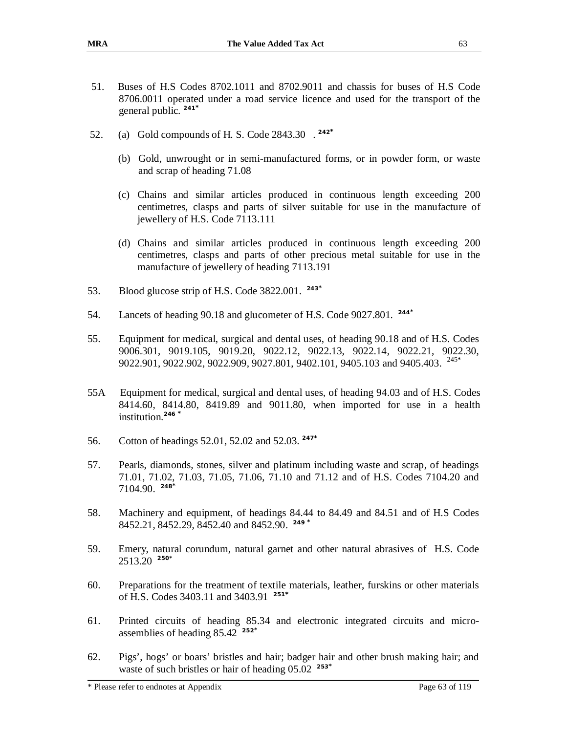- 51. Buses of H.S Codes 8702.1011 and 8702.9011 and chassis for buses of H.S Code 8706.0011 operated under a road service licence and used for the transport of the general public. **241\***
- 52. (a) Gold compounds of H. S. Code 2843.30 . **242\***
	- (b) Gold, unwrought or in semi-manufactured forms, or in powder form, or waste and scrap of heading 71.08
	- (c) Chains and similar articles produced in continuous length exceeding 200 centimetres, clasps and parts of silver suitable for use in the manufacture of jewellery of H.S. Code 7113.111
	- (d) Chains and similar articles produced in continuous length exceeding 200 centimetres, clasps and parts of other precious metal suitable for use in the manufacture of jewellery of heading 7113.191
- 53. Blood glucose strip of H.S. Code 3822.001. **243\***
- 54. Lancets of heading 90.18 and glucometer of H.S. Code 9027.801. **244\***
- 55. Equipment for medical, surgical and dental uses, of heading 90.18 and of H.S. Codes 9006.301, 9019.105, 9019.20, 9022.12, 9022.13, 9022.14, 9022.21, 9022.30, 9022.901, 9022.902, 9022.909, 9027.801, 9402.101, 9405.103 and 9405.403. <sup>245\*</sup>
- 55A Equipment for medical, surgical and dental uses, of heading 94.03 and of H.S. Codes 8414.60, 8414.80, 8419.89 and 9011.80, when imported for use in a health institution.**<sup>246</sup> \***
- 56. Cotton of headings 52.01, 52.02 and 52.03. **247\***
- 57. Pearls, diamonds, stones, silver and platinum including waste and scrap, of headings 71.01, 71.02, 71.03, 71.05, 71.06, 71.10 and 71.12 and of H.S. Codes 7104.20 and 7104.90. **248\***
- 58. Machinery and equipment, of headings 84.44 to 84.49 and 84.51 and of H.S Codes 8452.21, 8452.29, 8452.40 and 8452.90. **249 \***
- 59. Emery, natural corundum, natural garnet and other natural abrasives of H.S. Code 2513.20 **250\***
- 60. Preparations for the treatment of textile materials, leather, furskins or other materials of H.S. Codes 3403.11 and 3403.91 **251\***
- 61. Printed circuits of heading 85.34 and electronic integrated circuits and microassemblies of heading 85.42 **252\***
- 62. Pigs', hogs' or boars' bristles and hair; badger hair and other brush making hair; and waste of such bristles or hair of heading 05.02 **253\***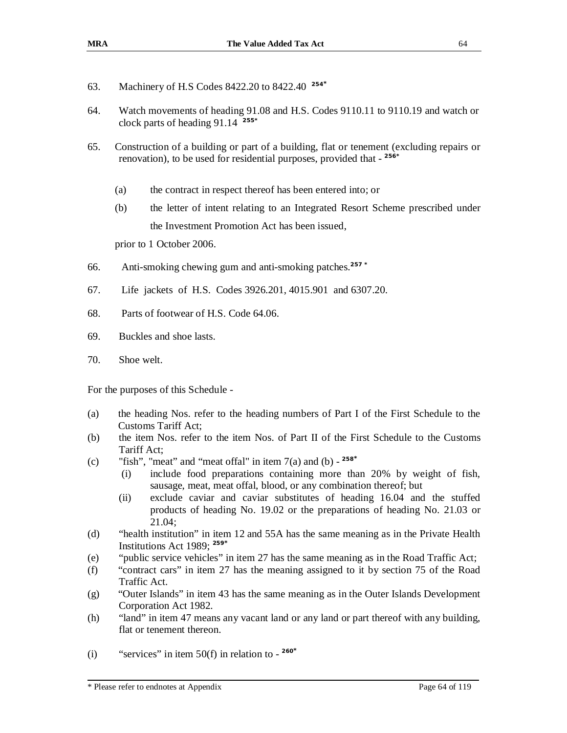- 63. Machinery of H.S Codes 8422.20 to 8422.40 **254\***
- 64. Watch movements of heading 91.08 and H.S. Codes 9110.11 to 9110.19 and watch or clock parts of heading 91.14 **255\***
- 65. Construction of a building or part of a building, flat or tenement (excluding repairs or renovation), to be used for residential purposes, provided that - **256\*** 
	- (a) the contract in respect thereof has been entered into; or
	- (b) the letter of intent relating to an Integrated Resort Scheme prescribed under the Investment Promotion Act has been issued,

prior to 1 October 2006.

- 66. Anti-smoking chewing gum and anti-smoking patches.**257 \***
- 67. Life jackets of H.S. Codes 3926.201, 4015.901 and 6307.20.
- 68. Parts of footwear of H.S. Code 64.06.
- 69. Buckles and shoe lasts.
- 70. Shoe welt.

For the purposes of this Schedule -

- (a) the heading Nos. refer to the heading numbers of Part I of the First Schedule to the Customs Tariff Act;
- (b) the item Nos. refer to the item Nos. of Part II of the First Schedule to the Customs Tariff Act;
- (c) "fish", "meat" and "meat offal" in item  $7(a)$  and  $(b)$   $258^*$ 
	- (i) include food preparations containing more than 20% by weight of fish, sausage, meat, meat offal, blood, or any combination thereof; but
	- (ii) exclude caviar and caviar substitutes of heading 16.04 and the stuffed products of heading No. 19.02 or the preparations of heading No. 21.03 or 21.04;
- (d) "health institution" in item 12 and 55A has the same meaning as in the Private Health Institutions Act 1989; **<sup>259</sup>\***
- (e) "public service vehicles" in item 27 has the same meaning as in the Road Traffic Act;
- (f) "contract cars" in item 27 has the meaning assigned to it by section 75 of the Road Traffic Act.
- (g) "Outer Islands" in item 43 has the same meaning as in the Outer Islands Development Corporation Act 1982.
- (h) "land" in item 47 means any vacant land or any land or part thereof with any building, flat or tenement thereon.
- (i) "services" in item  $50(f)$  in relation to  $-$  <sup>260\*</sup>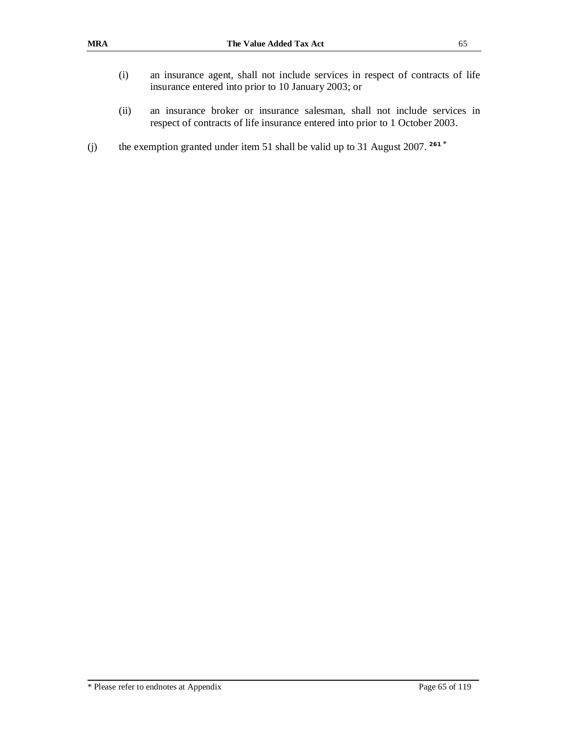- (i) an insurance agent, shall not include services in respect of contracts of life insurance entered into prior to 10 January 2003; or
- (ii) an insurance broker or insurance salesman, shall not include services in respect of contracts of life insurance entered into prior to 1 October 2003.
- (j) the exemption granted under item 51 shall be valid up to 31 August 2007. **261 \***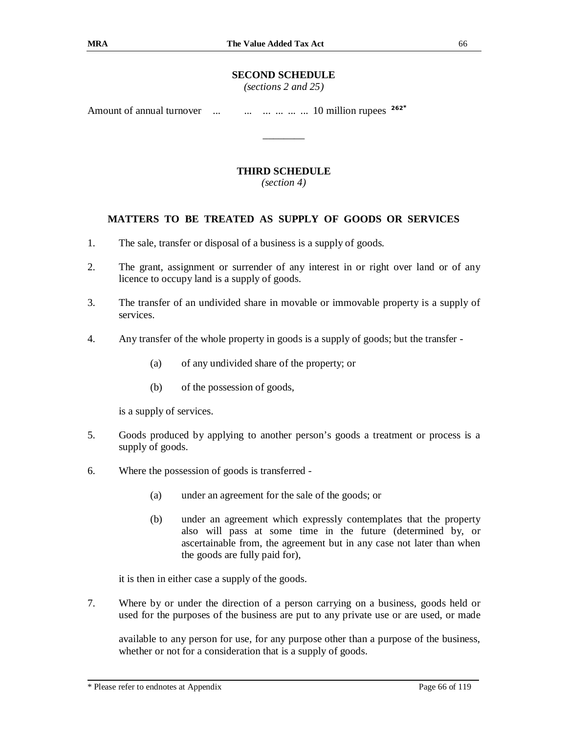### **SECOND SCHEDULE**

*(sections 2 and 25)* 

Amount of annual turnover ... ... ... ... ... ... ... 10 million rupees  $262^{*}$ 

### **THIRD SCHEDULE**

\_\_\_\_\_\_\_\_

*(section 4)* 

### **MATTERS TO BE TREATED AS SUPPLY OF GOODS OR SERVICES**

- 1. The sale, transfer or disposal of a business is a supply of goods.
- 2. The grant, assignment or surrender of any interest in or right over land or of any licence to occupy land is a supply of goods.
- 3. The transfer of an undivided share in movable or immovable property is a supply of services.
- 4. Any transfer of the whole property in goods is a supply of goods; but the transfer
	- (a) of any undivided share of the property; or
	- (b) of the possession of goods,

is a supply of services.

- 5. Goods produced by applying to another person's goods a treatment or process is a supply of goods.
- 6. Where the possession of goods is transferred
	- (a) under an agreement for the sale of the goods; or
	- (b) under an agreement which expressly contemplates that the property also will pass at some time in the future (determined by, or ascertainable from, the agreement but in any case not later than when the goods are fully paid for),

it is then in either case a supply of the goods.

7. Where by or under the direction of a person carrying on a business, goods held or used for the purposes of the business are put to any private use or are used, or made

available to any person for use, for any purpose other than a purpose of the business, whether or not for a consideration that is a supply of goods.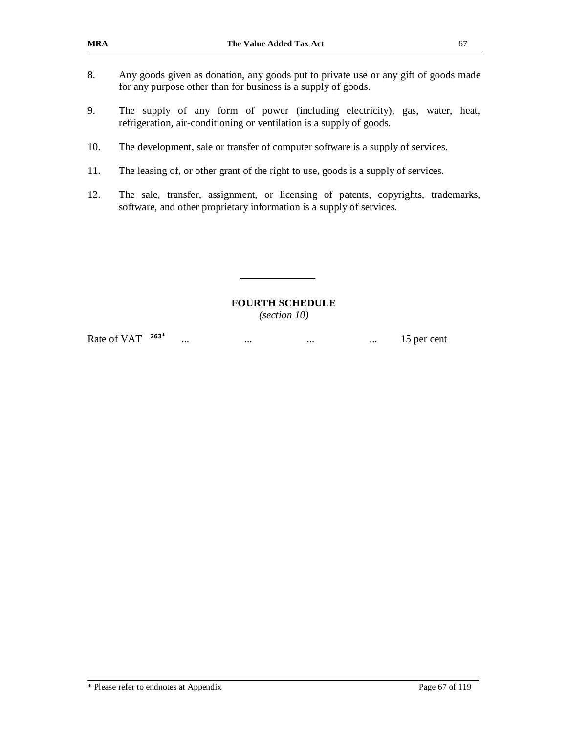- 8. Any goods given as donation, any goods put to private use or any gift of goods made for any purpose other than for business is a supply of goods.
- 9. The supply of any form of power (including electricity), gas, water, heat, refrigeration, air-conditioning or ventilation is a supply of goods.
- 10. The development, sale or transfer of computer software is a supply of services.
- 11. The leasing of, or other grant of the right to use, goods is a supply of services.
- 12. The sale, transfer, assignment, or licensing of patents, copyrights, trademarks, software, and other proprietary information is a supply of services.

### **FOURTH SCHEDULE**

*(section 10)* 

Rate of VAT **263\*** ... ... ... ... ... ... ... ... 15 per cent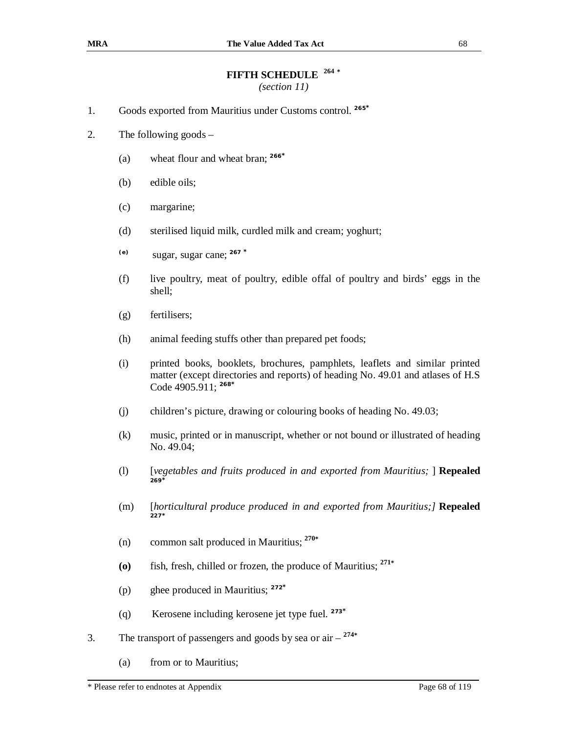# **FIFTH SCHEDULE 264 \***

*(section 11)*

- 1. Goods exported from Mauritius under Customs control. **265\***
- 2. The following goods
	- (a) wheat flour and wheat bran; **<sup>266</sup>\***
	- (b) edible oils;
	- (c) margarine;
	- (d) sterilised liquid milk, curdled milk and cream; yoghurt;
	- **(e)** sugar, sugar cane; **<sup>267</sup> \***
	- (f) live poultry, meat of poultry, edible offal of poultry and birds' eggs in the shell;
	- (g) fertilisers;
	- (h) animal feeding stuffs other than prepared pet foods;
	- (i) printed books, booklets, brochures, pamphlets, leaflets and similar printed matter (except directories and reports) of heading No. 49.01 and atlases of H.S Code 4905.911; **<sup>268</sup>\***
	- (j) children's picture, drawing or colouring books of heading No. 49.03;
	- (k) music, printed or in manuscript, whether or not bound or illustrated of heading No. 49.04;
	- (l) [*vegetables and fruits produced in and exported from Mauritius;* ] **Repealed 269\***
	- (m) [*horticultural produce produced in and exported from Mauritius;]* **Repealed 227\***
	- (n) common salt produced in Mauritius; **270\***
	- **(o)** fish, fresh, chilled or frozen, the produce of Mauritius; **<sup>271</sup>\***
	- (p) ghee produced in Mauritius; **<sup>272</sup>\***
	- (q) Kerosene including kerosene jet type fuel. **273\***
- 3. The transport of passengers and goods by sea or air **274\***
	- (a) from or to Mauritius;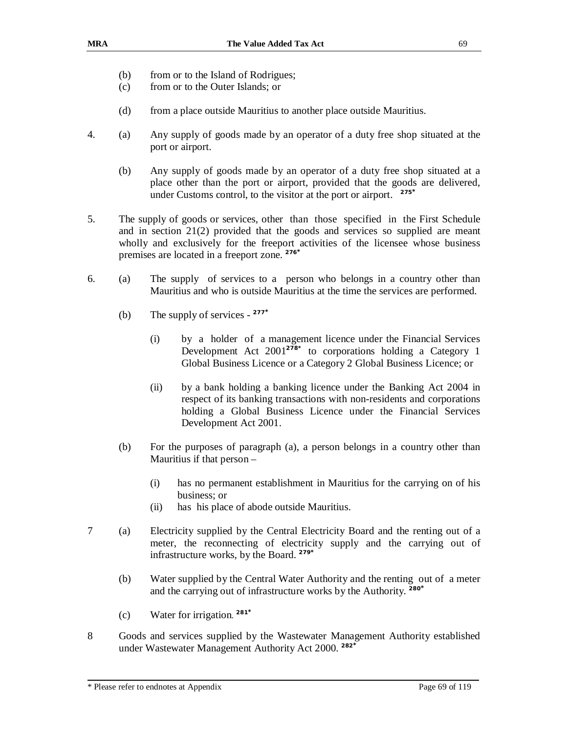- (b) from or to the Island of Rodrigues;
- (c) from or to the Outer Islands; or
- (d) from a place outside Mauritius to another place outside Mauritius.
- 4. (a) Any supply of goods made by an operator of a duty free shop situated at the port or airport.
	- (b) Any supply of goods made by an operator of a duty free shop situated at a place other than the port or airport, provided that the goods are delivered, under Customs control, to the visitor at the port or airport. **275\***
- 5. The supply of goods or services, other than those specified in the First Schedule and in section 21(2) provided that the goods and services so supplied are meant wholly and exclusively for the freeport activities of the licensee whose business premises are located in a freeport zone. **276\***
- 6. (a) The supply of services to a person who belongs in a country other than Mauritius and who is outside Mauritius at the time the services are performed.
	- (b) The supply of services **277\***
		- (i) by a holder of a management licence under the Financial Services Development Act 2001**278\*** to corporations holding a Category 1 Global Business Licence or a Category 2 Global Business Licence; or
		- (ii) by a bank holding a banking licence under the Banking Act 2004 in respect of its banking transactions with non-residents and corporations holding a Global Business Licence under the Financial Services Development Act 2001.
	- (b) For the purposes of paragraph (a), a person belongs in a country other than Mauritius if that person –
		- (i) has no permanent establishment in Mauritius for the carrying on of his business; or
		- (ii) has his place of abode outside Mauritius.
- 7 (a) Electricity supplied by the Central Electricity Board and the renting out of a meter, the reconnecting of electricity supply and the carrying out of infrastructure works, by the Board. **279\***
	- (b) Water supplied by the Central Water Authority and the renting out of a meter and the carrying out of infrastructure works by the Authority. **280\***
	- (c) Water for irrigation. **281\***
- 8 Goods and services supplied by the Wastewater Management Authority established under Wastewater Management Authority Act 2000. **282\***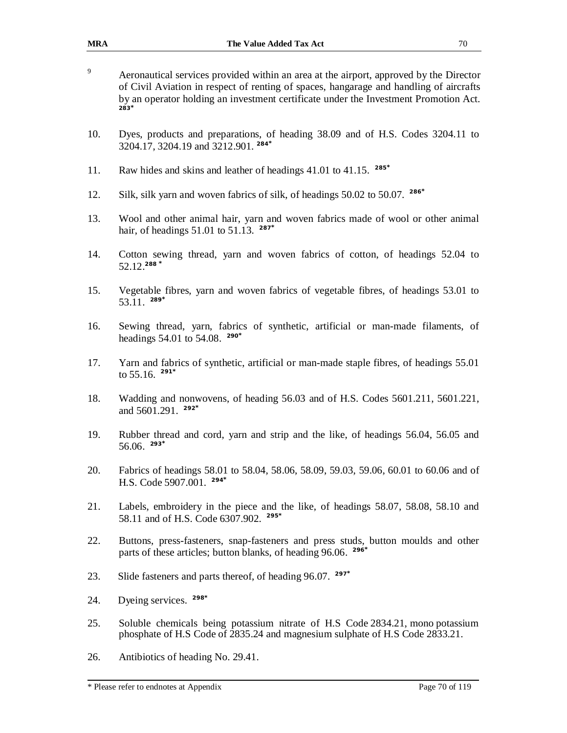- <sup>9</sup> Aeronautical services provided within an area at the airport, approved by the Director of Civil Aviation in respect of renting of spaces, hangarage and handling of aircrafts by an operator holding an investment certificate under the Investment Promotion Act. **283\***
- 10. Dyes, products and preparations, of heading 38.09 and of H.S. Codes 3204.11 to 3204.17, 3204.19 and 3212.901. **284\***
- 11. Raw hides and skins and leather of headings 41.01 to 41.15. **285\***
- 12. Silk, silk yarn and woven fabrics of silk, of headings 50.02 to 50.07. **286\***
- 13. Wool and other animal hair, yarn and woven fabrics made of wool or other animal hair, of headings 51.01 to 51.13. **287\***
- 14. Cotton sewing thread, yarn and woven fabrics of cotton, of headings 52.04 to 52.12.**<sup>288</sup> \***
- 15. Vegetable fibres, yarn and woven fabrics of vegetable fibres, of headings 53.01 to 53.11. **289\***
- 16. Sewing thread, yarn, fabrics of synthetic, artificial or man-made filaments, of headings 54.01 to 54.08. **290\***
- 17. Yarn and fabrics of synthetic, artificial or man-made staple fibres, of headings 55.01 to 55.16. **291\***
- 18. Wadding and nonwovens, of heading 56.03 and of H.S. Codes 5601.211, 5601.221, and 5601.291. **292\***
- 19. Rubber thread and cord, yarn and strip and the like, of headings 56.04, 56.05 and 56.06. **293\***
- 20. Fabrics of headings 58.01 to 58.04, 58.06, 58.09, 59.03, 59.06, 60.01 to 60.06 and of H.S. Code 5907.001. **294\***
- 21. Labels, embroidery in the piece and the like, of headings 58.07, 58.08, 58.10 and 58.11 and of H.S. Code 6307.902. **295\***
- 22. Buttons, press-fasteners, snap-fasteners and press studs, button moulds and other parts of these articles; button blanks, of heading 96.06. **296\***
- 23. Slide fasteners and parts thereof, of heading 96.07. **297\***
- 24. Dyeing services. **298\***
- 25. Soluble chemicals being potassium nitrate of H.S Code 2834.21, mono potassium phosphate of H.S Code of 2835.24 and magnesium sulphate of H.S Code 2833.21.
- 26. Antibiotics of heading No. 29.41.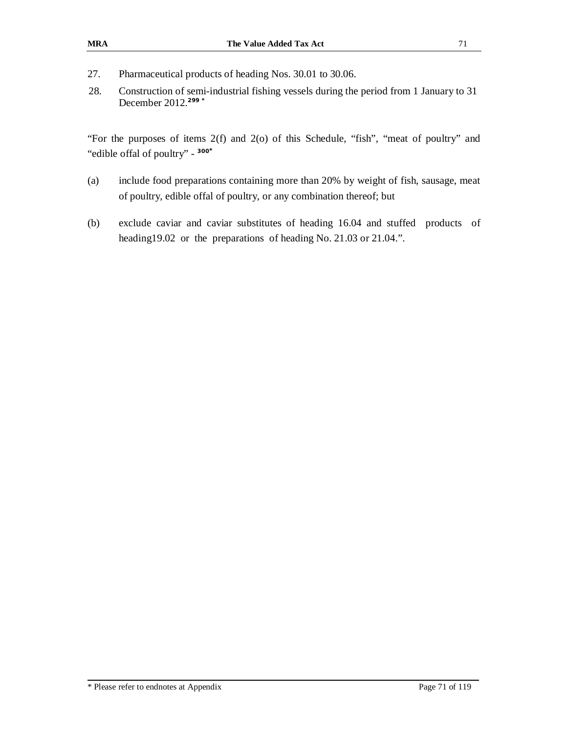- 27. Pharmaceutical products of heading Nos. 30.01 to 30.06.
- 28. Construction of semi-industrial fishing vessels during the period from 1 January to 31 December 2012.**299 \***

"For the purposes of items 2(f) and 2(o) of this Schedule, "fish", "meat of poultry" and "edible offal of poultry" - **300\***

- (a) include food preparations containing more than 20% by weight of fish, sausage, meat of poultry, edible offal of poultry, or any combination thereof; but
- (b) exclude caviar and caviar substitutes of heading 16.04 and stuffed products of heading19.02 or the preparations of heading No. 21.03 or 21.04.".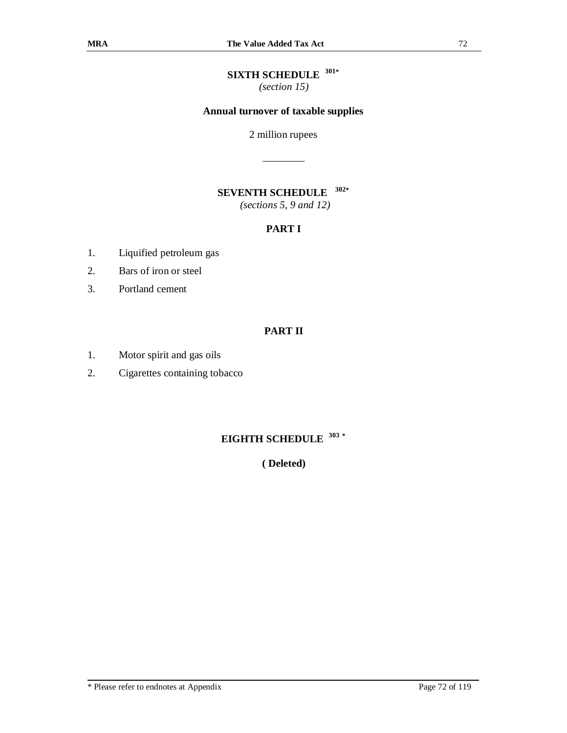### **SIXTH SCHEDULE 301\***

*(section 15)* 

### **Annual turnover of taxable supplies**

2 million rupees

\_\_\_\_\_\_\_\_

#### **SEVENTH SCHEDULE 302\***

*(sections 5, 9 and 12)*

## **PART I**

- 1. Liquified petroleum gas
- 2. Bars of iron or steel
- 3. Portland cement

## **PART II**

- 1. Motor spirit and gas oils
- 2. Cigarettes containing tobacco

### **EIGHTH SCHEDULE 303 \***

**( Deleted)**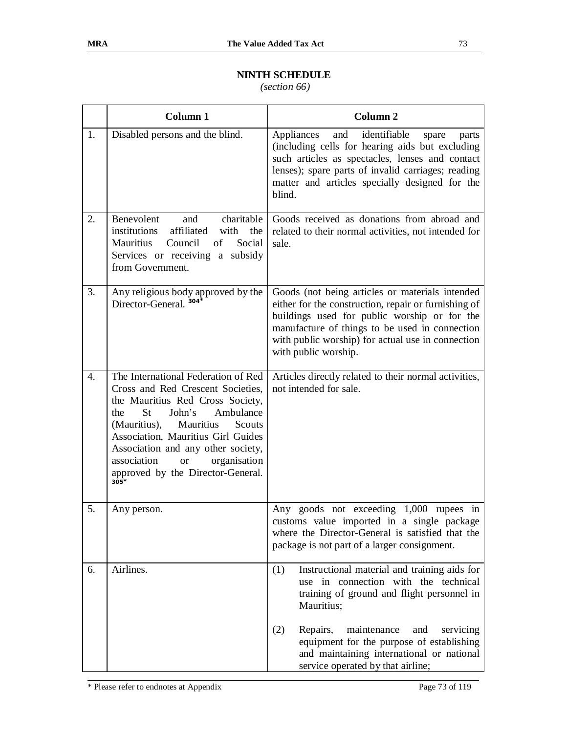## **NINTH SCHEDULE**

*(section 66)*

|    | Column 1                                                                                                                                                                                                                                                                                                                                                              | Column <sub>2</sub>                                                                                                                                                                                                                                                                    |
|----|-----------------------------------------------------------------------------------------------------------------------------------------------------------------------------------------------------------------------------------------------------------------------------------------------------------------------------------------------------------------------|----------------------------------------------------------------------------------------------------------------------------------------------------------------------------------------------------------------------------------------------------------------------------------------|
| 1. | Disabled persons and the blind.                                                                                                                                                                                                                                                                                                                                       | identifiable<br>and<br>Appliances<br>spare<br>parts<br>(including cells for hearing aids but excluding<br>such articles as spectacles, lenses and contact<br>lenses); spare parts of invalid carriages; reading<br>matter and articles specially designed for the<br>blind.            |
| 2. | charitable<br>Benevolent<br>and<br>affiliated<br>institutions<br>with<br>the<br>Mauritius<br>Council<br>of<br>Social<br>Services or receiving a subsidy<br>from Government.                                                                                                                                                                                           | Goods received as donations from abroad and<br>related to their normal activities, not intended for<br>sale.                                                                                                                                                                           |
| 3. | Any religious body approved by the<br>Director-General. 304 <sup>*</sup>                                                                                                                                                                                                                                                                                              | Goods (not being articles or materials intended<br>either for the construction, repair or furnishing of<br>buildings used for public worship or for the<br>manufacture of things to be used in connection<br>with public worship) for actual use in connection<br>with public worship. |
| 4. | The International Federation of Red<br>Cross and Red Crescent Societies,<br>the Mauritius Red Cross Society,<br><b>St</b><br>Ambulance<br>John's<br>the<br>(Mauritius),<br>Mauritius<br>Scouts<br>Association, Mauritius Girl Guides<br>Association and any other society,<br>association<br>organisation<br><b>or</b><br>approved by the Director-General.<br>$305*$ | Articles directly related to their normal activities,<br>not intended for sale.                                                                                                                                                                                                        |
| 5. | Any person.                                                                                                                                                                                                                                                                                                                                                           | Any goods not exceeding 1,000 rupees in<br>customs value imported in a single package<br>where the Director-General is satisfied that the<br>package is not part of a larger consignment.                                                                                              |
| 6. | Airlines.                                                                                                                                                                                                                                                                                                                                                             | Instructional material and training aids for<br>(1)<br>use in connection with the technical<br>training of ground and flight personnel in<br>Mauritius;                                                                                                                                |
|    |                                                                                                                                                                                                                                                                                                                                                                       | Repairs,<br>maintenance<br>(2)<br>and<br>servicing<br>equipment for the purpose of establishing<br>and maintaining international or national<br>service operated by that airline;                                                                                                      |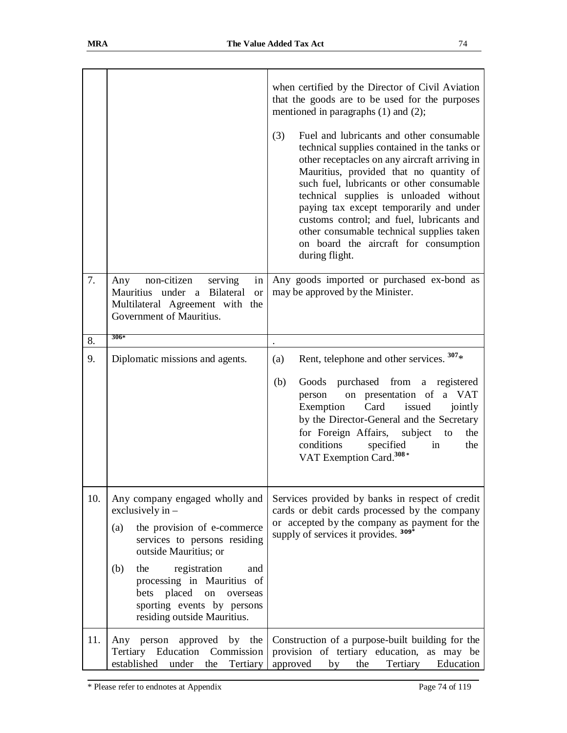| 7.  | non-citizen<br>Any<br>serving<br>in<br>Mauritius under a Bilateral<br><b>or</b><br>Multilateral Agreement with the<br>Government of Mauritius.                                                                                                                                                                          | when certified by the Director of Civil Aviation<br>that the goods are to be used for the purposes<br>mentioned in paragraphs $(1)$ and $(2)$ ;<br>(3)<br>Fuel and lubricants and other consumable<br>technical supplies contained in the tanks or<br>other receptacles on any aircraft arriving in<br>Mauritius, provided that no quantity of<br>such fuel, lubricants or other consumable<br>technical supplies is unloaded without<br>paying tax except temporarily and under<br>customs control; and fuel, lubricants and<br>other consumable technical supplies taken<br>on board the aircraft for consumption<br>during flight.<br>Any goods imported or purchased ex-bond as<br>may be approved by the Minister. |
|-----|-------------------------------------------------------------------------------------------------------------------------------------------------------------------------------------------------------------------------------------------------------------------------------------------------------------------------|-------------------------------------------------------------------------------------------------------------------------------------------------------------------------------------------------------------------------------------------------------------------------------------------------------------------------------------------------------------------------------------------------------------------------------------------------------------------------------------------------------------------------------------------------------------------------------------------------------------------------------------------------------------------------------------------------------------------------|
| 8.  | $306*$                                                                                                                                                                                                                                                                                                                  |                                                                                                                                                                                                                                                                                                                                                                                                                                                                                                                                                                                                                                                                                                                         |
| 9.  | Diplomatic missions and agents.                                                                                                                                                                                                                                                                                         | Rent, telephone and other services. $307*$<br>(a)                                                                                                                                                                                                                                                                                                                                                                                                                                                                                                                                                                                                                                                                       |
|     |                                                                                                                                                                                                                                                                                                                         | Goods purchased from a registered<br>(b)<br>on presentation of a VAT<br>person<br>Exemption<br>Card<br>issued<br>jointly<br>by the Director-General and the Secretary<br>for Foreign Affairs, subject to<br>the<br>conditions<br>specified<br>the<br>in<br>VAT Exemption Card. <sup>308</sup> *                                                                                                                                                                                                                                                                                                                                                                                                                         |
| 10. | Any company engaged wholly and<br>exclusively in $-$<br>the provision of e-commerce<br>(a)<br>services to persons residing<br>outside Mauritius; or<br>registration<br>(b)<br>the<br>and<br>processing in Mauritius of<br>placed<br>bets<br>on<br>overseas<br>sporting events by persons<br>residing outside Mauritius. | Services provided by banks in respect of credit<br>cards or debit cards processed by the company<br>or accepted by the company as payment for the<br>supply of services it provides. 309 <sup>*</sup>                                                                                                                                                                                                                                                                                                                                                                                                                                                                                                                   |
| 11. | Any person approved by the<br>Tertiary Education<br>Commission<br>established<br>under<br>the<br>Tertiary                                                                                                                                                                                                               | Construction of a purpose-built building for the<br>provision of tertiary education, as may be<br>Education<br>approved<br>Tertiary<br>by<br>the                                                                                                                                                                                                                                                                                                                                                                                                                                                                                                                                                                        |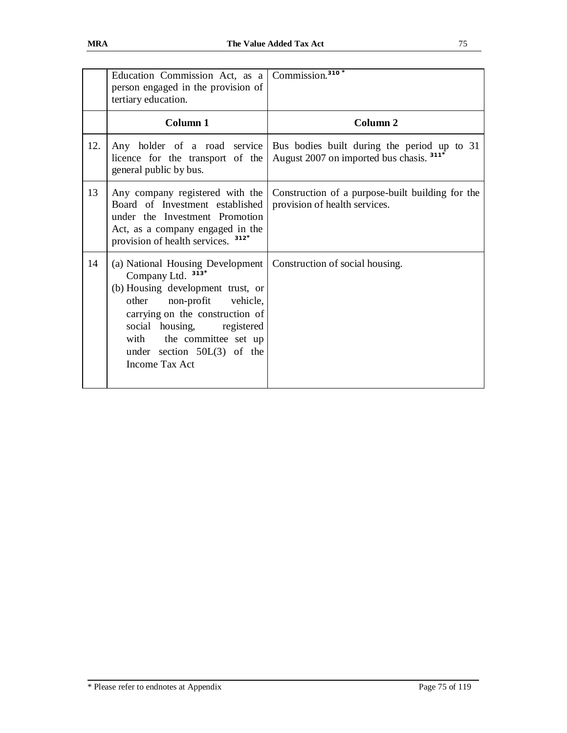|     | Education Commission Act, as a Commission. <sup>310*</sup><br>person engaged in the provision of<br>tertiary education.                                                                                                                                                                                            |                                                                                         |
|-----|--------------------------------------------------------------------------------------------------------------------------------------------------------------------------------------------------------------------------------------------------------------------------------------------------------------------|-----------------------------------------------------------------------------------------|
|     | Column 1                                                                                                                                                                                                                                                                                                           | Column <sub>2</sub>                                                                     |
| 12. | Any holder of a road service<br>licence for the transport of the<br>general public by bus.                                                                                                                                                                                                                         | Bus bodies built during the period up to 31<br>August 2007 on imported bus chasis. 311* |
| 13  | Any company registered with the<br>Board of Investment established<br>under the Investment Promotion<br>Act, as a company engaged in the<br>provision of health services. <sup>312*</sup>                                                                                                                          | Construction of a purpose-built building for the<br>provision of health services.       |
| 14  | (a) National Housing Development   Construction of social housing.<br>$313*$<br>Company Ltd.<br>(b) Housing development trust, or<br>non-profit vehicle,<br>other<br>carrying on the construction of<br>social housing, registered<br>with the committee set up<br>under section $50L(3)$ of the<br>Income Tax Act |                                                                                         |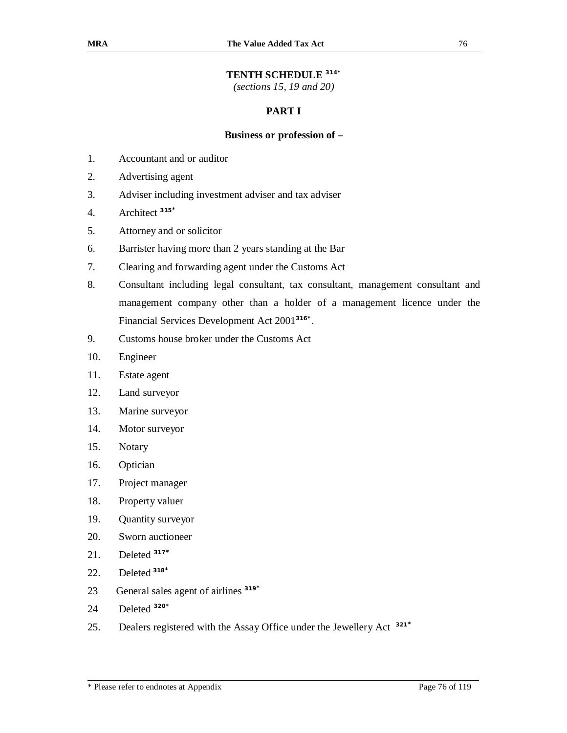## **TENTH SCHEDULE 314\***

*(sections 15, 19 and 20)* 

## **PART I**

## **Business or profession of –**

- 1. Accountant and or auditor
- 2. Advertising agent
- 3. Adviser including investment adviser and tax adviser
- 4. Architect **<sup>315</sup>\***
- 5. Attorney and or solicitor
- 6. Barrister having more than 2 years standing at the Bar
- 7. Clearing and forwarding agent under the Customs Act
- 8. Consultant including legal consultant, tax consultant, management consultant and management company other than a holder of a management licence under the Financial Services Development Act 2001**316\*** .
- 9. Customs house broker under the Customs Act
- 10. Engineer
- 11. Estate agent
- 12. Land surveyor
- 13. Marine surveyor
- 14. Motor surveyor
- 15. Notary
- 16. Optician
- 17. Project manager
- 18. Property valuer
- 19. Quantity surveyor
- 20. Sworn auctioneer
- 21. Deleted **<sup>317</sup>\***
- 22. Deleted **<sup>318</sup>\***
- 23 General sales agent of airlines **<sup>319</sup>\***
- 24 Deleted **320\***
- 25. Dealers registered with the Assay Office under the Jewellery Act **321\***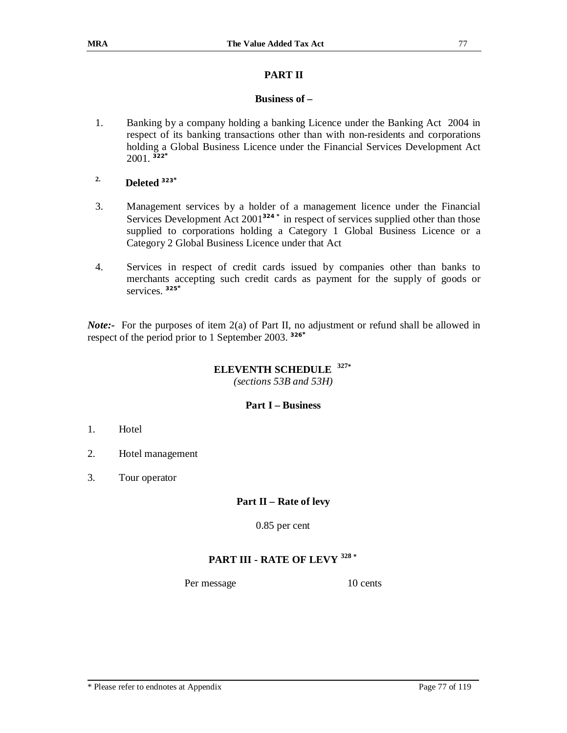## **PART II**

## **Business of –**

- 1. Banking by a company holding a banking Licence under the Banking Act 2004 in respect of its banking transactions other than with non-residents and corporations holding a Global Business Licence under the Financial Services Development Act 2001. **322\***
- **2. Deleted <sup>323</sup>\***
- 3. Management services by a holder of a management licence under the Financial Services Development Act 2001**324 \*** in respect of services supplied other than those supplied to corporations holding a Category 1 Global Business Licence or a Category 2 Global Business Licence under that Act
- 4. Services in respect of credit cards issued by companies other than banks to merchants accepting such credit cards as payment for the supply of goods or services. **325\***

*Note:*- For the purposes of item 2(a) of Part II, no adjustment or refund shall be allowed in respect of the period prior to 1 September 2003. **326\***

#### **ELEVENTH SCHEDULE 327\***

*(sections 53B and 53H)* 

## **Part I – Business**

- 1. Hotel
- 2. Hotel management
- 3. Tour operator

## **Part II – Rate of levy**

0.85 per cent

# **PART III - RATE OF LEVY <sup>328</sup> \***

Per message 10 cents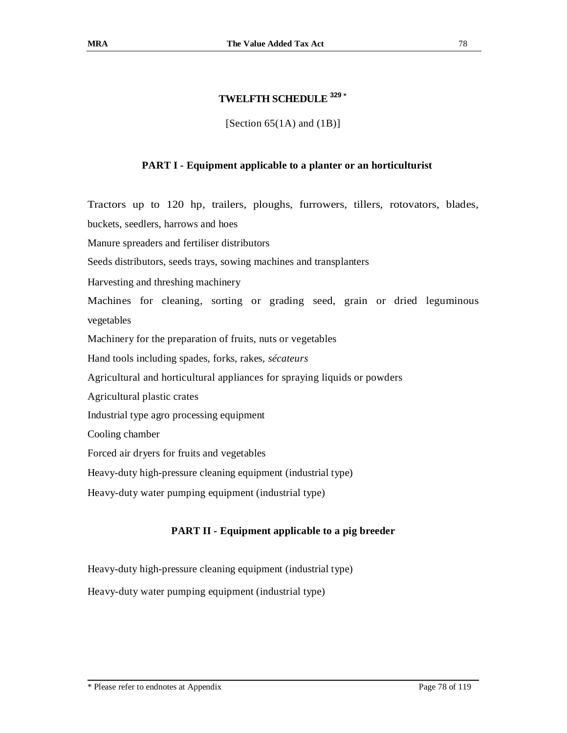## **TWELFTH SCHEDULE <sup>329</sup> \***

[Section  $65(1A)$  and  $(1B)$ ]

## **PART I - Equipment applicable to a planter or an horticulturist**

Tractors up to 120 hp, trailers, ploughs, furrowers, tillers, rotovators, blades, buckets, seedlers, harrows and hoes

Manure spreaders and fertiliser distributors

Seeds distributors, seeds trays, sowing machines and transplanters

Harvesting and threshing machinery

Machines for cleaning, sorting or grading seed, grain or dried leguminous vegetables

Machinery for the preparation of fruits, nuts or vegetables

Hand tools including spades, forks, rakes, *sécateurs*

Agricultural and horticultural appliances for spraying liquids or powders

Agricultural plastic crates

Industrial type agro processing equipment

Cooling chamber

Forced air dryers for fruits and vegetables

Heavy-duty high-pressure cleaning equipment (industrial type)

Heavy-duty water pumping equipment (industrial type)

## **PART II - Equipment applicable to a pig breeder**

Heavy-duty high-pressure cleaning equipment (industrial type)

Heavy-duty water pumping equipment (industrial type)

\* Please refer to endnotes at Appendix Page 78 of 119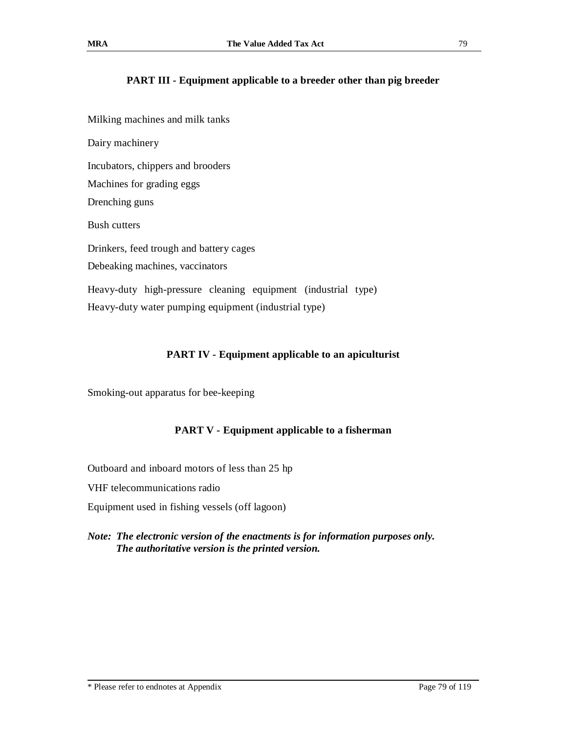## **PART III - Equipment applicable to a breeder other than pig breeder**

Milking machines and milk tanks Dairy machinery Incubators, chippers and brooders Machines for grading eggs Drenching guns Bush cutters Drinkers, feed trough and battery cages Debeaking machines, vaccinators Heavy-duty high-pressure cleaning equipment (industrial type) Heavy-duty water pumping equipment (industrial type)

## **PART IV - Equipment applicable to an apiculturist**

Smoking-out apparatus for bee-keeping

## **PART V - Equipment applicable to a fisherman**

Outboard and inboard motors of less than 25 hp

VHF telecommunications radio

Equipment used in fishing vessels (off lagoon)

## *Note: The electronic version of the enactments is for information purposes only. The authoritative version is the printed version.*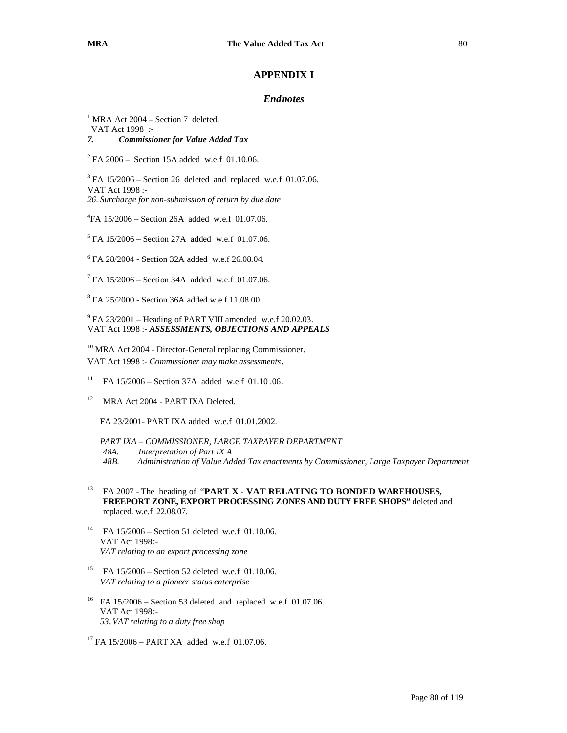## **APPENDIX I**

### *Endnotes*

 $1$  MRA Act 2004 – Section 7 deleted.

VAT Act 1998 *:-* 

*7. Commissioner for Value Added Tax* 

 $^{2}$  FA 2006 – Section 15A added w.e.f 01.10.06.

 $3$  FA 15/2006 – Section 26 deleted and replaced w.e.f 01.07.06. VAT Act 1998 :- *26. Surcharge for non-submission of return by due date* 

4 FA 15/2006 – Section 26A added w.e.f 01.07.06.

<sup>5</sup> FA 15/2006 – Section 27A added w.e.f 01.07.06.

6 FA 28/2004 - Section 32A added w.e.f 26.08.04.

 $7$  FA 15/2006 – Section 34A added w.e.f 01.07.06.

8 FA 25/2000 - Section 36A added w.e.f 11.08.00.

 $9$  FA 23/2001 – Heading of PART VIII amended w.e.f 20.02.03. VAT Act 1998 :- *ASSESSMENTS, OBJECTIONS AND APPEALS*

<sup>10</sup> MRA Act 2004 - Director-General replacing Commissioner. VAT Act 1998 :- *Commissioner may make assessments*.

<sup>11</sup> FA  $15/2006$  – Section 37A added w.e.f 01.10 .06.

<sup>12</sup> MRA Act 2004 - PART IXA Deleted.

FA 23/2001- PART IXA added w.e.f 01.01.2002.

*PART IXA – COMMISSIONER, LARGE TAXPAYER DEPARTMENT 48A. Interpretation of Part IX A 48B. Administration of Value Added Tax enactments by Commissioner, Large Taxpayer Department*

- <sup>13</sup> FA 2007 The heading of "**PART X - VAT RELATING TO BONDED WAREHOUSES, FREEPORT ZONE, EXPORT PROCESSING ZONES AND DUTY FREE SHOPS"** deleted and replaced. w.e.f 22.08.07.
- <sup>14</sup> FA  $15/2006$  Section 51 deleted w.e.f 01.10.06. VAT Act 1998*:- VAT relating to an export processing zone*
- <sup>15</sup> FA  $15/2006$  Section 52 deleted w.e.f 01.10.06. *VAT relating to a pioneer status enterprise*
- $^{16}$  FA 15/2006 Section 53 deleted and replaced w.e.f 01.07.06. VAT Act 1998*:- 53. VAT relating to a duty free shop*
- <sup>17</sup> FA 15/2006 PART XA added w.e.f 01.07.06.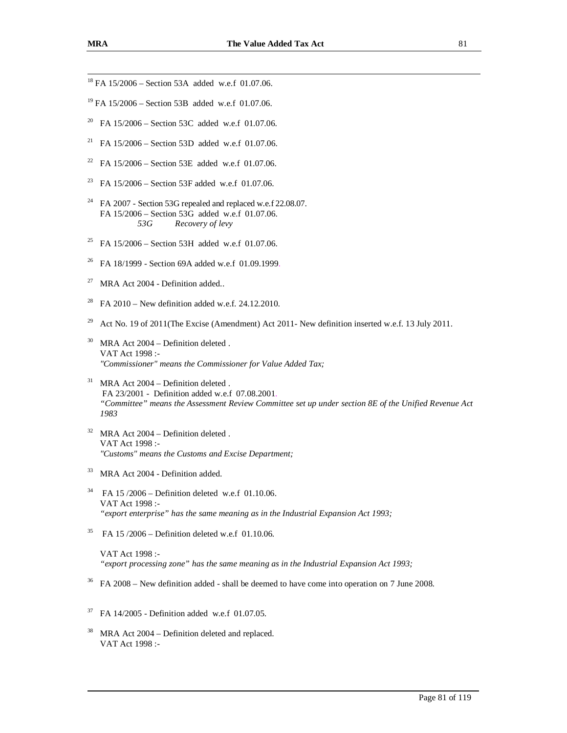- $^{18}$  FA 15/2006 Section 53A added w.e.f 01.07.06.
- $^{19}$  FA 15/2006 Section 53B added w.e.f 01.07.06.
- <sup>20</sup> FA  $15/2006$  Section 53C added w.e.f 01.07.06.
- <sup>21</sup> FA 15/2006 Section 53D added w.e.f 01.07.06.
- <sup>22</sup> FA  $15/2006$  Section 53E added w.e.f 01.07.06.
- <sup>23</sup> FA 15/2006 Section 53F added w.e.f 01.07.06.
- <sup>24</sup> FA 2007 Section 53G repealed and replaced w.e.f 22.08.07. FA 15/2006 – Section 53G added w.e.f 01.07.06.<br>53G Recovery of levy *53G Recovery of levy*
- <sup>25</sup> FA  $15/2006$  Section 53H added w.e.f 01.07.06.
- <sup>26</sup> FA 18/1999 Section 69A added w.e.f 01.09.1999.
- <sup>27</sup> MRA Act 2004 Definition added..
- <sup>28</sup> FA 2010 New definition added w.e.f. 24.12.2010.
- <sup>29</sup> Act No. 19 of 2011(The Excise (Amendment) Act 2011- New definition inserted w.e.f. 13 July 2011.
- $30$  MRA Act 2004 Definition deleted. VAT Act 1998 :- *"Commissioner" means the Commissioner for Value Added Tax;*
- $31$  MRA Act 2004 Definition deleted. FA 23/2001 - Definition added w.e.f 07.08.2001. *"Committee" means the Assessment Review Committee set up under section 8E of the Unified Revenue Act 1983*
- $32$  MRA Act 2004 Definition deleted. VAT Act 1998 :- *"Customs" means the Customs and Excise Department;*
- <sup>33</sup> MRA Act 2004 Definition added.
- $34$  FA 15 /2006 Definition deleted w.e.f 01.10.06. VAT Act 1998 :- *"export enterprise" has the same meaning as in the Industrial Expansion Act 1993;*
- <sup>35</sup> FA 15 /2006 Definition deleted w.e.f 01.10.06.

VAT Act 1998 :- *"export processing zone" has the same meaning as in the Industrial Expansion Act 1993;* 

- $36$  FA 2008 New definition added shall be deemed to have come into operation on 7 June 2008.
- $37$  FA 14/2005 Definition added w.e.f 01.07.05.
- $38$  MRA Act 2004 Definition deleted and replaced. VAT Act 1998 :-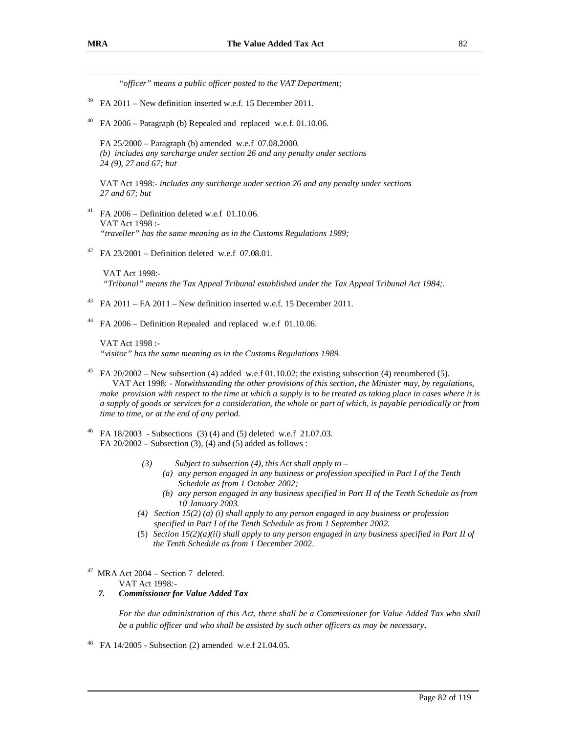*"officer" means a public officer posted to the VAT Department;*   $39$  FA 2011 – New definition inserted w.e.f. 15 December 2011.

<sup>40</sup> FA 2006 – Paragraph (b) Repealed and replaced w.e.f. 01.10.06.

FA 25/2000 – Paragraph (b) amended w.e.f 07.08.2000. *(b) includes any surcharge under section 26 and any penalty under sections 24 (9), 27 and 67; but* 

VAT Act 1998:- *includes any surcharge under section 26 and any penalty under sections 27 and 67; but* 

- <sup>41</sup> FA 2006 Definition deleted w.e.f 01.10.06. VAT Act 1998 :- *"traveller" has the same meaning as in the Customs Regulations 1989;*
- <sup>42</sup> FA 23/2001 Definition deleted w.e.f 07.08.01.

VAT Act 1998:- *"Tribunal" means the Tax Appeal Tribunal established under the Tax Appeal Tribunal Act 1984;.* 

- <sup>43</sup> FA 2011 FA 2011 New definition inserted w.e.f. 15 December 2011.
- $44$  FA 2006 Definition Repealed and replaced w.e.f 01.10.06.

VAT Act 1998 :- *"visitor" has the same meaning as in the Customs Regulations 1989.* 

- FA  $20/2002$  New subsection (4) added w.e.f 01.10.02; the existing subsection (4) renumbered (5). VAT Act 1998: *- Notwithstanding the other provisions of this section, the Minister may, by regulations,*  make provision with respect to the time at which a supply is to be treated as taking place in cases where it is a supply of goods or services for a consideration, the whole or part of which, is payable periodically or from *time to time, or at the end of any period.*
- <sup>46</sup> FA 18/2003 Subsections (3) (4) and (5) deleted w.e.f 21.07.03. FA  $20/2002$  – Subsection (3), (4) and (5) added as follows :
	- *(3) Subject to subsection (4), this Act shall apply to* 
		- *(a) any person engaged in any business or profession specified in Part I of the Tenth Schedule as from 1 October 2002;*
		- *(b) any person engaged in any business specified in Part II of the Tenth Schedule as from 10 January 2003.*
	- *(4) Section 15(2) (a) (i) shall apply to any person engaged in any business or profession specified in Part I of the Tenth Schedule as from 1 September 2002.*
	- (5) *Section 15(2)(a)(ii) shall apply to any person engaged in any business specified in Part II of the Tenth Schedule as from 1 December 2002*.

<sup>47</sup> MRA Act  $2004 -$  Section 7 deleted.

VAT Act 1998*:-* 

*7. Commissioner for Value Added Tax* 

For the due administration of this Act, there shall be a Commissioner for Value Added Tax who shall *be a public officer and who shall be assisted by such other officers as may be necessary*.

<sup>48</sup> FA 14/2005 - Subsection (2) amended w.e.f 21.04.05.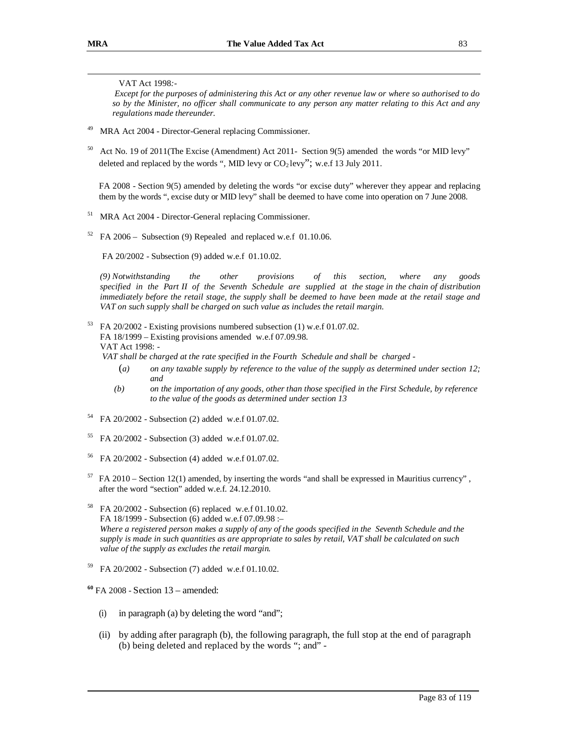### VAT Act 1998*:-*

Except for the purposes of administering this Act or any other revenue law or where so authorised to do so by the Minister, no officer shall communicate to any person any matter relating to this Act and any *regulations made thereunder.*

- MRA Act 2004 Director-General replacing Commissioner.
- <sup>50</sup> Act No. 19 of 2011(The Excise (Amendment) Act 2011- Section 9(5) amended the words "or MID levy" deleted and replaced by the words ", MID levy or  $CO<sub>2</sub>$  levy"; w.e.f 13 July 2011.

FA 2008 - Section 9(5) amended by deleting the words "or excise duty" wherever they appear and replacing them by the words ", excise duty or MID levy" shall be deemed to have come into operation on 7 June 2008.

- <sup>51</sup> MRA Act 2004 Director-General replacing Commissioner.
- $52$  FA 2006 Subsection (9) Repealed and replaced w.e.f 01.10.06.

FA 20/2002 - Subsection (9) added w.e.f 01.10.02.

*(9) Notwithstanding the other provisions of this section, where any goods specified in the Part II of the Seventh Schedule are supplied at the stage in the chain of distribution*  immediately before the retail stage, the supply shall be deemed to have been made at the retail stage and *VAT on such supply shall be charged on such value as includes the retail margin.* 

 $53$  FA 20/2002 - Existing provisions numbered subsection (1) w.e.f 01.07.02. FA 18/1999 – Existing provisions amended w.e.f 07.09.98. VAT Act 1998: - *VAT shall be charged at the rate specified in the Fourth Schedule and shall be charged -*

- (*a) on any taxable supply by reference to the value of the supply as determined under section 12; and*
- *(b) on the importation of any goods, other than those specified in the First Schedule, by reference to the value of the goods as determined under section 13*
- <sup>54</sup> FA 20/2002 Subsection (2) added w.e.f 01.07.02.
- <sup>55</sup> FA 20/2002 Subsection (3) added w.e.f 01.07.02.
- <sup>56</sup> FA 20/2002 Subsection (4) added w.e.f 01.07.02.
- <sup>57</sup> FA 2010 Section 12(1) amended, by inserting the words "and shall be expressed in Mauritius currency" , after the word "section" added w.e.f. 24.12.2010.
- <sup>58</sup> FA 20/2002 Subsection (6) replaced w.e.f 01.10.02. FA 18/1999 - Subsection (6) added w.e.f 07.09.98 :– Where a registered person makes a supply of any of the goods specified in the Seventh Schedule and the supply is made in such quantities as are appropriate to sales by retail, VAT shall be calculated on such *value of the supply as excludes the retail margin.*
- <sup>59</sup> FA 20/2002 Subsection (7) added w.e.f 01.10.02.

**<sup>60</sup>** FA 2008 - Section 13 – amended:

- (i) in paragraph (a) by deleting the word "and";
- (ii) by adding after paragraph (b), the following paragraph, the full stop at the end of paragraph (b) being deleted and replaced by the words "; and" -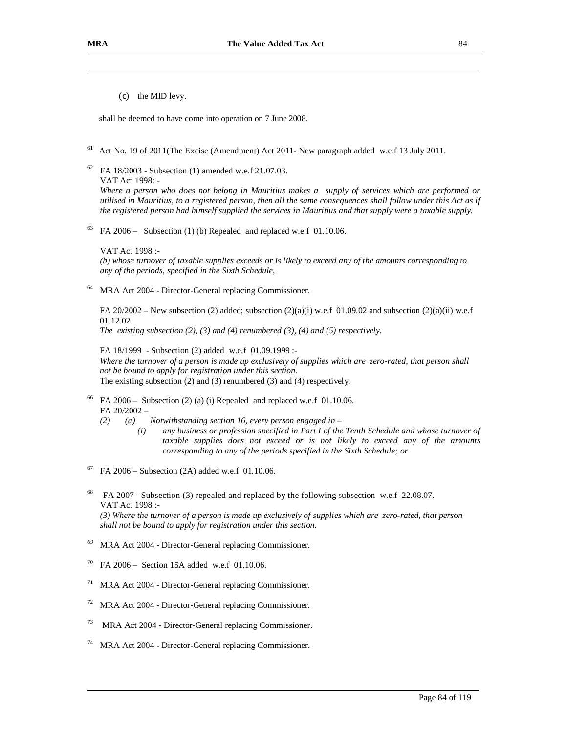(c) the MID levy.

shall be deemed to have come into operation on 7 June 2008.

- <sup>61</sup> Act No. 19 of 2011(The Excise (Amendment) Act 2011- New paragraph added w.e.f 13 July 2011.
- $62$  FA 18/2003 Subsection (1) amended w.e.f 21.07.03. VAT Act 1998: -

*Where a person who does not belong in Mauritius makes a supply of services which are performed or*  utilised in Mauritius, to a registered person, then all the same consequences shall follow under this Act as if the registered person had himself supplied the services in Mauritius and that supply were a taxable supply.

 $63$  FA 2006 – Subsection (1) (b) Repealed and replaced w.e.f 01.10.06.

VAT Act 1998 :- (b) whose turnover of taxable supplies exceeds or is likely to exceed any of the amounts corresponding to *any of the periods, specified in the Sixth Schedule,* 

MRA Act 2004 - Director-General replacing Commissioner.

FA 20/2002 – New subsection (2) added; subsection (2)(a)(i) w.e.f 01.09.02 and subsection (2)(a)(ii) w.e.f 01.12.02.

*The existing subsection (2), (3) and (4) renumbered (3), (4) and (5) respectively.*

FA 18/1999 - Subsection (2) added w.e.f 01.09.1999 :- Where the turnover of a person is made up exclusively of supplies which are zero-rated, that person shall *not be bound to apply for registration under this section.*  The existing subsection (2) and (3) renumbered (3) and (4) respectively*.* 

- FA  $2006 -$  Subsection (2) (a) (i) Repealed and replaced w.e.f 01.10.06. FA 20/2002 –
	- *(2) (a) Notwithstanding section 16, every person engaged in* 
		- *(i) any business or profession specified in Part I of the Tenth Schedule and whose turnover of taxable supplies does not exceed or is not likely to exceed any of the amounts corresponding to any of the periods specified in the Sixth Schedule; or*
- $67$  FA 2006 Subsection (2A) added w.e.f 01.10.06.
- <sup>68</sup> FA 2007 Subsection (3) repealed and replaced by the following subsection w.e.f 22.08.07. VAT Act 1998 :-

(3) Where the turnover of a person is made up exclusively of supplies which are zero-rated, that person *shall not be bound to apply for registration under this section.* 

- *<sup>69</sup>* MRA Act 2004 Director-General replacing Commissioner.
- <sup>70</sup> FA 2006 Section 15A added w.e.f 01.10.06.
- <sup>71</sup> MRA Act 2004 Director-General replacing Commissioner.
- <sup>72</sup> MRA Act 2004 Director-General replacing Commissioner.
- <sup>73</sup> MRA Act 2004 Director-General replacing Commissioner.
- MRA Act 2004 Director-General replacing Commissioner.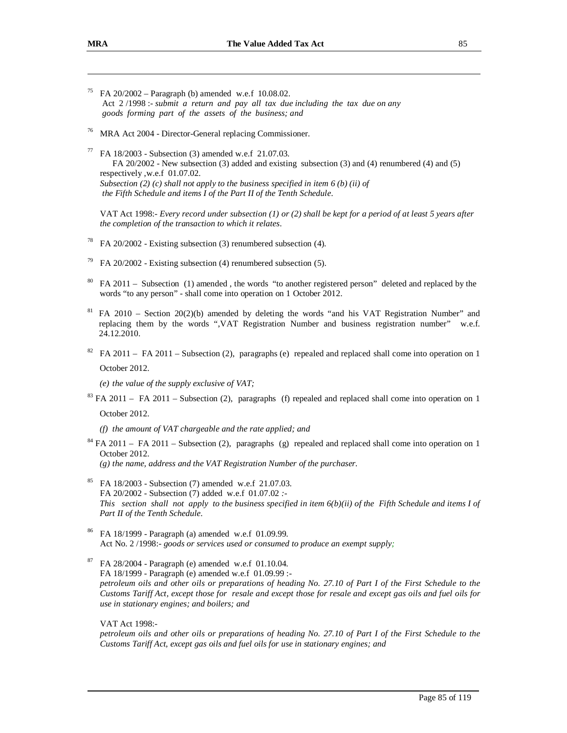- FA  $20/2002$  Paragraph (b) amended w.e.f 10.08.02. Act 2 /1998 :- *submit a return and pay all tax due including the tax due on any goods forming part of the assets of the business; and*
- <sup>76</sup> MRA Act 2004 Director-General replacing Commissioner.
- $77$  FA 18/2003 Subsection (3) amended w.e.f 21.07.03. FA 20/2002 - New subsection (3) added and existing subsection (3) and (4) renumbered (4) and (5) respectively ,w.e.f 01.07.02. *Subsection (2) (c) shall not apply to the business specified in item 6 (b) (ii) of the Fifth Schedule and items I of the Part II of the Tenth Schedule*.

VAT Act 1998:- Every record under subsection  $(1)$  or  $(2)$  shall be kept for a period of at least 5 years after *the completion of the transaction to which it relates*.

- <sup>78</sup> FA 20/2002 Existing subsection (3) renumbered subsection (4).
- FA 20/2002 Existing subsection (4) renumbered subsection (5).
- <sup>80</sup> FA 2011 Subsection (1) amended , the words "to another registered person" deleted and replaced by the words "to any person" - shall come into operation on 1 October 2012.
- $81$  FA 2010 Section 20(2)(b) amended by deleting the words "and his VAT Registration Number" and replacing them by the words ",VAT Registration Number and business registration number" w.e.f. 24.12.2010.
- $82$  FA 2011 FA 2011 Subsection (2), paragraphs (e) repealed and replaced shall come into operation on 1 October 2012.

*(e) the value of the supply exclusive of VAT;* 

<sup>83</sup> FA 2011 – FA 2011 – Subsection (2), paragraphs (f) repealed and replaced shall come into operation on 1 October 2012.

*(f) the amount of VAT chargeable and the rate applied; and* 

<sup>84</sup> FA 2011 – FA 2011 – Subsection (2), paragraphs (g) repealed and replaced shall come into operation on 1 October 2012.

*(g) the name, address and the VAT Registration Number of the purchaser.* 

- FA 18/2003 Subsection (7) amended w.e.f 21.07.03. FA 20/2002 - Subsection (7) added w.e.f 01.07.02 *:-*  This section shall not apply to the business specified in item  $6(b)(ii)$  of the Fifth Schedule and items I of *Part II of the Tenth Schedule*.
- <sup>86</sup> FA 18/1999 Paragraph (a) amended w.e.f 01.09.99. Act No. 2 /1998:- *goods or services used or consumed to produce an exempt supply;*
- <sup>87</sup> FA 28/2004 Paragraph (e) amended w.e.f 01.10.04. FA 18/1999 - Paragraph (e) amended w.e.f 01.09.99 : petroleum oils and other oils or preparations of heading No. 27.10 of Part I of the First Schedule to the Customs Tariff Act, except those for resale and except those for resale and except gas oils and fuel oils for *use in stationary engines; and boilers; and*

VAT Act 1998:-

petroleum oils and other oils or preparations of heading No. 27.10 of Part I of the First Schedule to the *Customs Tariff Act, except gas oils and fuel oils for use in stationary engines; and*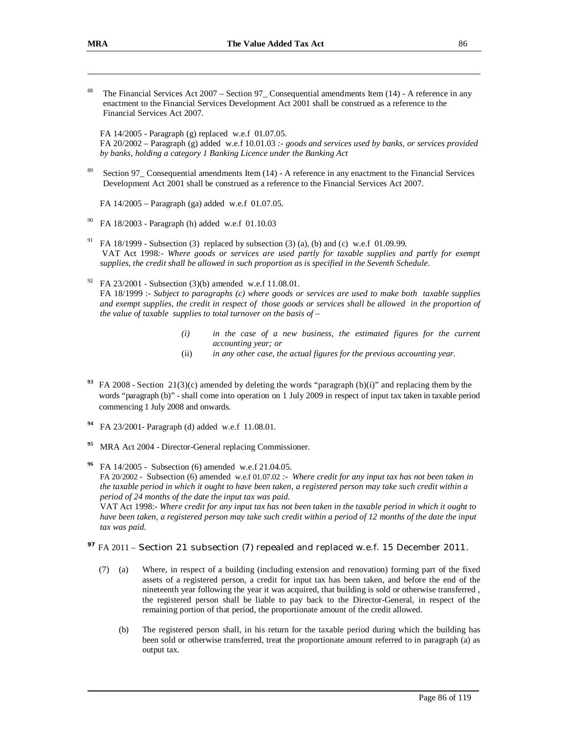<sup>88</sup> The Financial Services Act 2007 – Section 97\_ Consequential amendments Item (14) - A reference in any enactment to the Financial Services Development Act 2001 shall be construed as a reference to the Financial Services Act 2007.

FA 14/2005 - Paragraph (g) replaced w.e.f 01.07.05. FA 20/2002 – Paragraph (g) added w.e.f 10.01.03 *:- goods and services used by banks, or services provided by banks, holding a category 1 Banking Licence under the Banking Act*

<sup>89</sup> Section 97\_ Consequential amendments Item (14) - A reference in any enactment to the Financial Services Development Act 2001 shall be construed as a reference to the Financial Services Act 2007.

FA 14/2005 – Paragraph (ga) added w.e.f 01.07.05.

- <sup>90</sup> FA 18/2003 Paragraph (h) added w.e.f 01.10.03
- <sup>91</sup> FA 18/1999 Subsection (3) replaced by subsection (3) (a), (b) and (c) w.e.f 01.09.99. VAT Act 1998*:- Where goods or services are used partly for taxable supplies and partly for exempt supplies, the credit shall be allowed in such proportion as is specified in the Seventh Schedule*.

### FA 23/2001 - Subsection (3)(b) amended w.e.f 11.08.01. FA 18/1999 :- *Subject to paragraphs (c) where goods or services are used to make both taxable supplies*  and exempt supplies, the credit in respect of those goods or services shall be allowed in the proportion of *the value of taxable supplies to total turnover on the basis of –*

- *(i) in the case of a new business, the estimated figures for the current accounting year; or*
- (ii) *in any other case, the actual figures for the previous accounting year.*
- **93 FA 2008** Section 21(3)(c) amended by deleting the words "paragraph (b)(i)" and replacing them by the words "paragraph (b)" - shall come into operation on 1 July 2009 in respect of input tax taken in taxable period commencing 1 July 2008 and onwards.
- **94** FA 23/2001- Paragraph (d) added w.e.f 11.08.01.
- **<sup>95</sup>** MRA Act 2004 Director-General replacing Commissioner.

**<sup>96</sup>** FA 14/2005 - Subsection (6) amended w.e.f 21.04.05. FA 20/2002 - Subsection (6) amended w.e.f 01.07.02 *:- Where credit for any input tax has not been taken in*  the taxable period in which it ought to have been taken, a registered person may take such credit within a *period of 24 months of the date the input tax was paid.* 

VAT Act 1998:- Where credit for any input tax has not been taken in the taxable period in which it ought to have been taken, a registered person may take such credit within a period of 12 months of the date the input *tax was paid.* 

## **<sup>97</sup>** FA 2011 – Section 21 subsection (7) repealed and replaced w.e.f. 15 December 2011.

- (7) (a) Where, in respect of a building (including extension and renovation) forming part of the fixed assets of a registered person, a credit for input tax has been taken, and before the end of the nineteenth year following the year it was acquired, that building is sold or otherwise transferred , the registered person shall be liable to pay back to the Director-General, in respect of the remaining portion of that period, the proportionate amount of the credit allowed.
	- (b) The registered person shall, in his return for the taxable period during which the building has been sold or otherwise transferred, treat the proportionate amount referred to in paragraph (a) as output tax.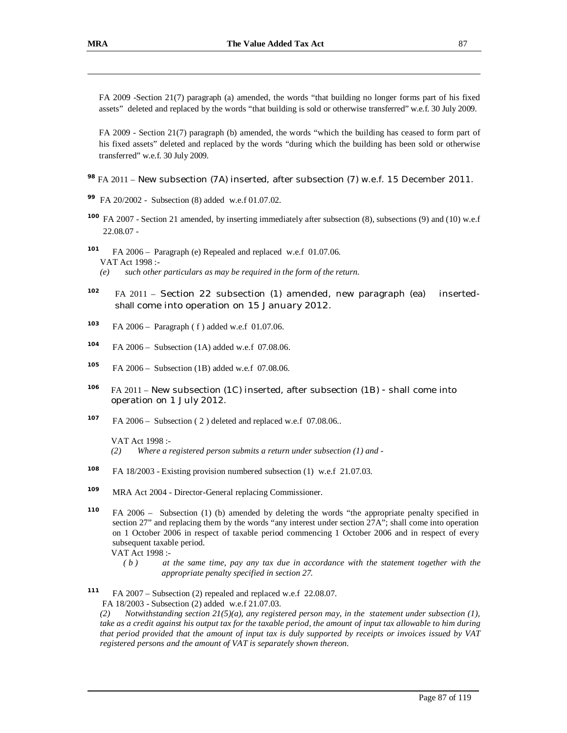FA 2009 -Section 21(7) paragraph (a) amended, the words "that building no longer forms part of his fixed assets" deleted and replaced by the words "that building is sold or otherwise transferred" w.e.f. 30 July 2009.

FA 2009 - Section 21(7) paragraph (b) amended, the words "which the building has ceased to form part of his fixed assets" deleted and replaced by the words "during which the building has been sold or otherwise transferred" w.e.f. 30 July 2009.

## **<sup>98</sup>** FA 2011 – New subsection (7A) inserted, after subsection (7) w.e.f. 15 December 2011.

- **<sup>99</sup>** FA 20/2002 Subsection (8) added w.e.f 01.07.02.
- <sup>100</sup> FA 2007 Section 21 amended, by inserting immediately after subsection (8), subsections (9) and (10) w.e.f 22.08.07 -
- **101** FA 2006 – Paragraph (e) Repealed and replaced w.e.f 01.07.06. VAT Act 1998 :- *(e) such other particulars as may be required in the form of the return.*
- <sup>102</sup> FA 2011 Section 22 subsection (1) amended, new paragraph (ea) insertedshall come into operation on 15 January 2012.
- **<sup>103</sup>** FA 2006 Paragraph ( f ) added w.e.f 01.07.06.
- **104** FA 2006 – Subsection (1A) added w.e.f 07.08.06.
- **105** FA 2006 – Subsection (1B) added w.e.f 07.08.06.
- **106** FA 2011 – New subsection (1C) inserted, after subsection (1B) - shall come into operation on 1 July 2012.
- **<sup>107</sup>** FA 2006 Subsection ( 2 ) deleted and replaced w.e.f 07.08.06..

VAT Act 1998 :-

- **<sup>108</sup>** FA 18/2003 Existing provision numbered subsection (1) w.e.f 21.07.03.
- **<sup>109</sup>** MRA Act 2004 Director-General replacing Commissioner.
- **<sup>110</sup>** FA 2006 Subsection (1) (b) amended by deleting the words "the appropriate penalty specified in section 27" and replacing them by the words "any interest under section 27A"; shall come into operation on 1 October 2006 in respect of taxable period commencing 1 October 2006 and in respect of every subsequent taxable period.

VAT Act 1998 :-

- *( b ) at the same time, pay any tax due in accordance with the statement together with the appropriate penalty specified in section 27.*
- **111** FA 2007 – Subsection (2) repealed and replaced w.e.f 22.08.07. FA 18/2003 - Subsection (2) added w.e.f 21.07.03.

*(2) Notwithstanding section 21(5)(a), any registered person may, in the statement under subsection (1),*  take as a credit against his output tax for the taxable period, the amount of input tax allowable to him during that period provided that the amount of input tax is duly supported by receipts or invoices issued by VAT *registered persons and the amount of VAT is separately shown thereon.* 

*<sup>(2)</sup> Where a registered person submits a return under subsection (1) and -*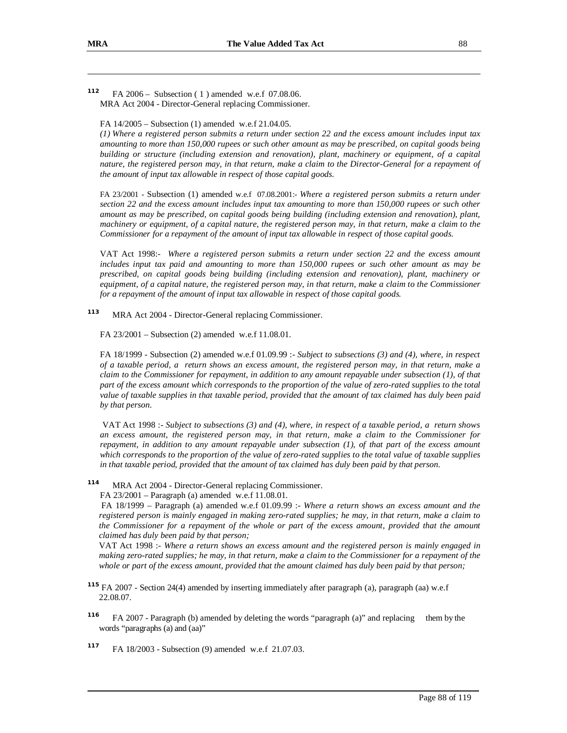**<sup>112</sup>** FA 2006 – Subsection ( 1 ) amended w.e.f 07.08.06. MRA Act 2004 - Director-General replacing Commissioner.

FA 14/2005 – Subsection (1) amended w.e.f 21.04.05.

 $(1)$  Where a registered person submits a return under section 22 and the excess amount includes input tax amounting to more than 150,000 rupees or such other amount as may be prescribed, on capital goods being *building or structure (including extension and renovation), plant, machinery or equipment, of a capital*  nature, the registered person may, in that return, make a claim to the Director-General for a repayment of *the amount of input tax allowable in respect of those capital goods.* 

FA 23/2001 - Subsection (1) amended w.e.f 07.08.2001:- *Where a registered person submits a return under*  section 22 and the excess amount includes input tax amounting to more than 150,000 rupees or such other *amount as may be prescribed, on capital goods being building (including extension and renovation), plant,*  machinery or equipment, of a capital nature, the registered person may, in that return, make a claim to the *Commissioner for a repayment of the amount of input tax allowable in respect of those capital goods.* 

VAT Act 1998:- *Where a registered person submits a return under section 22 and the excess amount includes input tax paid and amounting to more than 150,000 rupees or such other amount as may be prescribed, on capital goods being building (including extension and renovation), plant, machinery or*  equipment, of a capital nature, the registered person may, in that return, make a claim to the Commissioner *for a repayment of the amount of input tax allowable in respect of those capital goods.* 

**113** MRA Act 2004 - Director-General replacing Commissioner.

FA 23/2001 – Subsection (2) amended w.e.f 11.08.01.

FA 18/1999 - Subsection (2) amended w.e.f 01.09.99 :- *Subject to subsections (3) and (4), where, in respect*  of a taxable period, a return shows an excess amount, the registered person may, in that return, make a claim to the Commissioner for repayment, in addition to any amount repayable under subsection  $(1)$ , of that part of the excess amount which corresponds to the proportion of the value of zero-rated supplies to the total value of taxable supplies in that taxable period, provided that the amount of tax claimed has duly been paid *by that person.* 

VAT Act 1998 :- *Subject to subsections (3) and (4), where, in respect of a taxable period, a return shows an excess amount, the registered person may, in that return, make a claim to the Commissioner for repayment, in addition to any amount repayable under subsection (1), of that part of the excess amount*  which corresponds to the proportion of the value of zero-rated supplies to the total value of taxable supplies *in that taxable period, provided that the amount of tax claimed has duly been paid by that person.*

**114** MRA Act 2004 - Director-General replacing Commissioner.

FA 23/2001 – Paragraph (a) amended w.e.f 11.08.01.

 FA 18/1999 – Paragraph (a) amended w.e.f 01.09.99 :- *Where a return shows an excess amount and the*  registered person is mainly engaged in making zero-rated supplies; he may, in that return, make a claim to the Commissioner for a repayment of the whole or part of the excess amount, provided that the amount *claimed has duly been paid by that person;* 

 VAT Act 1998 :- *Where a return shows an excess amount and the registered person is mainly engaged in*  making zero-rated supplies; he may, in that return, make a claim to the Commissioner for a repayment of the whole or part of the excess amount, provided that the amount claimed has duly been paid by that person;

**<sup>115</sup>** FA 2007 - Section 24(4) amended by inserting immediately after paragraph (a), paragraph (aa) w.e.f 22.08.07.

- **116** FA 2007 - Paragraph (b) amended by deleting the words "paragraph (a)" and replacing them by the words "paragraphs (a) and (aa)"
- **<sup>117</sup>** FA 18/2003 Subsection (9) amended w.e.f 21.07.03.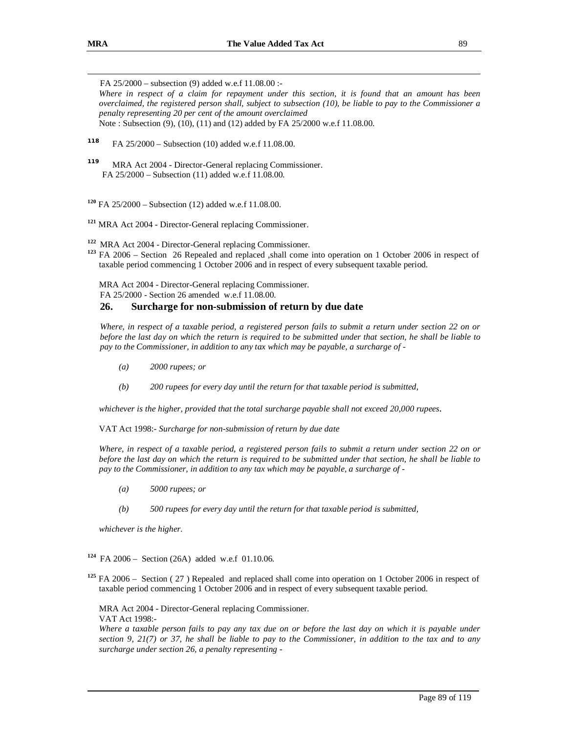FA 25/2000 – subsection (9) added w.e.f 11.08.00 :-

Where in respect of a claim for repayment under this section, it is found that an amount has been overclaimed, the registered person shall, subject to subsection  $(10)$ , be liable to pay to the Commissioner a *penalty representing 20 per cent of the amount overclaimed* Note : Subsection (9), (10), (11) and (12) added by FA 25/2000 w.e.f 11.08.00.

**<sup>118</sup>** FA 25/2000 – Subsection (10) added w.e.f 11.08.00.

- **119** MRA Act 2004 - Director-General replacing Commissioner. FA 25/2000 – Subsection (11) added w.e.f 11.08.00.
- **<sup>120</sup>** FA 25/2000 Subsection (12) added w.e.f 11.08.00.
- **<sup>121</sup>** MRA Act 2004 Director-General replacing Commissioner.

**<sup>122</sup>** MRA Act 2004 - Director-General replacing Commissioner.

**<sup>123</sup>** FA 2006 – Section 26 Repealed and replaced ,shall come into operation on 1 October 2006 in respect of taxable period commencing 1 October 2006 and in respect of every subsequent taxable period.

MRA Act 2004 - Director-General replacing Commissioner.

FA 25/2000 - Section 26 amended w.e.f 11.08.00.

## **26. Surcharge for non-submission of return by due date**

Where, in respect of a taxable period, a registered person fails to submit a return under section 22 on or before the last day on which the return is required to be submitted under that section, he shall be liable to *pay to the Commissioner, in addition to any tax which may be payable, a surcharge of -* 

- *(a) 2000 rupees; or*
- *(b) 200 rupees for every day until the return for that taxable period is submitted,*

*whichever is the higher, provided that the total surcharge payable shall not exceed 20,000 rupees*.

VAT Act 1998:- *Surcharge for non-submission of return by due date* 

Where, in respect of a taxable period, a registered person fails to submit a return under section 22 on or before the last day on which the return is required to be submitted under that section, he shall be liable to *pay to the Commissioner, in addition to any tax which may be payable, a surcharge of -* 

- *(a) 5000 rupees; or*
- *(b) 500 rupees for every day until the return for that taxable period is submitted,*

*whichever is the higher.* 

**<sup>124</sup>** FA 2006 – Section (26A) added w.e.f 01.10.06.

**<sup>125</sup>** FA 2006 – Section ( 27 ) Repealed and replaced shall come into operation on 1 October 2006 in respect of taxable period commencing 1 October 2006 and in respect of every subsequent taxable period.

MRA Act 2004 - Director-General replacing Commissioner.

VAT Act 1998:-

Where a taxable person fails to pay any tax due on or before the last day on which it is payable under section 9, 21(7) or 37, he shall be liable to pay to the Commissioner, in addition to the tax and to any *surcharge under section 26, a penalty representing -*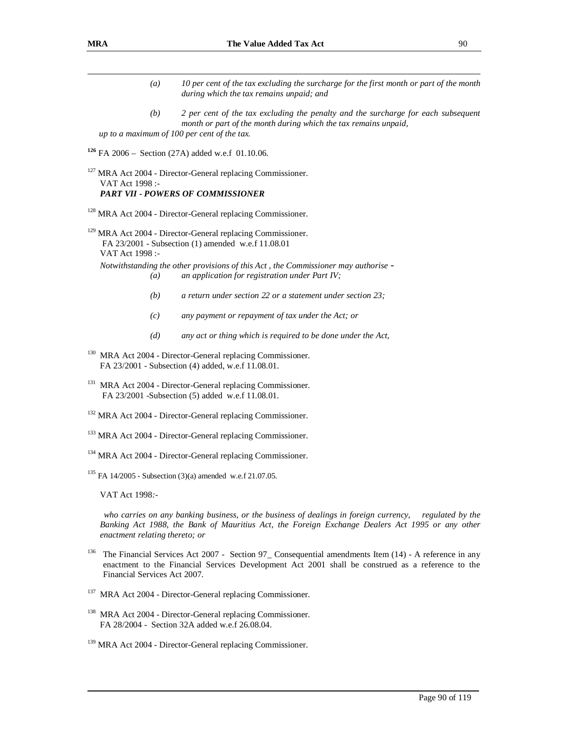- *(a) 10 per cent of the tax excluding the surcharge for the first month or part of the month during which the tax remains unpaid; and*
- *(b) 2 per cent of the tax excluding the penalty and the surcharge for each subsequent month or part of the month during which the tax remains unpaid, up to a maximum of 100 per cent of the tax.*

**<sup>126</sup>** FA 2006 – Section (27A) added w.e.f 01.10.06.

<sup>127</sup> MRA Act 2004 - Director-General replacing Commissioner. VAT Act 1998 :- *PART VII - POWERS OF COMMISSIONER*

<sup>128</sup> MRA Act 2004 - Director-General replacing Commissioner.

<sup>129</sup> MRA Act 2004 - Director-General replacing Commissioner. FA 23/2001 - Subsection (1) amended w.e.f 11.08.01 VAT Act 1998 :-

*Notwithstanding the other provisions of this Act , the Commissioner may authorise - (a) an application for registration under Part IV;* 

- *(b) a return under section 22 or a statement under section 23;*
- *(c) any payment or repayment of tax under the Act; or*
- *(d) any act or thing which is required to be done under the Act,*
- <sup>130</sup> MRA Act 2004 Director-General replacing Commissioner. FA 23/2001 - Subsection (4) added, w.e.f 11.08.01.
- <sup>131</sup> MRA Act 2004 Director-General replacing Commissioner. FA 23/2001 -Subsection (5) added w.e.f 11.08.01.
- <sup>132</sup> MRA Act 2004 Director-General replacing Commissioner.
- <sup>133</sup> MRA Act 2004 Director-General replacing Commissioner.
- <sup>134</sup> MRA Act 2004 Director-General replacing Commissioner.

<sup>135</sup> FA 14/2005 - Subsection (3)(a) amended w.e.f 21.07.05.

VAT Act 1998*:-* 

*who carries on any banking business, or the business of dealings in foreign currency, regulated by the Banking Act 1988, the Bank of Mauritius Act, the Foreign Exchange Dealers Act 1995 or any other enactment relating thereto; or*

- <sup>136</sup> The Financial Services Act 2007 Section 97 Consequential amendments Item (14) A reference in any enactment to the Financial Services Development Act 2001 shall be construed as a reference to the Financial Services Act 2007.
- <sup>137</sup> MRA Act 2004 Director-General replacing Commissioner.
- <sup>138</sup> MRA Act 2004 Director-General replacing Commissioner. FA 28/2004 - Section 32A added w.e.f 26.08.04.
- <sup>139</sup> MRA Act 2004 Director-General replacing Commissioner.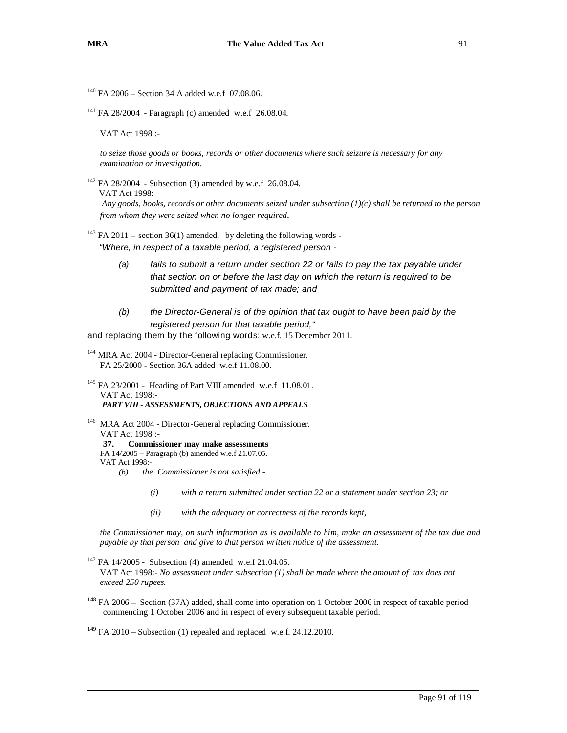<sup>140</sup> FA 2006 – Section 34 A added w.e.f 07.08.06.

<sup>141</sup> FA 28/2004 - Paragraph (c) amended w.e.f 26.08.04.

VAT Act 1998 :-

*to seize those goods or books, records or other documents where such seizure is necessary for any examination or investigation.*

 $142$  FA 28/2004 - Subsection (3) amended by w.e.f 26.08.04.

VAT Act 1998:-

*Any goods, books, records or other documents seized under subsection (1)(c) shall be returned to the person from whom they were seized when no longer required.*

<sup>143</sup> FA 2011 – section 36(1) amended, by deleting the following words -*"Where, in respect of a taxable period, a registered person -* 

- *(a) fails to submit a return under section 22 or fails to pay the tax payable under that section on or before the last day on which the return is required to be submitted and payment of tax made; and*
- *(b) the Director-General is of the opinion that tax ought to have been paid by the registered person for that taxable period,"*

and replacing them by the following words: w.e.f. 15 December 2011.

<sup>144</sup> MRA Act 2004 - Director-General replacing Commissioner. FA 25/2000 - Section 36A added w.e.f 11.08.00.

<sup>145</sup> FA 23/2001 - Heading of Part VIII amended w.e.f 11.08.01. VAT Act 1998:- *PART VIII - ASSESSMENTS, OBJECTIONS AND APPEALS*

<sup>146</sup> MRA Act 2004 - Director-General replacing Commissioner. VAT Act 1998 :- **37. Commissioner may make assessments** 

FA 14/2005 – Paragraph (b) amended w.e.f 21.07.05.

- VAT Act 1998:-
	- *(b) the Commissioner is not satisfied* 
		- *(i) with a return submitted under section 22 or a statement under section 23; or*
		- *(ii) with the adequacy or correctness of the records kept,*

the Commissioner may, on such information as is available to him, make an assessment of the tax due and *payable by that person and give to that person written notice of the assessment.* 

 $147$  FA 14/2005 - Subsection (4) amended w.e.f 21.04.05.

VAT Act 1998:- *No assessment under subsection (1) shall be made where the amount of tax does not exceed 250 rupees.* 

**<sup>148</sup>** FA 2006 – Section (37A) added, shall come into operation on 1 October 2006 in respect of taxable period commencing 1 October 2006 and in respect of every subsequent taxable period.

**<sup>149</sup>** FA 2010 – Subsection (1) repealed and replaced w.e.f. 24.12.2010.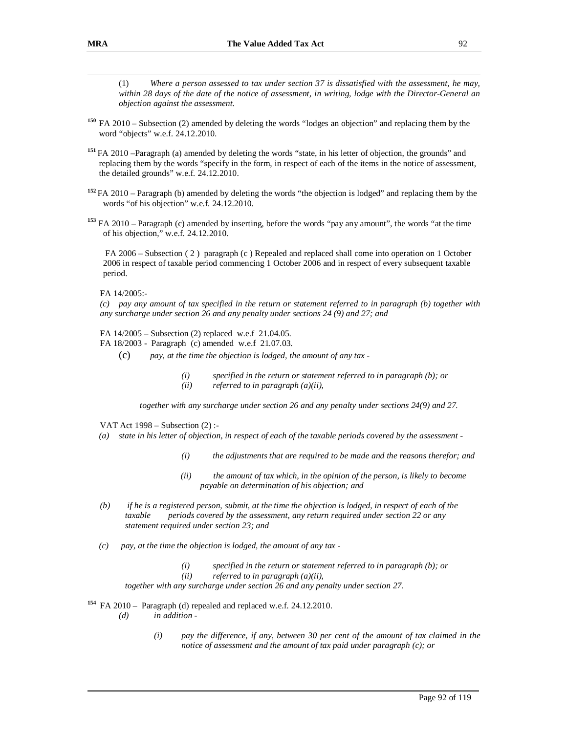(1) *Where a person assessed to tax under section 37 is dissatisfied with the assessment, he may,*  within 28 days of the date of the notice of assessment, in writing, lodge with the Director-General an *objection against the assessment.* 

- **<sup>150</sup>**FA 2010 Subsection (2) amended by deleting the words "lodges an objection" and replacing them by the word "objects" w.e.f. 24.12.2010.
- **<sup>151</sup>**FA 2010 –Paragraph (a) amended by deleting the words "state, in his letter of objection, the grounds" and replacing them by the words "specify in the form, in respect of each of the items in the notice of assessment, the detailed grounds" w.e.f. 24.12.2010.
- **<sup>152</sup>**FA 2010 Paragraph (b) amended by deleting the words "the objection is lodged" and replacing them by the words "of his objection" w.e.f. 24.12.2010.
- **<sup>153</sup>** FA 2010 Paragraph (c) amended by inserting, before the words "pay any amount", the words "at the time of his objection," w.e.f. 24.12.2010.

FA 2006 – Subsection (2) paragraph (c) Repealed and replaced shall come into operation on 1 October 2006 in respect of taxable period commencing 1 October 2006 and in respect of every subsequent taxable period.

FA 14/2005:-

(c) pay any amount of tax specified in the return or statement referred to in paragraph (b) together with *any surcharge under section 26 and any penalty under sections 24 (9) and 27; and* 

FA 14/2005 – Subsection (2) replaced w.e.f 21.04.05.

- FA 18/2003 Paragraph (c) amended w.e.f 21.07.03.
	- (c) *pay, at the time the objection is lodged, the amount of any tax* 
		- *(i) specified in the return or statement referred to in paragraph (b); or (ii) referred to in paragraph (a)(ii),*

 *together with any surcharge under section 26 and any penalty under sections 24(9) and 27.* 

VAT Act 1998 – Subsection (2) :-

- (a) state in his letter of objection, in respect of each of the taxable periods covered by the assessment -
	- *(i) the adjustments that are required to be made and the reasons therefor; and*
	- *(ii) the amount of tax which, in the opinion of the person, is likely to become payable on determination of his objection; and*
- $(b)$  if he is a registered person, submit, at the time the objection is lodged, in respect of each of the *taxable periods covered by the assessment, any return required under section 22 or any statement required under section 23; and*
- *(c) pay, at the time the objection is lodged, the amount of any tax* 
	- *(i) specified in the return or statement referred to in paragraph (b); or*
	- *(ii) referred to in paragraph (a)(ii),*

*together with any surcharge under section 26 and any penalty under section 27.* 

**<sup>154</sup>** FA 2010 – Paragraph (d) repealed and replaced w.e.f. 24.12.2010.

- *(d) in addition* 
	- *(i) pay the difference, if any, between 30 per cent of the amount of tax claimed in the notice of assessment and the amount of tax paid under paragraph (c); or*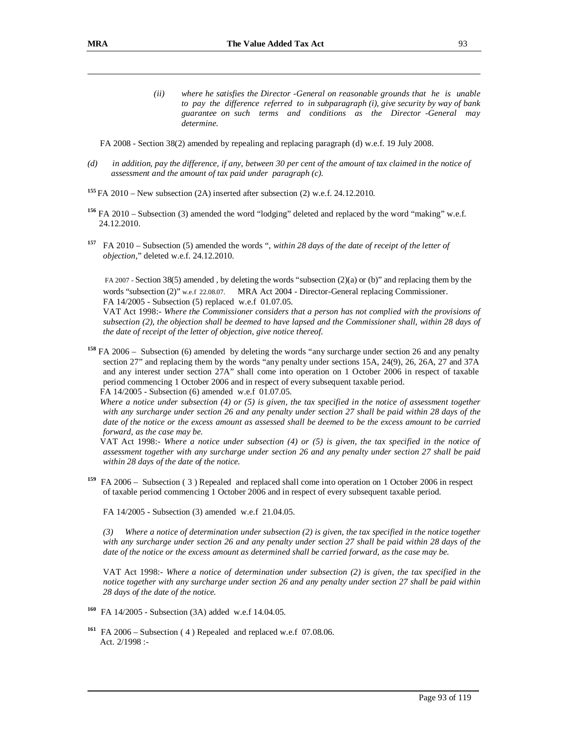- *(ii) where he satisfies the Director -General on reasonable grounds that he is unable to pay the difference referred to in subparagraph (i), give security by way of bank guarantee on such terms and conditions as the Director -General may determine.*
- FA 2008 Section 38(2) amended by repealing and replacing paragraph (d) w.e.f. 19 July 2008.
- (d) in addition, pay the difference, if any, between 30 per cent of the amount of tax claimed in the notice of *assessment and the amount of tax paid under paragraph (c).*
- **<sup>155</sup>**FA 2010 New subsection (2A) inserted after subsection (2) w.e.f. 24.12.2010.
- **<sup>156</sup>** FA 2010 Subsection (3) amended the word "lodging" deleted and replaced by the word "making" w.e.f. 24.12.2010.
- **157** FA 2010 – Subsection (5) amended the words ", *within 28 days of the date of receipt of the letter of objection*," deleted w.e.f. 24.12.2010.

FA 2007 - Section 38(5) amended , by deleting the words "subsection (2)(a) or (b)" and replacing them by the words "subsection (2)" w.e.f 22.08.07. MRA Act 2004 - Director-General replacing Commissioner. FA 14/2005 - Subsection (5) replaced w.e.f 01.07.05.

VAT Act 1998:- *Where the Commissioner considers that a person has not complied with the provisions of*  subsection  $(2)$ , the objection shall be deemed to have lapsed and the Commissioner shall, within 28 days of *the date of receipt of the letter of objection, give notice thereof.*

**<sup>158</sup>** FA 2006 – Subsection (6) amended by deleting the words "any surcharge under section 26 and any penalty section 27" and replacing them by the words "any penalty under sections 15A, 24(9), 26, 26A, 27 and 37A and any interest under section 27A" shall come into operation on 1 October 2006 in respect of taxable period commencing 1 October 2006 and in respect of every subsequent taxable period. FA 14/2005 - Subsection (6) amended w.e.f 01.07.05.

Where a notice under subsection  $(4)$  or  $(5)$  is given, the tax specified in the notice of assessment together with any surcharge under section 26 and any penalty under section 27 shall be paid within 28 days of the date of the notice or the excess amount as assessed shall be deemed to be the excess amount to be carried *forward, as the case may be.* 

VAT Act 1998:- *Where a notice under subsection (4) or (5) is given, the tax specified in the notice of assessment together with any surcharge under section 26 and any penalty under section 27 shall be paid within 28 days of the date of the notice.* 

**<sup>159</sup>** FA 2006 – Subsection ( 3 ) Repealed and replaced shall come into operation on 1 October 2006 in respect of taxable period commencing 1 October 2006 and in respect of every subsequent taxable period.

FA 14/2005 - Subsection (3) amended w.e.f 21.04.05.

 $(3)$  Where a notice of determination under subsection (2) is given, the tax specified in the notice together with any surcharge under section 26 and any penalty under section 27 shall be paid within 28 days of the date of the notice or the excess amount as determined shall be carried forward, as the case may be.

VAT Act 1998:- *Where a notice of determination under subsection (2) is given, the tax specified in the*  notice together with any surcharge under section 26 and any penalty under section 27 shall be paid within *28 days of the date of the notice.* 

- **<sup>160</sup>** FA 14/2005 Subsection (3A) added w.e.f 14.04.05.
- **<sup>161</sup>** FA 2006 Subsection ( 4 ) Repealed and replaced w.e.f 07.08.06. Act. 2/1998 :-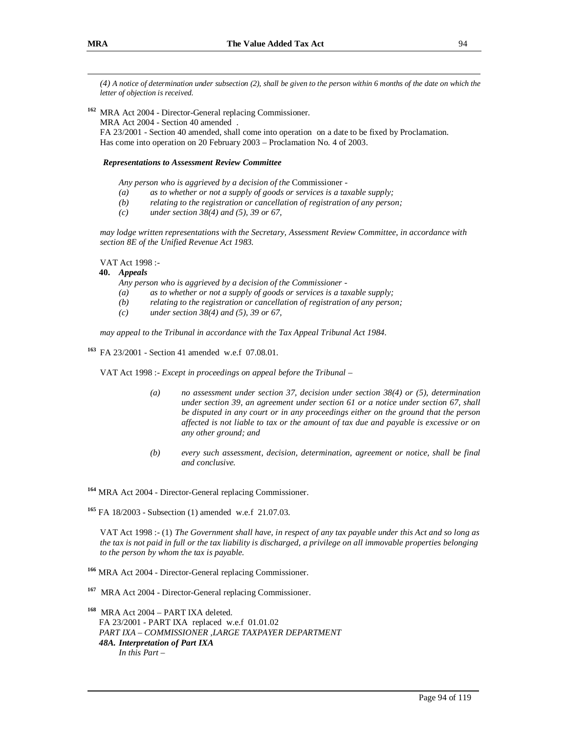*(4) A notice of determination under subsection (2), shall be given to the person within 6 months of the date on which the letter of objection is received.* 

**<sup>162</sup>** MRA Act 2004 - Director-General replacing Commissioner.

MRA Act 2004 - Section 40 amended .

FA 23/2001 - Section 40 amended, shall come into operation on a date to be fixed by Proclamation. Has come into operation on 20 February 2003 – Proclamation No. 4 of 2003.

### *Representations to Assessment Review Committee*

*Any person who is aggrieved by a decision of the* Commissioner *-* 

- *(a) as to whether or not a supply of goods or services is a taxable supply;*
- *(b) relating to the registration or cancellation of registration of any person;*
- *(c) under section 38(4) and (5), 39 or 67,*

*may lodge written representations with the Secretary, Assessment Review Committee, in accordance with section 8E of the Unified Revenue Act 1983.* 

VAT Act 1998 :-

#### **40.** *Appeals*

*Any person who is aggrieved by a decision of the Commissioner -* 

- *(a) as to whether or not a supply of goods or services is a taxable supply;*
- *(b) relating to the registration or cancellation of registration of any person;*
- *(c) under section 38(4) and (5), 39 or 67,*

*may appeal to the Tribunal in accordance with the Tax Appeal Tribunal Act 1984.* 

**<sup>163</sup>** FA 23/2001 - Section 41 amended w.e.f 07.08.01.

VAT Act 1998 :- *Except in proceedings on appeal before the Tribunal* –

- *(a) no assessment under section 37, decision under section 38(4) or (5), determination under section 39, an agreement under section 61 or a notice under section 67, shall be disputed in any court or in any proceedings either on the ground that the person affected is not liable to tax or the amount of tax due and payable is excessive or on any other ground; and*
- *(b) every such assessment, decision, determination, agreement or notice, shall be final and conclusive.*

**<sup>164</sup>** MRA Act 2004 - Director-General replacing Commissioner.

**<sup>165</sup>** FA 18/2003 - Subsection (1) amended w.e.f 21.07.03.

VAT Act 1998 :- (1) *The Government shall have, in respect of any tax payable under this Act and so long as*  the tax is not paid in full or the tax liability is discharged, a privilege on all immovable properties belonging *to the person by whom the tax is payable.*

**<sup>166</sup>** MRA Act 2004 - Director-General replacing Commissioner.

**<sup>167</sup>** MRA Act 2004 - Director-General replacing Commissioner.

**<sup>168</sup>** MRA Act 2004 – PART IXA deleted. FA 23/2001 - PART IXA replaced w.e.f 01.01.02 *PART IXA – COMMISSIONER ,LARGE TAXPAYER DEPARTMENT 48A. Interpretation of Part IXA In this Part –*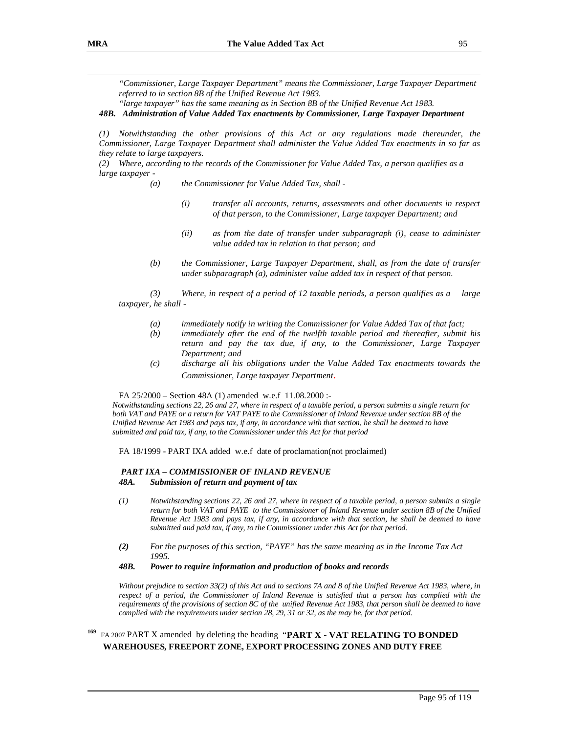*"Commissioner, Large Taxpayer Department" means the Commissioner, Large Taxpayer Department referred to in section 8B of the Unified Revenue Act 1983.* 

*"large taxpayer" has the same meaning as in Section 8B of the Unified Revenue Act 1983.* 

### *48B. Administration of Value Added Tax enactments by Commissioner, Large Taxpayer Department*

*(1) Notwithstanding the other provisions of this Act or any regulations made thereunder, the Commissioner, Large Taxpayer Department shall administer the Value Added Tax enactments in so far as they relate to large taxpayers.* 

*(2) Where, according to the records of the Commissioner for Value Added Tax, a person qualifies as a large taxpayer -* 

- *(a) the Commissioner for Value Added Tax, shall* 
	- *(i) transfer all accounts, returns, assessments and other documents in respect of that person, to the Commissioner, Large taxpayer Department; and*
	- *(ii) as from the date of transfer under subparagraph (i), cease to administer value added tax in relation to that person; and*
- *(b) the Commissioner, Large Taxpayer Department, shall, as from the date of transfer under subparagraph (a), administer value added tax in respect of that person.*

*(3) Where, in respect of a period of 12 taxable periods, a person qualifies as a large taxpayer, he shall -* 

- *(a) immediately notify in writing the Commissioner for Value Added Tax of that fact;*
- *(b) immediately after the end of the twelfth taxable period and thereafter, submit his return and pay the tax due, if any, to the Commissioner, Large Taxpayer Department; and*
- *(c) discharge all his obligations under the Value Added Tax enactments towards the Commissioner, Large taxpayer Department*.

FA 25/2000 – Section 48A (1) amended w.e.f 11.08.2000 :-

*Notwithstanding sections 22, 26 and 27, where in respect of a taxable period, a person submits a single return for both VAT and PAYE or a return for VAT PAYE to the Commissioner of Inland Revenue under section 8B of the Unified Revenue Act 1983 and pays tax, if any, in accordance with that section, he shall be deemed to have submitted and paid tax, if any, to the Commissioner under this Act for that period*

FA 18/1999 - PART IXA added w.e.f date of proclamation(not proclaimed)

### *PART IXA – COMMISSIONER OF INLAND REVENUE 48A. Submission of return and payment of tax*

- *(1) Notwithstanding sections 22, 26 and 27, where in respect of a taxable period, a person submits a single return for both VAT and PAYE to the Commissioner of Inland Revenue under section 8B of the Unified*  Revenue Act 1983 and pays tax, if any, in accordance with that section, he shall be deemed to have *submitted and paid tax, if any, to the Commissioner under this Act for that period.*
- *(2) For the purposes of this section, "PAYE" has the same meaning as in the Income Tax Act 1995.*

### *48B. Power to require information and production of books and records*

*Without prejudice to section 33(2) of this Act and to sections 7A and 8 of the Unified Revenue Act 1983, where, in*  respect of a period, the Commissioner of Inland Revenue is satisfied that a person has complied with the *requirements of the provisions of section 8C of the unified Revenue Act 1983, that person shall be deemed to have complied with the requirements under section 28, 29, 31 or 32, as the may be, for that period.*

## **<sup>169</sup>** FA <sup>2007</sup>PART X amended by deleting the heading "**PART X - VAT RELATING TO BONDED WAREHOUSES, FREEPORT ZONE, EXPORT PROCESSING ZONES AND DUTY FREE**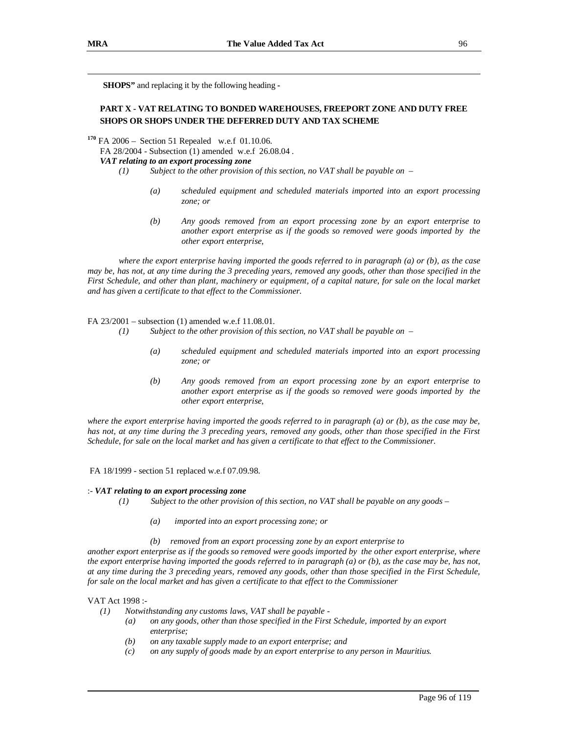**SHOPS"** and replacing it by the following heading **-** 

### **PART X - VAT RELATING TO BONDED WAREHOUSES, FREEPORT ZONE AND DUTY FREE SHOPS OR SHOPS UNDER THE DEFERRED DUTY AND TAX SCHEME**

**<sup>170</sup>** FA 2006 – Section 51 Repealed w.e.f 01.10.06.

FA 28/2004 - Subsection (1) amended w.e.f 26.08.04 *.* 

### *VAT relating to an export processing zone*

- *(1) Subject to the other provision of this section, no VAT shall be payable on* 
	- *(a) scheduled equipment and scheduled materials imported into an export processing zone; or*
	- *(b) Any goods removed from an export processing zone by an export enterprise to another export enterprise as if the goods so removed were goods imported by the other export enterprise,*

where the export enterprise having imported the goods referred to in paragraph (a) or (b), as the case may be, has not, at any time during the 3 preceding years, removed any goods, other than those specified in the First Schedule, and other than plant, machinery or equipment, of a capital nature, for sale on the local market *and has given a certificate to that effect to the Commissioner.* 

FA 23/2001 – subsection (1) amended w.e.f 11.08.01.

- *(1) Subject to the other provision of this section, no VAT shall be payable on* 
	- *(a) scheduled equipment and scheduled materials imported into an export processing zone; or*
	- *(b) Any goods removed from an export processing zone by an export enterprise to another export enterprise as if the goods so removed were goods imported by the other export enterprise,*

where the export enterprise having imported the goods referred to in paragraph  $(a)$  or  $(b)$ , as the case may be, has not, at any time during the 3 preceding years, removed any goods, other than those specified in the First *Schedule, for sale on the local market and has given a certificate to that effect to the Commissioner.* 

FA 18/1999 - section 51 replaced w.e.f 07.09.98.

#### :- *VAT relating to an export processing zone*

- *(1) Subject to the other provision of this section, no VAT shall be payable on any goods* 
	- *(a) imported into an export processing zone; or*
	- *(b) removed from an export processing zone by an export enterprise to*

another export enterprise as if the goods so removed were goods imported by the other export enterprise, where the export enterprise having imported the goods referred to in paragraph (a) or (b), as the case may be, has not, at any time during the 3 preceding years, removed any goods, other than those specified in the First Schedule, *for sale on the local market and has given a certificate to that effect to the Commissioner* 

### VAT Act 1998 :-

- *(1) Notwithstanding any customs laws, VAT shall be payable* 
	- *(a) on any goods, other than those specified in the First Schedule, imported by an export enterprise;*
	- *(b) on any taxable supply made to an export enterprise; and*
	- *(c) on any supply of goods made by an export enterprise to any person in Mauritius.*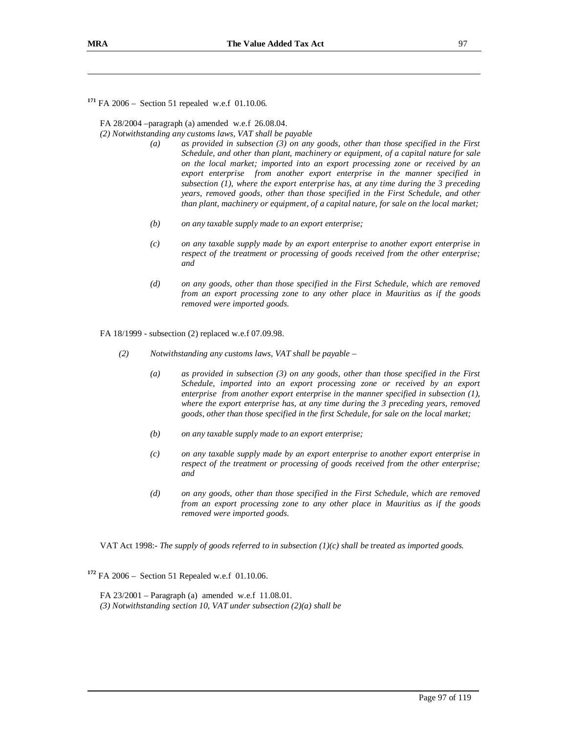**<sup>171</sup>** FA 2006 – Section 51 repealed w.e.f 01.10.06.

FA 28/2004 –paragraph (a) amended w.e.f 26.08.04.

*(2) Notwithstanding any customs laws, VAT shall be payable* 

- *(a) as provided in subsection (3) on any goods, other than those specified in the First Schedule, and other than plant, machinery or equipment, of a capital nature for sale on the local market; imported into an export processing zone or received by an export enterprise from another export enterprise in the manner specified in subsection (1), where the export enterprise has, at any time during the 3 preceding years, removed goods, other than those specified in the First Schedule, and other than plant, machinery or equipment, of a capital nature, for sale on the local market;*
- *(b) on any taxable supply made to an export enterprise;*
- *(c) on any taxable supply made by an export enterprise to another export enterprise in respect of the treatment or processing of goods received from the other enterprise; and*
- *(d) on any goods, other than those specified in the First Schedule, which are removed from an export processing zone to any other place in Mauritius as if the goods removed were imported goods.*

FA 18/1999 - subsection (2) replaced w.e.f 07.09.98.

- *(2) Notwithstanding any customs laws, VAT shall be payable* 
	- *(a) as provided in subsection (3) on any goods, other than those specified in the First Schedule, imported into an export processing zone or received by an export enterprise from another export enterprise in the manner specified in subsection (1), where the export enterprise has, at any time during the 3 preceding years, removed goods, other than those specified in the first Schedule, for sale on the local market;*
	- *(b) on any taxable supply made to an export enterprise;*
	- *(c) on any taxable supply made by an export enterprise to another export enterprise in respect of the treatment or processing of goods received from the other enterprise; and*
	- *(d) on any goods, other than those specified in the First Schedule, which are removed from an export processing zone to any other place in Mauritius as if the goods removed were imported goods.*

VAT Act 1998:- *The supply of goods referred to in subsection (1)(c) shall be treated as imported goods.*

**<sup>172</sup>** FA 2006 – Section 51 Repealed w.e.f 01.10.06.

FA 23/2001 – Paragraph (a) amended w.e.f 11.08.01. *(3) Notwithstanding section 10, VAT under subsection (2)(a) shall be*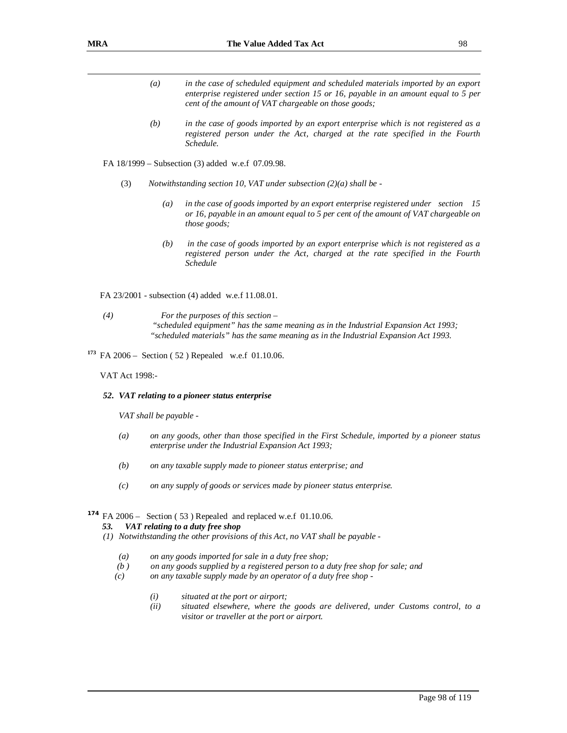- *(a) in the case of scheduled equipment and scheduled materials imported by an export enterprise registered under section 15 or 16, payable in an amount equal to 5 per cent of the amount of VAT chargeable on those goods;*
- *(b) in the case of goods imported by an export enterprise which is not registered as a registered person under the Act, charged at the rate specified in the Fourth Schedule.*

FA 18/1999 – Subsection (3) added w.e.f 07.09.98.

- (3) *Notwithstanding section 10, VAT under subsection (2)(a) shall be* 
	- *(a) in the case of goods imported by an export enterprise registered under section 15 or 16, payable in an amount equal to 5 per cent of the amount of VAT chargeable on those goods;*
	- *(b) in the case of goods imported by an export enterprise which is not registered as a registered person under the Act, charged at the rate specified in the Fourth Schedule*

FA 23/2001 - subsection (4) added w.e.f 11.08.01.

- *(4) For the purposes of this section "scheduled equipment" has the same meaning as in the Industrial Expansion Act 1993; "scheduled materials" has the same meaning as in the Industrial Expansion Act 1993.*
- **<sup>173</sup>** FA 2006 Section ( 52 ) Repealed w.e.f 01.10.06.

VAT Act 1998:-

#### *52. VAT relating to a pioneer status enterprise*

*VAT shall be payable -* 

- *(a) on any goods, other than those specified in the First Schedule, imported by a pioneer status enterprise under the Industrial Expansion Act 1993;*
- *(b) on any taxable supply made to pioneer status enterprise; and*
- *(c) on any supply of goods or services made by pioneer status enterprise.*

# **<sup>174</sup>** FA 2006 – Section ( 53 ) Repealed and replaced w.e.f 01.10.06.

#### *53. VAT relating to a duty free shop*

- *(1) Notwithstanding the other provisions of this Act, no VAT shall be payable* 
	- *(a) on any goods imported for sale in a duty free shop;*
	- *(b ) on any goods supplied by a registered person to a duty free shop for sale; and*
	- *(c) on any taxable supply made by an operator of a duty free shop* 
		- *(i) situated at the port or airport;*
		- *(ii) situated elsewhere, where the goods are delivered, under Customs control, to a visitor or traveller at the port or airport.*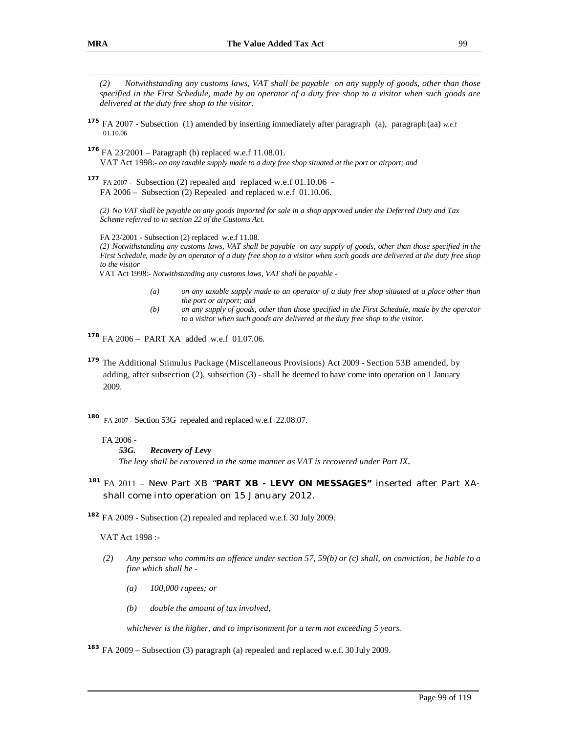- **<sup>175</sup>** FA 2007 Subsection (1) amended by inserting immediately after paragraph (a), paragraph (aa) w.e.f 01.10.06
- **<sup>176</sup>** FA 23/2001 Paragraph (b) replaced w.e.f 11.08.01. VAT Act 1998:- *on any taxable supply made to a duty free shop situated at the port or airport; and*
- **<sup>177</sup>** FA 2007 Subsection (2) repealed and replaced w.e.f 01.10.06 FA 2006 – Subsection (2) Repealed and replaced w.e.f 01.10.06.

*(2) No VAT shall be payable on any goods imported for sale in a shop approved under the Deferred Duty and Tax Scheme referred to in section 22 of the Customs Act.* 

FA 23/2001 - Subsection (2) replaced w.e.f 11.08.

(2) Notwithstanding any customs laws, VAT shall be payable on any supply of goods, other than those specified in the *First Schedule, made by an operator of a duty free shop to a visitor when such goods are delivered at the duty free shop to the visitor*

VAT Act 1998:- *Notwithstanding any customs laws, VAT shall be payable -* 

- (a) on any taxable supply made to an operator of a duty free shop situated at a place other than *the port or airport; and*
- *(b) on any supply of goods, other than those specified in the First Schedule, made by the operator to a visitor when such goods are delivered at the duty free shop to the visitor*.
- **<sup>178</sup>** FA 2006 PART XA added w.e.f 01.07.06.
- **<sup>179</sup>** The Additional Stimulus Package (Miscellaneous Provisions) Act 2009 Section 53B amended, by adding, after subsection (2), subsection (3) - shall be deemed to have come into operation on 1 January 2009.

**<sup>180</sup>** FA 2007 - Section 53G repealed and replaced w.e.f 22.08.07.

#### FA 2006 -

### *53G. Recovery of Levy*

*The levy shall be recovered in the same manner as VAT is recovered under Part IX.* 

## **<sup>181</sup>**FA 2011 – New Part XB "**PART XB - LEVY ON MESSAGES"** inserted after Part XAshall come into operation on 15 January 2012.

**<sup>182</sup>** FA 2009 - Subsection (2) repealed and replaced w.e.f. 30 July 2009.

VAT Act 1998 :-

- (2) Any person who commits an offence under section 57, 59(b) or (c) shall, on conviction, be liable to a *fine which shall be -* 
	- *(a) 100,000 rupees; or*
	- *(b) double the amount of tax involved,*

*whichever is the higher, and to imprisonment for a term not exceeding 5 years.* 

**<sup>183</sup>** FA 2009 – Subsection (3) paragraph (a) repealed and replaced w.e.f. 30 July 2009.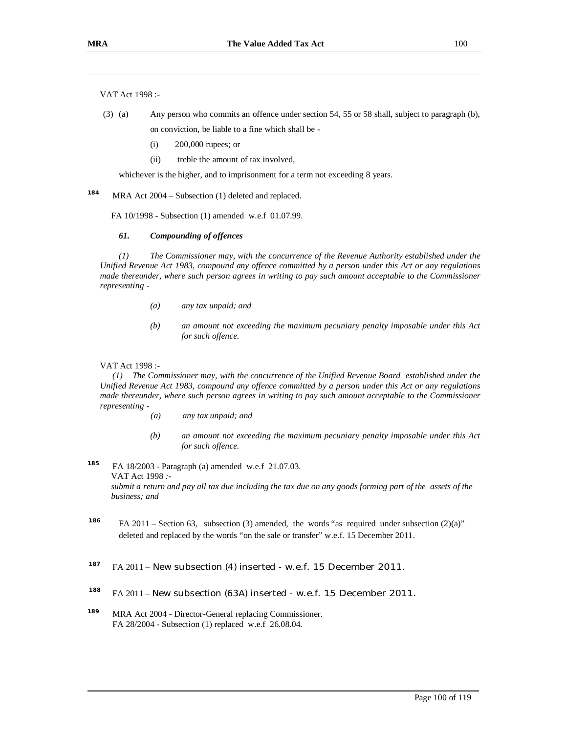VAT Act 1998 :-

- (3) (a) Any person who commits an offence under section 54, 55 or 58 shall, subject to paragraph (b), on conviction, be liable to a fine which shall be -
	- (i) 200,000 rupees; or
	- (ii) treble the amount of tax involved,

whichever is the higher, and to imprisonment for a term not exceeding 8 years.

**184** MRA Act 2004 – Subsection (1) deleted and replaced.

FA 10/1998 - Subsection (1) amended w.e.f 01.07.99.

#### *61. Compounding of offences*

*(1) The Commissioner may, with the concurrence of the Revenue Authority established under the Unified Revenue Act 1983, compound any offence committed by a person under this Act or any regulations made thereunder, where such person agrees in writing to pay such amount acceptable to the Commissioner representing -* 

- *(a) any tax unpaid; and*
- *(b) an amount not exceeding the maximum pecuniary penalty imposable under this Act for such offence.*

### VAT Act 1998 :-

*(1) The Commissioner may, with the concurrence of the Unified Revenue Board established under the Unified Revenue Act 1983, compound any offence committed by a person under this Act or any regulations made thereunder, where such person agrees in writing to pay such amount acceptable to the Commissioner representing -* 

- *(a) any tax unpaid; and*
- *(b) an amount not exceeding the maximum pecuniary penalty imposable under this Act for such offence.*

**185** FA 18/2003 - Paragraph (a) amended w.e.f 21.07.03. VAT Act 1998 *:*  submit a return and pay all tax due including the tax due on any goods forming part of the assets of the *business; and*

186 FA 2011 – Section 63, subsection (3) amended, the words "as required under subsection (2)(a)" deleted and replaced by the words "on the sale or transfer" w.e.f. 15 December 2011.

#### **187** FA 2011 – New subsection (4) inserted - w.e.f. 15 December 2011.

- <sup>188</sup> FA 2011 New subsection (63A) inserted w.e.f. 15 December 2011.
- **189** MRA Act 2004 - Director-General replacing Commissioner. FA 28/2004 - Subsection (1) replaced w.e.f 26.08.04.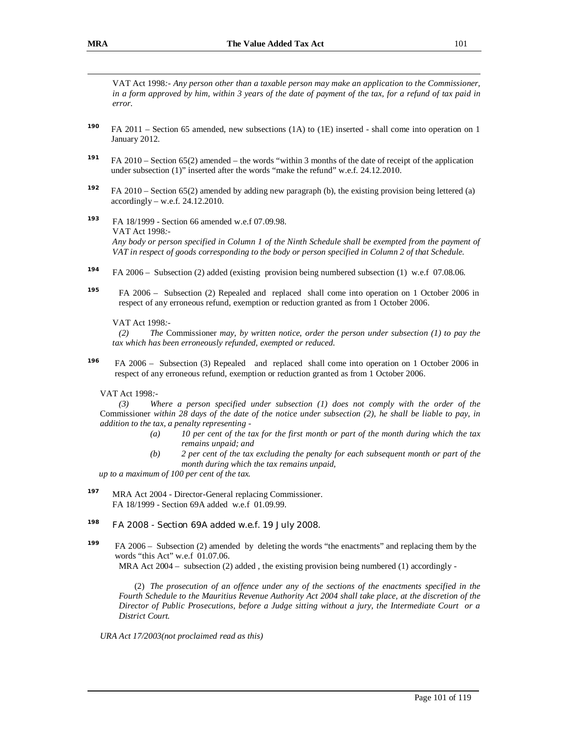VAT Act 1998*:- Any person other than a taxable person may make an application to the Commissioner,*  in a form approved by him, within 3 years of the date of payment of the tax, for a refund of tax paid in *error.* 

- **<sup>190</sup>**FA 2011 Section 65 amended, new subsections (1A) to (1E) inserted shall come into operation on 1 January 2012.
- **<sup>191</sup>**FA 2010 Section 65(2) amended the words "within 3 months of the date of receipt of the application under subsection (1)" inserted after the words "make the refund" w.e.f. 24.12.2010.
- **<sup>192</sup>**FA 2010 Section 65(2) amended by adding new paragraph (b), the existing provision being lettered (a)  $accordingly - w.e.f. 24.12.2010.$
- **193** FA 18/1999 - Section 66 amended w.e.f 07.09.98. VAT Act 1998*:-*  Any body or person specified in Column 1 of the Ninth Schedule shall be exempted from the payment of VAT in respect of goods corresponding to the body or person specified in Column 2 of that Schedule.
- **194** FA 2006 – Subsection (2) added (existing provision being numbered subsection (1) w.e.f 07.08.06.
- **195** FA 2006 – Subsection (2) Repealed and replaced shall come into operation on 1 October 2006 in respect of any erroneous refund, exemption or reduction granted as from 1 October 2006.

### VAT Act 1998*:-*

*(2) The* Commissioner *may, by written notice, order the person under subsection (1) to pay the tax which has been erroneously refunded, exempted or reduced.* 

 **196** FA 2006 – Subsection (3) Repealed and replaced shall come into operation on 1 October 2006 in respect of any erroneous refund, exemption or reduction granted as from 1 October 2006.

### VAT Act 1998*:-*

*(3) Where a person specified under subsection (1) does not comply with the order of the*  Commissioner within 28 days of the date of the notice under subsection (2), he shall be liable to pay, in *addition to the tax, a penalty representing -* 

- *(a) 10 per cent of the tax for the first month or part of the month during which the tax remains unpaid; and*
- *(b) 2 per cent of the tax excluding the penalty for each subsequent month or part of the month during which the tax remains unpaid,*

*up to a maximum of 100 per cent of the tax.* 

**197** MRA Act 2004 - Director-General replacing Commissioner. FA 18/1999 - Section 69A added w.e.f 01.09.99.

## **<sup>198</sup>** FA 2008 - Section 69A added w.e.f. 19 July 2008.

**199** FA 2006 – Subsection (2) amended by deleting the words "the enactments" and replacing them by the words "this Act" w.e.f 01.07.06.

MRA Act  $2004 -$  subsection (2) added, the existing provision being numbered (1) accordingly -

(2) *The prosecution of an offence under any of the sections of the enactments specified in the Fourth Schedule to the Mauritius Revenue Authority Act 2004 shall take place, at the discretion of the Director of Public Prosecutions, before a Judge sitting without a jury, the Intermediate Court or a District Court.* 

*URA Act 17/2003(not proclaimed read as this)*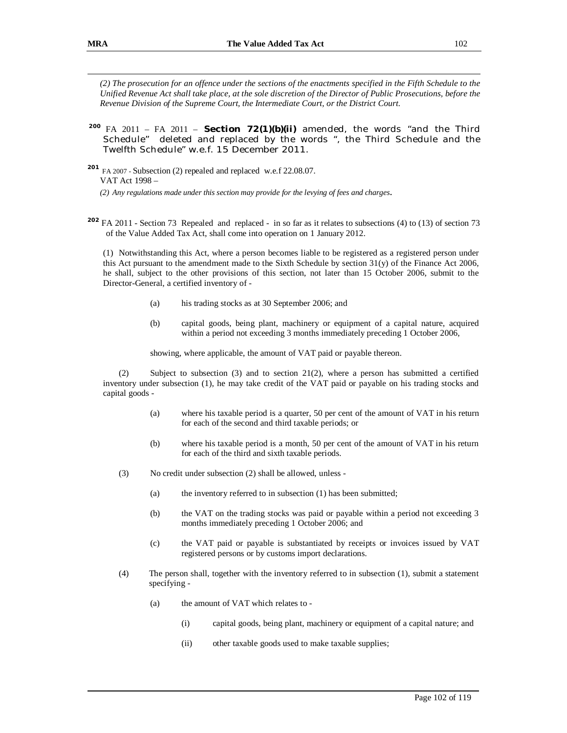(2) The prosecution for an offence under the sections of the enactments specified in the Fifth Schedule to the *Unified Revenue Act shall take place, at the sole discretion of the Director of Public Prosecutions, before the Revenue Division of the Supreme Court, the Intermediate Court, or the District Court.* 

## **<sup>200</sup>**FA 2011 – FA 2011 – **Section 72(1)(b)(ii)** amended, the words "and the Third Schedule" deleted and replaced by the words ", the Third Schedule and the Twelfth Schedule" w.e.f. 15 December 2011.

**<sup>201</sup>** FA <sup>2007</sup> - Subsection (2) repealed and replaced w.e.f 22.08.07. VAT Act 1998 – *(2) Any regulations made under this section may provide for the levying of fees and charges*.

**<sup>202</sup>** FA 2011 - Section 73 Repealed and replaced - in so far as it relates to subsections (4) to (13) of section 73 of the Value Added Tax Act, shall come into operation on 1 January 2012.

(1) Notwithstanding this Act, where a person becomes liable to be registered as a registered person under this Act pursuant to the amendment made to the Sixth Schedule by section 31(y) of the Finance Act 2006, he shall, subject to the other provisions of this section, not later than 15 October 2006, submit to the Director-General, a certified inventory of -

- (a) his trading stocks as at 30 September 2006; and
- (b) capital goods, being plant, machinery or equipment of a capital nature, acquired within a period not exceeding 3 months immediately preceding 1 October 2006,

showing, where applicable, the amount of VAT paid or payable thereon.

(2) Subject to subsection (3) and to section 21(2), where a person has submitted a certified inventory under subsection (1), he may take credit of the VAT paid or payable on his trading stocks and capital goods -

- (a) where his taxable period is a quarter, 50 per cent of the amount of VAT in his return for each of the second and third taxable periods; or
- (b) where his taxable period is a month, 50 per cent of the amount of VAT in his return for each of the third and sixth taxable periods.
- (3) No credit under subsection (2) shall be allowed, unless
	- (a) the inventory referred to in subsection (1) has been submitted;
	- (b) the VAT on the trading stocks was paid or payable within a period not exceeding 3 months immediately preceding 1 October 2006; and
	- (c) the VAT paid or payable is substantiated by receipts or invoices issued by VAT registered persons or by customs import declarations.
- (4) The person shall, together with the inventory referred to in subsection (1), submit a statement specifying -
	- (a) the amount of VAT which relates to
		- (i) capital goods, being plant, machinery or equipment of a capital nature; and
		- (ii) other taxable goods used to make taxable supplies;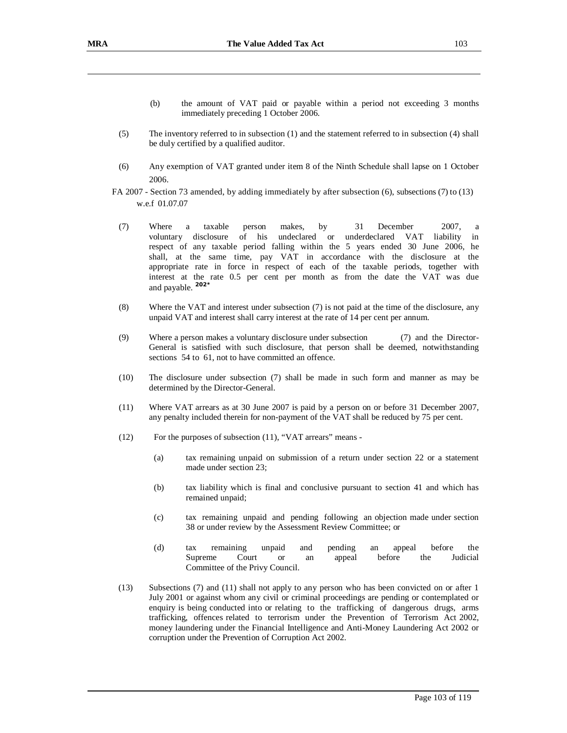- (b) the amount of VAT paid or payable within a period not exceeding 3 months immediately preceding 1 October 2006.
- (5) The inventory referred to in subsection (1) and the statement referred to in subsection (4) shall be duly certified by a qualified auditor.
- (6) Any exemption of VAT granted under item 8 of the Ninth Schedule shall lapse on 1 October 2006.
- FA 2007 Section 73 amended, by adding immediately by after subsection (6), subsections (7) to (13) w.e.f 01.07.07
	- (7) Where a taxable person makes, by 31 December 2007, a voluntary disclosure of his undeclared or underdeclared VAT liability in respect of any taxable period falling within the 5 years ended 30 June 2006, he shall, at the same time, pay VAT in accordance with the disclosure at the appropriate rate in force in respect of each of the taxable periods, together with interest at the rate 0.5 per cent per month as from the date the VAT was due and payable. **202\***
	- (8) Where the VAT and interest under subsection (7) is not paid at the time of the disclosure, any unpaid VAT and interest shall carry interest at the rate of 14 per cent per annum.
	- (9) Where a person makes a voluntary disclosure under subsection (7) and the Director-General is satisfied with such disclosure, that person shall be deemed, notwithstanding sections 54 to 61, not to have committed an offence.
	- (10) The disclosure under subsection (7) shall be made in such form and manner as may be determined by the Director-General.
	- (11) Where VAT arrears as at 30 June 2007 is paid by a person on or before 31 December 2007, any penalty included therein for non-payment of the VAT shall be reduced by 75 per cent.
	- (12) For the purposes of subsection (11), "VAT arrears" means
		- (a) tax remaining unpaid on submission of a return under section 22 or a statement made under section 23;
		- (b) tax liability which is final and conclusive pursuant to section 41 and which has remained unpaid;
		- (c) tax remaining unpaid and pending following an objection made under section 38 or under review by the Assessment Review Committee; or
		- (d) tax remaining unpaid and pending an appeal before the Supreme Court or an appeal before the Judicial Committee of the Privy Council.
	- (13) Subsections (7) and (11) shall not apply to any person who has been convicted on or after 1 July 2001 or against whom any civil or criminal proceedings are pending or contemplated or enquiry is being conducted into or relating to the trafficking of dangerous drugs, arms trafficking, offences related to terrorism under the Prevention of Terrorism Act 2002, money laundering under the Financial Intelligence and Anti-Money Laundering Act 2002 or corruption under the Prevention of Corruption Act 2002.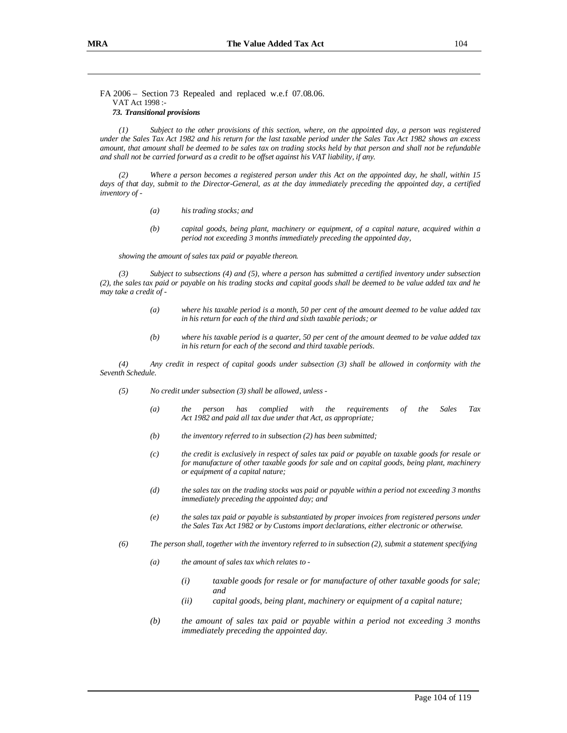FA 2006 – Section 73 Repealed and replaced w.e.f 07.08.06. VAT Act 1998 :-

#### *73. Transitional provisions*

(1) Subject to the other provisions of this section, where, on the appointed day, a person was registered under the Sales Tax Act 1982 and his return for the last taxable period under the Sales Tax Act 1982 shows an excess amount, that amount shall be deemed to be sales tax on trading stocks held by that person and shall not be refundable *and shall not be carried forward as a credit to be offset against his VAT liability, if any.* 

Where a person becomes a registered person under this Act on the appointed day, he shall, within 15 days of that day, submit to the Director-General, as at the day immediately preceding the appointed day, a certified *inventory of -* 

- *(a) his trading stocks; and*
- *(b) capital goods, being plant, machinery or equipment, of a capital nature, acquired within a period not exceeding 3 months immediately preceding the appointed day,*

*showing the amount of sales tax paid or payable thereon.* 

*(3) Subject to subsections (4) and (5), where a person has submitted a certified inventory under subsection*  (2), the sales tax paid or payable on his trading stocks and capital goods shall be deemed to be value added tax and he *may take a credit of -* 

- *(a) where his taxable period is a month, 50 per cent of the amount deemed to be value added tax in his return for each of the third and sixth taxable periods; or*
- *(b) where his taxable period is a quarter, 50 per cent of the amount deemed to be value added tax in his return for each of the second and third taxable periods.*

*(4) Any credit in respect of capital goods under subsection (3) shall be allowed in conformity with the Seventh Schedule.* 

- *(5) No credit under subsection (3) shall be allowed, unless* 
	- *(a) the person has complied with the requirements of the Sales Tax Act 1982 and paid all tax due under that Act, as appropriate;*
	- *(b) the inventory referred to in subsection (2) has been submitted;*
	- *(c) the credit is exclusively in respect of sales tax paid or payable on taxable goods for resale or for manufacture of other taxable goods for sale and on capital goods, being plant, machinery or equipment of a capital nature;*
	- *(d) the sales tax on the trading stocks was paid or payable within a period not exceeding 3 months immediately preceding the appointed day; and*
	- *(e) the sales tax paid or payable is substantiated by proper invoices from registered persons under the Sales Tax Act 1982 or by Customs import declarations, either electronic or otherwise.*
- *(6) The person shall, together with the inventory referred to in subsection (2), submit a statement specifying* 
	- *(a) the amount of sales tax which relates to* 
		- *(i) taxable goods for resale or for manufacture of other taxable goods for sale; and*
		- *(ii) capital goods, being plant, machinery or equipment of a capital nature;*
	- *(b) the amount of sales tax paid or payable within a period not exceeding 3 months immediately preceding the appointed day.*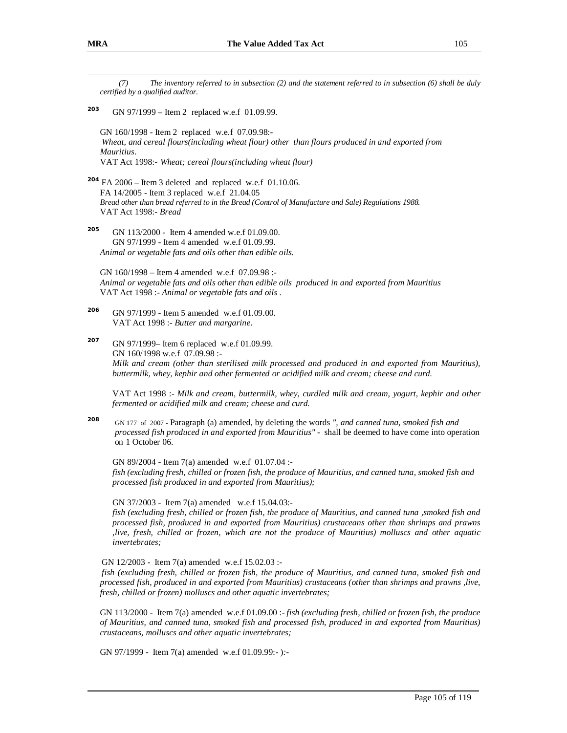*(7) The inventory referred to in subsection (2) and the statement referred to in subsection (6) shall be duly certified by a qualified auditor.*  **203** GN 97/1999 – Item 2 replaced w.e.f 01.09.99. GN 160/1998 - Item 2 replaced w.e.f 07.09.98:- *Wheat, and cereal flours(including wheat flour) other than flours produced in and exported from Mauritius*. VAT Act 1998:- *Wheat; cereal flours(including wheat flour)* **<sup>204</sup>** FA 2006 – Item 3 deleted and replaced w.e.f 01.10.06. FA 14/2005 - Item 3 replaced w.e.f 21.04.05 *Bread other than bread referred to in the Bread (Control of Manufacture and Sale) Regulations 1988.*  VAT Act 1998:- *Bread*  **205** GN 113/2000 - Item 4 amended w.e.f 01.09.00. GN 97/1999 - Item 4 amended w.e.f 01.09.99. *Animal or vegetable fats and oils other than edible oils.*  GN 160/1998 – Item 4 amended w.e.f 07.09.98 :- *Animal or vegetable fats and oils other than edible oils produced in and exported from Mauritius*  VAT Act 1998 :- *Animal or vegetable fats and oils* . **206** GN 97/1999 - Item 5 amended w.e.f 01.09.00. VAT Act 1998 :- *Butter and margarine*. **207** GN 97/1999– Item 6 replaced w.e.f 01.09.99. GN 160/1998 w.e.f 07.09.98 :- *Milk and cream (other than sterilised milk processed and produced in and exported from Mauritius), buttermilk, whey, kephir and other fermented or acidified milk and cream; cheese and curd.*  VAT Act 1998 :- *Milk and cream, buttermilk, whey, curdled milk and cream, yogurt, kephir and other fermented or acidified milk and cream; cheese and curd.* **208** GN 177 of 2007 - Paragraph (a) amended, by deleting the words *", and canned tuna, smoked fish and processed fish produced in and exported from Mauritius"* - shall be deemed to have come into operation on 1 October 06. GN 89/2004 - Item 7(a) amended w.e.f 01.07.04 : *fish (excluding fresh, chilled or frozen fish, the produce of Mauritius, and canned tuna, smoked fish and processed fish produced in and exported from Mauritius);* GN 37/2003 - Item 7(a) amended w.e.f 15.04.03: fish (excluding fresh, chilled or frozen fish, the produce of Mauritius, and canned tuna , smoked fish and *processed fish, produced in and exported from Mauritius) crustaceans other than shrimps and prawns ,live, fresh, chilled or frozen, which are not the produce of Mauritius) molluscs and other aquatic invertebrates;* GN 12/2003 - Item 7(a) amended w.e.f 15.02.03 : fish (excluding fresh, chilled or frozen fish, the produce of Mauritius, and canned tuna, smoked fish and *processed fish, produced in and exported from Mauritius) crustaceans (other than shrimps and prawns ,live, fresh, chilled or frozen) molluscs and other aquatic invertebrates;* GN 113/2000 - Item 7(a) amended w.e.f 01.09.00 :- *fish (excluding fresh, chilled or frozen fish, the produce of Mauritius, and canned tuna, smoked fish and processed fish, produced in and exported from Mauritius) crustaceans, molluscs and other aquatic invertebrates;*

GN 97/1999 - Item 7(a) amended w.e.f 01.09.99:- )*:-*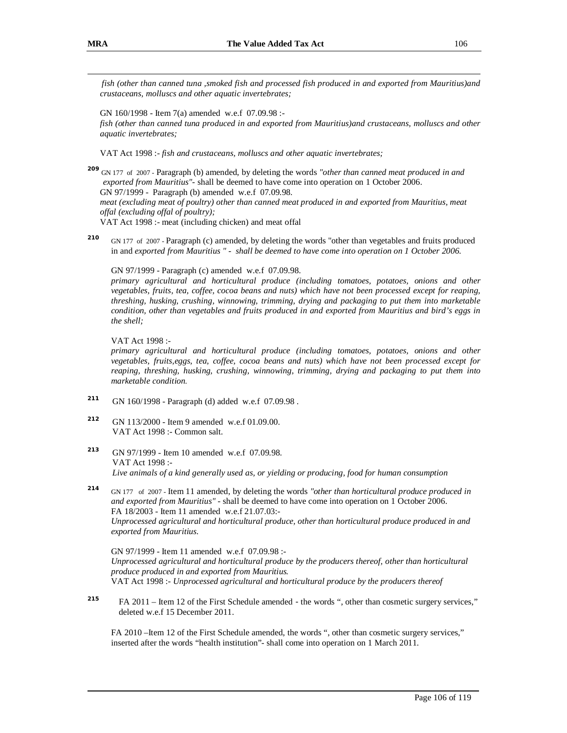*fish (other than canned tuna ,smoked fish and processed fish produced in and exported from Mauritius)and crustaceans, molluscs and other aquatic invertebrates;*

GN 160/1998 - Item 7(a) amended w.e.f 07.09.98 :-

*fish (other than canned tuna produced in and exported from Mauritius)and crustaceans, molluscs and other aquatic invertebrates;*

VAT Act 1998 :- *fish and crustaceans, molluscs and other aquatic invertebrates;*

**<sup>209</sup>** GN 177 of 2007 - Paragraph (b) amended, by deleting the words *"other than canned meat produced in and exported from Mauritius"-* shall be deemed to have come into operation on 1 October 2006. GN 97/1999 - Paragraph (b) amended w.e.f 07.09.98. *meat (excluding meat of poultry) other than canned meat produced in and exported from Mauritius, meat offal (excluding offal of poultry);* 

VAT Act 1998 :- meat (including chicken) and meat offal

**210** GN 177 of 2007 - Paragraph (c) amended, by deleting the words "other than vegetables and fruits produced in and *exported from Mauritius " - shall be deemed to have come into operation on 1 October 2006.* 

GN 97/1999 - Paragraph (c) amended w.e.f 07.09.98.

*primary agricultural and horticultural produce (including tomatoes, potatoes, onions and other vegetables, fruits, tea, coffee, cocoa beans and nuts) which have not been processed except for reaping, threshing, husking, crushing, winnowing, trimming, drying and packaging to put them into marketable condition, other than vegetables and fruits produced in and exported from Mauritius and bird's eggs in the shell;* 

VAT Act 1998 :-

*primary agricultural and horticultural produce (including tomatoes, potatoes, onions and other vegetables, fruits,eggs, tea, coffee, cocoa beans and nuts) which have not been processed except for reaping, threshing, husking, crushing, winnowing, trimming, drying and packaging to put them into marketable condition.* 

- **211** GN 160/1998 - Paragraph (d) added w.e.f 07.09.98 .
- **212** GN 113/2000 - Item 9 amended w.e.f 01.09.00. VAT Act 1998 :- Common salt.
- **213** GN 97/1999 - Item 10 amended w.e.f 07.09.98. VAT Act 1998 :- *Live animals of a kind generally used as, or yielding or producing, food for human consumption*

**214** GN 177 of 2007 - Item 11 amended, by deleting the words *"other than horticultural produce produced in and exported from Mauritius"* - shall be deemed to have come into operation on 1 October 2006. FA 18/2003 - Item 11 amended w.e.f 21.07.03:- *Unprocessed agricultural and horticultural produce, other than horticultural produce produced in and exported from Mauritius.* 

GN 97/1999 - Item 11 amended w.e.f 07.09.98 :- *Unprocessed agricultural and horticultural produce by the producers thereof, other than horticultural produce produced in and exported from Mauritius.*  VAT Act 1998 :- *Unprocessed agricultural and horticultural produce by the producers thereof* 

**<sup>215</sup>**FA 2011 – Item 12 of the First Schedule amended - the words ", other than cosmetic surgery services," deleted w.e.f 15 December 2011.

FA 2010 –Item 12 of the First Schedule amended, the words ", other than cosmetic surgery services," inserted after the words "health institution"- shall come into operation on 1 March 2011.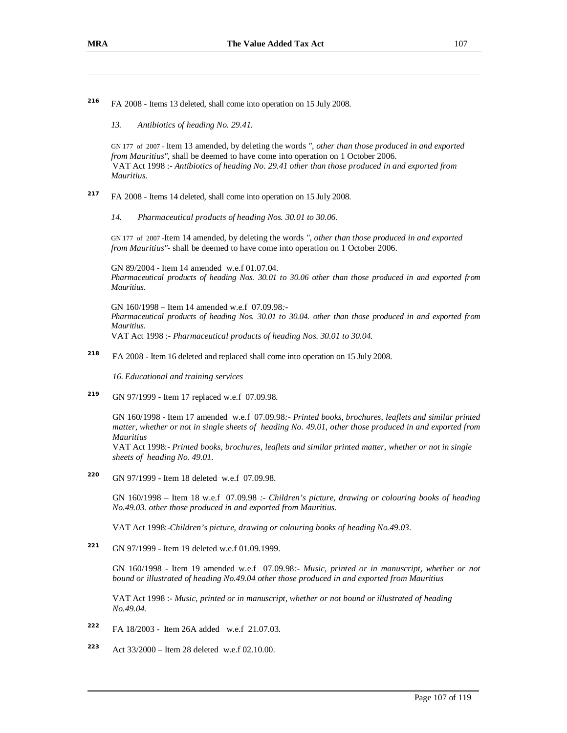**216** FA 2008 - Items 13 deleted, shall come into operation on 15 July 2008.

*13. Antibiotics of heading No. 29.41.* 

GN 177 of 2007 - Item 13 amended, by deleting the words *", other than those produced in and exported from Mauritius"*, shall be deemed to have come into operation on 1 October 2006. VAT Act 1998 :- *Antibiotics of heading No. 29.41 other than those produced in and exported from Mauritius.* 

- **217** FA 2008 - Items 14 deleted, shall come into operation on 15 July 2008.
	- *14. Pharmaceutical products of heading Nos. 30.01 to 30.06.*

GN 177 of 2007 -Item 14 amended, by deleting the words *", other than those produced in and exported from Mauritius"*- shall be deemed to have come into operation on 1 October 2006.

GN 89/2004 - Item 14 amended w.e.f 01.07.04. *Pharmaceutical products of heading Nos. 30.01 to 30.06 other than those produced in and exported from Mauritius.* 

GN 160/1998 – Item 14 amended w.e.f 07.09.98*:- Pharmaceutical products of heading Nos. 30.01 to 30.04. other than those produced in and exported from Mauritius.*  VAT Act 1998 :- *Pharmaceutical products of heading Nos. 30.01 to 30.04.* 

**218** FA 2008 - Item 16 deleted and replaced shall come into operation on 15 July 2008.

*16. Educational and training services* 

**219** GN 97/1999 - Item 17 replaced w.e.f 07.09.98.

> GN 160/1998 - Item 17 amended w.e.f 07.09.98*:- Printed books, brochures, leaflets and similar printed matter, whether or not in single sheets of heading No. 49.01*, *other those produced in and exported from Mauritius*

VAT Act 1998:- *Printed books, brochures, leaflets and similar printed matter, whether or not in single sheets of heading No. 49.01.*

**220** GN 97/1999 - Item 18 deleted w.e.f 07.09.98.

> GN 160/1998 – Item 18 w.e.f 07.09.98 *:- Children's picture, drawing or colouring books of heading No.49.03. other those produced in and exported from Mauritius.*

VAT Act 1998:-*Children's picture, drawing or colouring books of heading No.49.03.*

**221** GN 97/1999 - Item 19 deleted w.e.f 01.09.1999.

> GN 160/1998 - Item 19 amended w.e.f 07.09.98*:- Music, printed or in manuscript, whether or not bound or illustrated of heading No.49.04 other those produced in and exported from Mauritius*

VAT Act 1998 :- *Music, printed or in manuscript, whether or not bound or illustrated of heading No.49.04.* 

- **222** FA 18/2003 - Item 26A added w.e.f 21.07.03.
- **223** Act 33/2000 – Item 28 deleted w.e.f 02.10.00.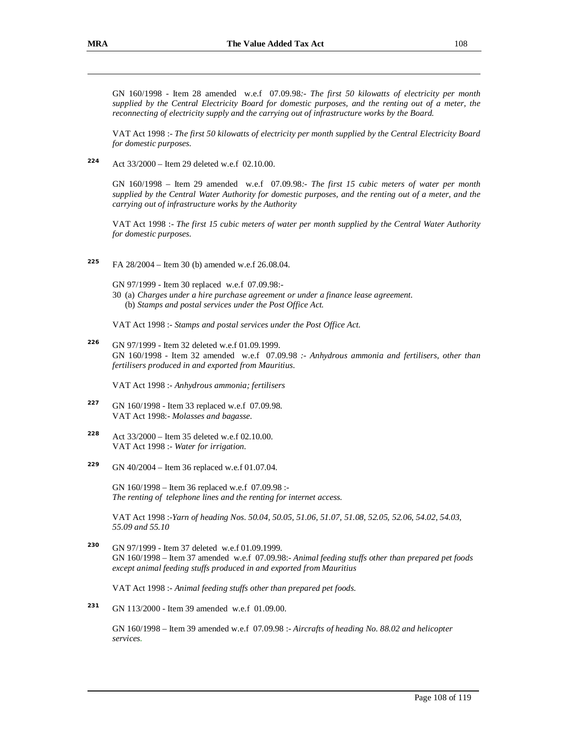GN 160/1998 - Item 28 amended w.e.f 07.09.98*:- The first 50 kilowatts of electricity per month supplied by the Central Electricity Board for domestic purposes, and the renting out of a meter, the reconnecting of electricity supply and the carrying out of infrastructure works by the Board.* 

VAT Act 1998 :- *The first 50 kilowatts of electricity per month supplied by the Central Electricity Board for domestic purposes.* 

**224** Act 33/2000 – Item 29 deleted w.e.f 02.10.00.

> GN 160/1998 – Item 29 amended w.e.f 07.09.98*:- The first 15 cubic meters of water per month*  supplied by the Central Water Authority for domestic purposes, and the renting out of a meter, and the *carrying out of infrastructure works by the Authority*

> VAT Act 1998 :- *The first 15 cubic meters of water per month supplied by the Central Water Authority for domestic purposes.*

**225** FA 28/2004 – Item 30 (b) amended w.e.f 26.08.04.

GN 97/1999 - Item 30 replaced w.e.f 07.09.98:-

30 (a) *Charges under a hire purchase agreement or under a finance lease agreement.* (b) *Stamps and postal services under the Post Office Act.*

VAT Act 1998 :- *Stamps and postal services under the Post Office Act.* 

**226** GN 97/1999 - Item 32 deleted w.e.f 01.09.1999. GN 160/1998 - Item 32 amended w.e.f 07.09.98 *:- Anhydrous ammonia and fertilisers, other than fertilisers produced in and exported from Mauritius.* 

VAT Act 1998 :- *Anhydrous ammonia; fertilisers* 

- **227** GN 160/1998 - Item 33 replaced w.e.f 07.09.98. VAT Act 1998:- *Molasses and bagasse*.
- **228** Act 33/2000 – Item 35 deleted w.e.f 02.10.00. VAT Act 1998 :- *Water for irrigation.*
- **229** GN 40/2004 – Item 36 replaced w.e.f 01.07.04.

GN 160/1998 – Item 36 replaced w.e.f 07.09.98 :- *The renting of telephone lines and the renting for internet access.*

VAT Act 1998 :-*Yarn of heading Nos. 50.04, 50.05, 51.06, 51.07, 51.08, 52.05, 52.06, 54.02, 54.03, 55.09 and 55.10* 

**230** GN 97/1999 - Item 37 deleted w.e.f 01.09.1999. GN 160/1998 – Item 37 amended w.e.f 07.09.98:- *Animal feeding stuffs other than prepared pet foods except animal feeding stuffs produced in and exported from Mauritius*

VAT Act 1998 :- *Animal feeding stuffs other than prepared pet foods.* 

**231** GN 113/2000 - Item 39 amended w.e.f 01.09.00.

> GN 160/1998 – Item 39 amended w.e.f 07.09.98 :- *Aircrafts of heading No. 88.02 and helicopter services.*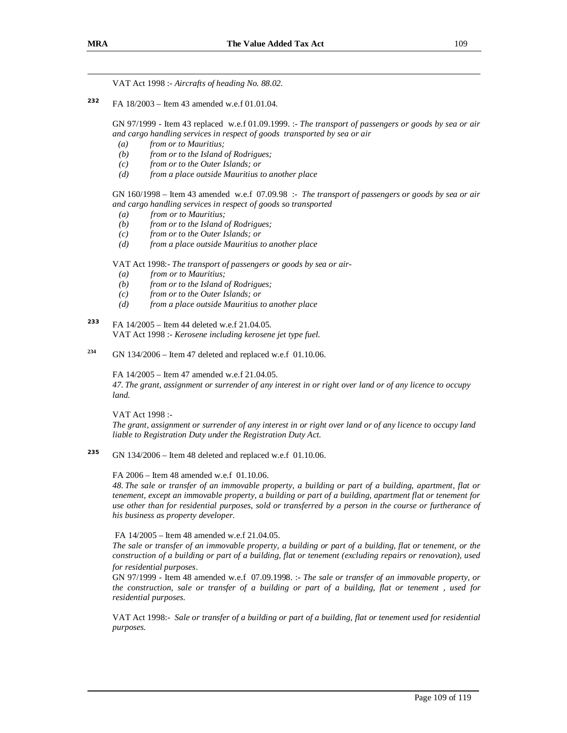VAT Act 1998 :- *Aircrafts of heading No. 88.02.* 

**232** FA 18/2003 – Item 43 amended w.e.f 01.01.04.

> GN 97/1999 - Item 43 replaced w.e.f 01.09.1999. :- *The transport of passengers or goods by sea or air and cargo handling services in respect of goods transported by sea or air*

- *(a) from or to Mauritius;*
- *(b) from or to the Island of Rodrigues;*
- *(c) from or to the Outer Islands; or*
- *(d) from a place outside Mauritius to another place*

GN 160/1998 – Item 43 amended w.e.f 07.09.98 :- *The transport of passengers or goods by sea or air and cargo handling services in respect of goods so transported* 

- *(a) from or to Mauritius;*
- *(b) from or to the Island of Rodrigues;*
- *(c) from or to the Outer Islands; or*
- *(d) from a place outside Mauritius to another place*

VAT Act 1998:- *The transport of passengers or goods by sea or air-* 

- *(a) from or to Mauritius;*
- *(b) from or to the Island of Rodrigues;*
- *(c) from or to the Outer Islands; or*
- *(d) from a place outside Mauritius to another place*
- **233** FA 14/2005 – Item 44 deleted w.e.f 21.04.05. VAT Act 1998 :- *Kerosene including kerosene jet type fuel.*
- **234** GN 134/2006 – Item 47 deleted and replaced w.e.f 01.10.06.

FA 14/2005 – Item 47 amended w.e.f 21.04.05.

47. The grant, assignment or surrender of any interest in or right over land or of any licence to occupy *land.* 

VAT Act 1998 :-

The grant, assignment or surrender of any interest in or right over land or of any licence to occupy land *liable to Registration Duty under the Registration Duty Act.*

**235** GN 134/2006 – Item 48 deleted and replaced w.e.f 01.10.06.

FA 2006 – Item 48 amended w.e.f 01.10.06.

48. The sale or transfer of an immovable property, a building or part of a building, apartment, flat or *tenement, except an immovable property, a building or part of a building, apartment flat or tenement for*  use other than for residential purposes, sold or transferred by a person in the course or furtherance of *his business as property developer.* 

FA 14/2005 – Item 48 amended w.e.f 21.04.05.

The sale or transfer of an immovable property, a building or part of a building, flat or tenement, or the construction of a building or part of a building, flat or tenement (excluding repairs or renovation), used *for residential purposes*.

GN 97/1999 - Item 48 amended w.e.f 07.09.1998. :- *The sale or transfer of an immovable property, or*  the construction, sale or transfer of a building or part of a building, flat or tenement, used for *residential purposes.* 

VAT Act 1998:- Sale or transfer of a building or part of a building, flat or tenement used for residential *purposes.*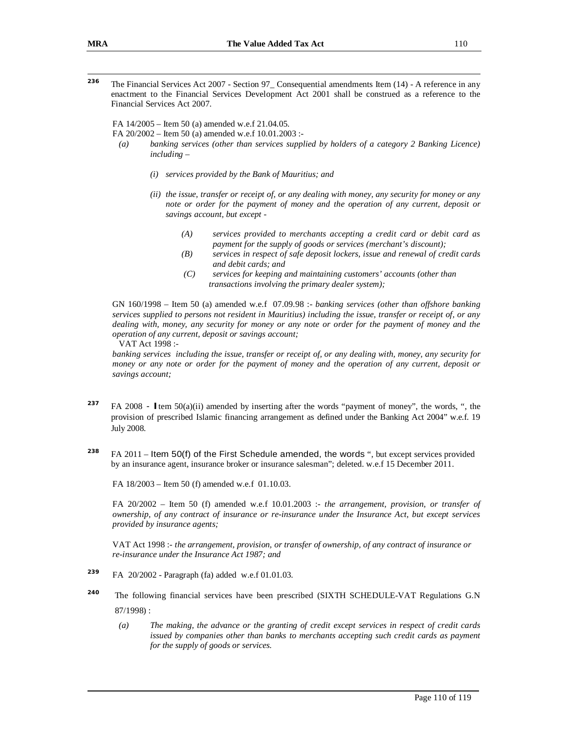—<br>236 The Financial Services Act 2007 - Section 97\_ Consequential amendments Item (14) - A reference in any enactment to the Financial Services Development Act 2001 shall be construed as a reference to the Financial Services Act 2007.

FA 14/2005 – Item 50 (a) amended w.e.f 21.04.05.

FA 20/2002 – Item 50 (a) amended w.e.f 10.01.2003 :-

- *(a) banking services (other than services supplied by holders of a category 2 Banking Licence) including –* 
	- *(i) services provided by the Bank of Mauritius; and*
	- *(ii) the issue, transfer or receipt of, or any dealing with money, any security for money or any note or order for the payment of money and the operation of any current, deposit or savings account, but except -* 
		- *(A) services provided to merchants accepting a credit card or debit card as payment for the supply of goods or services (merchant's discount);*
		- *(B) services in respect of safe deposit lockers, issue and renewal of credit cards and debit cards; and*
		- *(C) services for keeping and maintaining customers' accounts (other than transactions involving the primary dealer system);*

GN 160/1998 – Item 50 (a) amended w.e.f 07.09.98 :- *banking services (other than offshore banking services supplied to persons not resident in Mauritius) including the issue, transfer or receipt of, or any*  dealing with, money, any security for money or any note or order for the payment of money and the *operation of any current, deposit or savings account;* 

VAT Act 1998 :-

*banking services including the issue, transfer or receipt of, or any dealing with, money, any security for*  money or any note or order for the payment of money and the operation of any current, deposit or *savings account;* 

- **237** FA 2008 - **I**tem 50(a)(ii) amended by inserting after the words "payment of money", the words, ", the provision of prescribed Islamic financing arrangement as defined under the Banking Act 2004" w.e.f. 19 July 2008.
- **238** FA 2011 – Item 50(f) of the First Schedule amended, the words ", but except services provided by an insurance agent, insurance broker or insurance salesman"; deleted. w.e.f 15 December 2011.

FA 18/2003 – Item 50 (f) amended w.e.f 01.10.03.

FA 20/2002 – Item 50 (f) amended w.e.f 10.01.2003 :- *the arrangement, provision, or transfer of ownership, of any contract of insurance or re-insurance under the Insurance Act, but except services provided by insurance agents;*

VAT Act 1998 :- *the arrangement, provision, or transfer of ownership, of any contract of insurance or re-insurance under the Insurance Act 1987; and*

- **239** FA 20/2002 - Paragraph (fa) added w.e.f 01.01.03.
- **240** The following financial services have been prescribed (SIXTH SCHEDULE-VAT Regulations G.N 87/1998) :
	- *(a) The making, the advance or the granting of credit except services in respect of credit cards issued by companies other than banks to merchants accepting such credit cards as payment for the supply of goods or services.*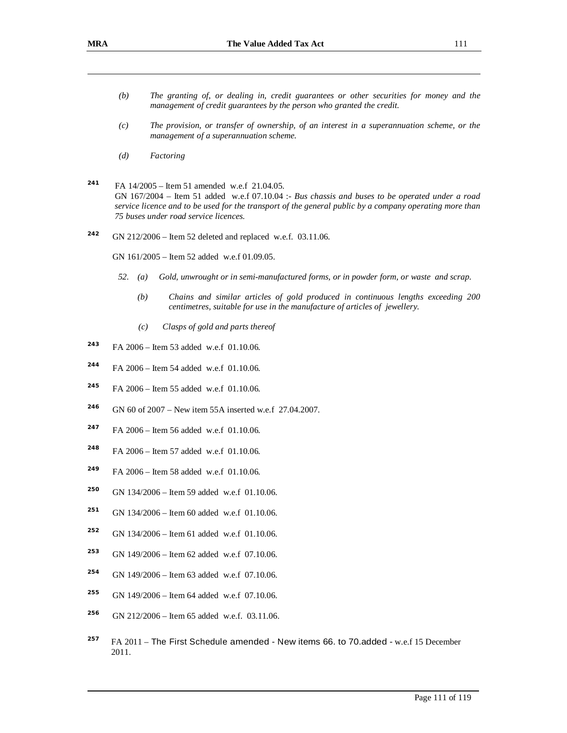- *(b) The granting of, or dealing in, credit guarantees or other securities for money and the management of credit guarantees by the person who granted the credit.*
- *(c) The provision, or transfer of ownership, of an interest in a superannuation scheme, or the management of a superannuation scheme.*
- *(d) Factoring*
- **241** FA 14/2005 – Item 51 amended w.e.f 21.04.05. GN 167/2004 – Item 51 added w.e.f 07.10.04 :- *Bus chassis and buses to be operated under a road*  service licence and to be used for the transport of the general public by a company operating more than *75 buses under road service licences.*
- **242** GN 212/2006 – Item 52 deleted and replaced w.e.f. 03.11.06.

GN 161/2005 – Item 52 added w.e.f 01.09.05.

- *52. (a) Gold, unwrought or in semi-manufactured forms, or in powder form, or waste and scrap.* 
	- *(b) Chains and similar articles of gold produced in continuous lengths exceeding 200 centimetres, suitable for use in the manufacture of articles of jewellery.*
	- *(c) Clasps of gold and parts thereof*
- **243** FA 2006 – Item 53 added w.e.f 01.10.06.
- **244** FA 2006 – Item 54 added w.e.f 01.10.06.
- **<sup>245</sup>**FA 2006 Item 55 added w.e.f 01.10.06.
- **<sup>246</sup>**GN 60 of 2007 New item 55A inserted w.e.f 27.04.2007.
- **247** FA 2006 – Item 56 added w.e.f 01.10.06.
- **248** FA 2006 – Item 57 added w.e.f 01.10.06.
- **249** FA 2006 – Item 58 added w.e.f 01.10.06.
- **250** GN 134/2006 – Item 59 added w.e.f 01.10.06.
- **251** GN 134/2006 – Item 60 added w.e.f 01.10.06.
- **252** GN 134/2006 – Item 61 added w.e.f 01.10.06.
- **253** GN 149/2006 – Item 62 added w.e.f 07.10.06.
- **254** GN 149/2006 – Item 63 added w.e.f 07.10.06.
- **255** GN 149/2006 – Item 64 added w.e.f 07.10.06.
- **256** GN 212/2006 – Item 65 added w.e.f. 03.11.06.
- **257** FA 2011 – The First Schedule amended - New items 66. to 70.added - w.e.f 15 December 2011.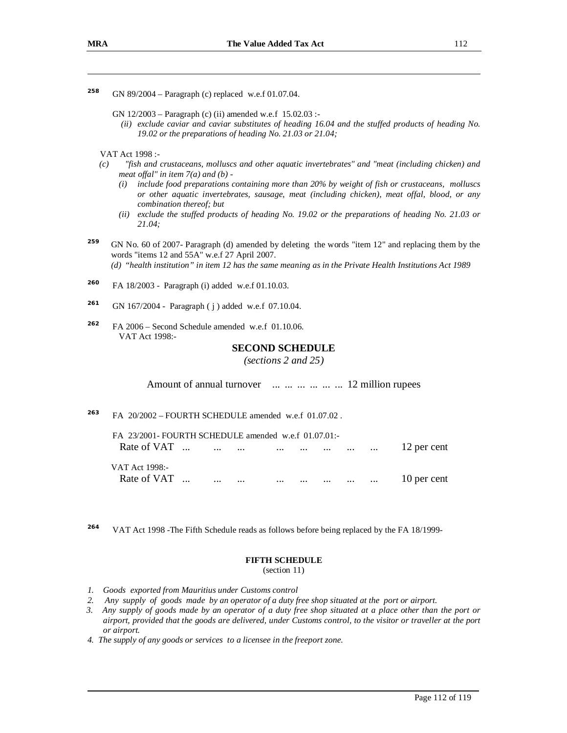- **258** GN 89/2004 – Paragraph (c) replaced w.e.f 01.07.04.
	- GN 12/2003 Paragraph (c) (ii) amended w.e.f 15.02.03 :-
		- *(ii) exclude caviar and caviar substitutes of heading 16.04 and the stuffed products of heading No. 19.02 or the preparations of heading No. 21.03 or 21.04;*

VAT Act 1998 :-

- *(c) "fish and crustaceans, molluscs and other aquatic invertebrates" and "meat (including chicken) and meat offal*" *in item*  $7(a)$  *and*  $(b)$  *-*
	- *(i) include food preparations containing more than 20% by weight of fish or crustaceans, molluscs or other aquatic invertebrates, sausage, meat (including chicken), meat offal, blood, or any combination thereof; but*
	- *(ii) exclude the stuffed products of heading No. 19.02 or the preparations of heading No. 21.03 or 21.04;*
- **259** GN No. 60 of 2007- Paragraph (d) amended by deleting the words "item 12" and replacing them by the words "items 12 and 55A" w.e.f 27 April 2007. (d) "health institution" in item 12 has the same meaning as in the Private Health Institutions Act 1989
- **260** FA 18/2003 - Paragraph (i) added w.e.f 01.10.03.
- **261** GN 167/2004 - Paragraph ( j ) added w.e.f 07.10.04.
- **262** FA 2006 – Second Schedule amended w.e.f 01.10.06. VAT Act 1998:-

# **SECOND SCHEDULE**

*(sections 2 and 25)* 

Amount of annual turnover ... ... ... ... ... ... 12 million rupees

**263** FA 20/2002 – FOURTH SCHEDULE amended w.e.f 01.07.02 .

| FA 23/2001-FOURTH SCHEDULE amended w.e.f 01.07.01:- |          |          |          |          |          |          |             |
|-----------------------------------------------------|----------|----------|----------|----------|----------|----------|-------------|
| Rate of VAT                                         |          |          |          |          |          |          | 12 per cent |
| VAT Act 1998:-                                      |          |          |          |          |          |          |             |
| Rate of VAT                                         | $\cdots$ | $\cdots$ | $\cdots$ | $\cdots$ | $\cdots$ | $\cdots$ | 10 per cent |

**264** VAT Act 1998 -The Fifth Schedule reads as follows before being replaced by the FA 18/1999-

### **FIFTH SCHEDULE**

(section 11)

- *1. Goods exported from Mauritius under Customs control*
- *2. Any supply of goods made by an operator of a duty free shop situated at the port or airport.*
- 3. Any supply of goods made by an operator of a duty free shop situated at a place other than the port or airport, provided that the goods are delivered, under Customs control, to the visitor or traveller at the port *or airport.*
- *4. The supply of any goods or services to a licensee in the freeport zone.*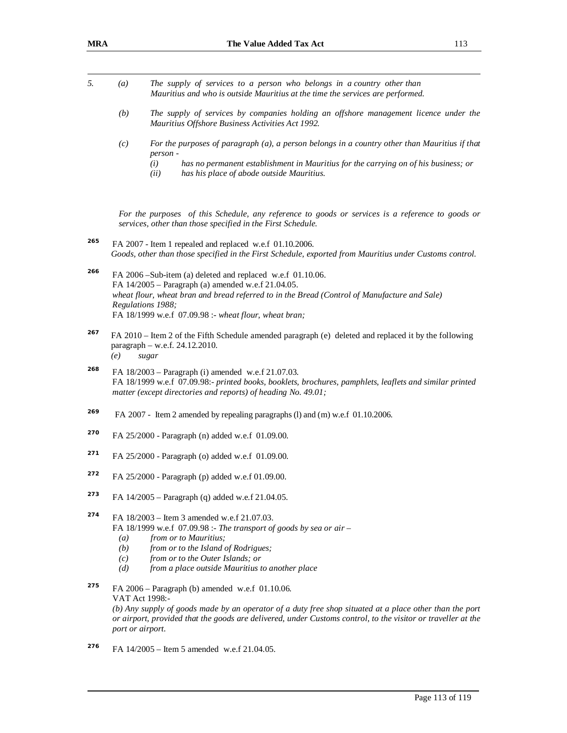| 5.  | $\left(a\right)$                      | The supply of services to a person who belongs in a country other than<br>Mauritius and who is outside Mauritius at the time the services are performed.                                                                                                                                       |
|-----|---------------------------------------|------------------------------------------------------------------------------------------------------------------------------------------------------------------------------------------------------------------------------------------------------------------------------------------------|
|     | (b)                                   | The supply of services by companies holding an offshore management licence under the<br>Mauritius Offshore Business Activities Act 1992.                                                                                                                                                       |
|     | (c)                                   | For the purposes of paragraph (a), a person belongs in a country other than Mauritius if that<br>person -                                                                                                                                                                                      |
|     |                                       | has no permanent establishment in Mauritius for the carrying on of his business; or<br>(i)<br>has his place of abode outside Mauritius.<br>(ii)                                                                                                                                                |
|     |                                       | For the purposes of this Schedule, any reference to goods or services is a reference to goods or<br>services, other than those specified in the First Schedule.                                                                                                                                |
| 265 |                                       | FA 2007 - Item 1 repealed and replaced w.e.f 01.10.2006.<br>Goods, other than those specified in the First Schedule, exported from Mauritius under Customs control.                                                                                                                            |
| 266 |                                       | FA 2006 -Sub-item (a) deleted and replaced w.e.f 01.10.06.<br>FA 14/2005 - Paragraph (a) amended w.e.f 21.04.05.<br>wheat flour, wheat bran and bread referred to in the Bread (Control of Manufacture and Sale)<br>Regulations 1988;<br>FA 18/1999 w.e.f 07.09.98 :- wheat flour, wheat bran; |
| 267 | (e)                                   | FA 2010 – Item 2 of the Fifth Schedule amended paragraph (e) deleted and replaced it by the following<br>paragraph - w.e.f. 24.12.2010.<br>sugar                                                                                                                                               |
| 268 |                                       | FA 18/2003 - Paragraph (i) amended w.e.f 21.07.03.<br>FA 18/1999 w.e.f 07.09.98:- printed books, booklets, brochures, pamphlets, leaflets and similar printed<br>matter (except directories and reports) of heading No. 49.01;                                                                 |
| 269 |                                       | FA 2007 - Item 2 amended by repealing paragraphs (1) and (m) w.e.f 01.10.2006.                                                                                                                                                                                                                 |
| 270 |                                       | FA 25/2000 - Paragraph (n) added w.e.f 01.09.00.                                                                                                                                                                                                                                               |
| 271 |                                       | FA 25/2000 - Paragraph (o) added w.e.f 01.09.00.                                                                                                                                                                                                                                               |
| 272 |                                       | FA 25/2000 - Paragraph (p) added w.e.f 01.09.00.                                                                                                                                                                                                                                               |
| 273 |                                       | FA 14/2005 – Paragraph (q) added w.e.f 21.04.05.                                                                                                                                                                                                                                               |
| 274 | $\left(a\right)$<br>(b)<br>(c)<br>(d) | FA 18/2003 – Item 3 amended w.e.f 21.07.03.<br>FA 18/1999 w.e.f $07.09.98$ :- The transport of goods by sea or air -<br>from or to Mauritius;<br>from or to the Island of Rodrigues;<br>from or to the Outer Islands; or<br>from a place outside Mauritius to another place                    |
| 275 | port or airport.                      | FA $2006$ – Paragraph (b) amended w.e.f 01.10.06.<br>VAT Act 1998:-<br>(b) Any supply of goods made by an operator of a duty free shop situated at a place other than the port<br>or airport, provided that the goods are delivered, under Customs control, to the visitor or traveller at the |
| 276 |                                       | FA 14/2005 – Item 5 amended w.e.f 21.04.05.                                                                                                                                                                                                                                                    |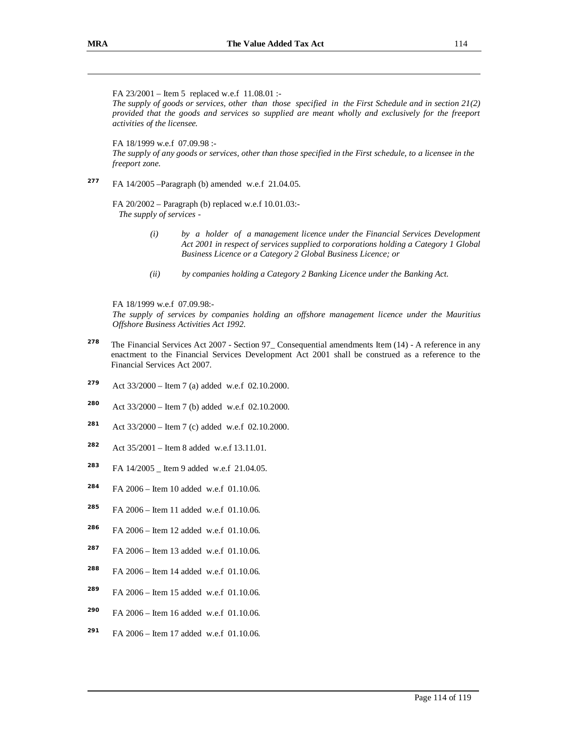FA 23/2001 – Item 5 replaced w.e.f 11.08.01 :- *The supply of goods or services, other than those specified in the First Schedule and in section 21(2) provided that the goods and services so supplied are meant wholly and exclusively for the freeport activities of the licensee.*  FA 18/1999 w.e.f 07.09.98 :- The supply of any goods or services, other than those specified in the First schedule, to a licensee in the *freeport zone.* 

**277** FA 14/2005 –Paragraph (b) amended w.e.f 21.04.05.

> FA 20/2002 – Paragraph (b) replaced w.e.f 10.01.03:- *The supply of services -*

- *(i) by a holder of a management licence under the Financial Services Development Act 2001 in respect of services supplied to corporations holding a Category 1 Global Business Licence or a Category 2 Global Business Licence; or*
- *(ii) by companies holding a Category 2 Banking Licence under the Banking Act.*

FA 18/1999 w.e.f 07.09.98:-

*The supply of services by companies holding an offshore management licence under the Mauritius Offshore Business Activities Act 1992.* 

- **278** The Financial Services Act 2007 - Section 97\_ Consequential amendments Item (14) - A reference in any enactment to the Financial Services Development Act 2001 shall be construed as a reference to the Financial Services Act 2007.
- **279** Act 33/2000 – Item 7 (a) added w.e.f 02.10.2000.
- **280** Act 33/2000 – Item 7 (b) added w.e.f 02.10.2000.
- **281** Act 33/2000 – Item 7 (c) added w.e.f 02.10.2000.
- **282** Act 35/2001 – Item 8 added w.e.f 13.11.01.
- **283** FA 14/2005 \_ Item 9 added w.e.f 21.04.05.
- **284** FA 2006 – Item 10 added w.e.f 01.10.06.
- **285** FA 2006 – Item 11 added w.e.f 01.10.06.
- **286** FA 2006 – Item 12 added w.e.f 01.10.06.
- **287** FA 2006 – Item 13 added w.e.f 01.10.06.
- **288** FA 2006 – Item 14 added w.e.f 01.10.06.
- **289** FA 2006 – Item 15 added w.e.f 01.10.06.
- **290** FA 2006 – Item 16 added w.e.f 01.10.06.
- **291** FA 2006 – Item 17 added w.e.f 01.10.06.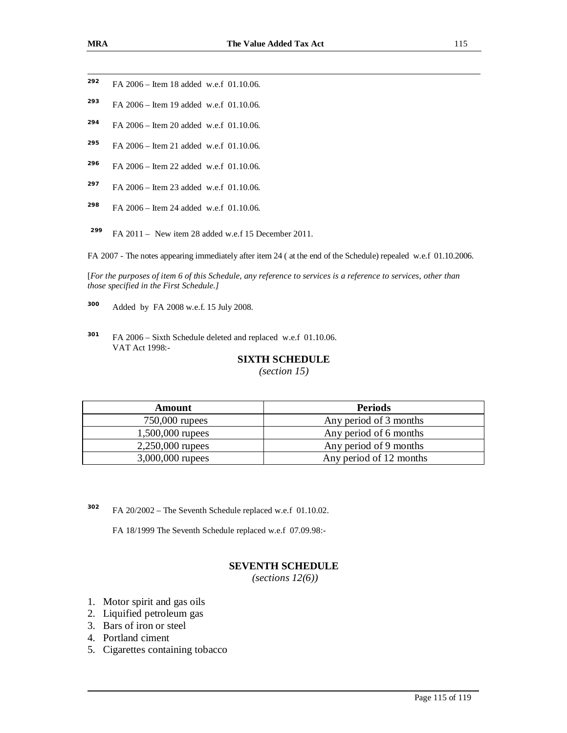- **292** FA 2006 – Item 18 added w.e.f 01.10.06.
- **293** FA 2006 – Item 19 added w.e.f 01.10.06.
- **294** FA 2006 – Item 20 added w.e.f 01.10.06.
- **295** FA 2006 – Item 21 added w.e.f 01.10.06.
- **296** FA 2006 – Item 22 added w.e.f 01.10.06.
- **297** FA 2006 – Item 23 added w.e.f 01.10.06.
- **298** FA 2006 – Item 24 added w.e.f 01.10.06.
- **<sup>299</sup>**FA 2011 New item 28 added w.e.f 15 December 2011.

FA 2007 - The notes appearing immediately after item 24 ( at the end of the Schedule) repealed w.e.f 01.10.2006.

[For the purposes of item 6 of this Schedule, any reference to services is a reference to services, other than *those specified in the First Schedule.]* 

**300** Added by FA 2008 w.e.f. 15 July 2008.

**301** FA 2006 – Sixth Schedule deleted and replaced w.e.f 01.10.06. VAT Act 1998:-

## **SIXTH SCHEDULE**

*(section 15)* 

| <b>Amount</b>    | <b>Periods</b>          |
|------------------|-------------------------|
| $750,000$ rupees | Any period of 3 months  |
| 1,500,000 rupees | Any period of 6 months  |
| 2,250,000 rupees | Any period of 9 months  |
| 3,000,000 rupees | Any period of 12 months |

**302** FA 20/2002 – The Seventh Schedule replaced w.e.f 01.10.02.

FA 18/1999 The Seventh Schedule replaced w.e.f 07.09.98:-

# **SEVENTH SCHEDULE**

*(sections 12(6))*

- 1. Motor spirit and gas oils
- 2. Liquified petroleum gas
- 3. Bars of iron or steel
- 4. Portland ciment
- 5. Cigarettes containing tobacco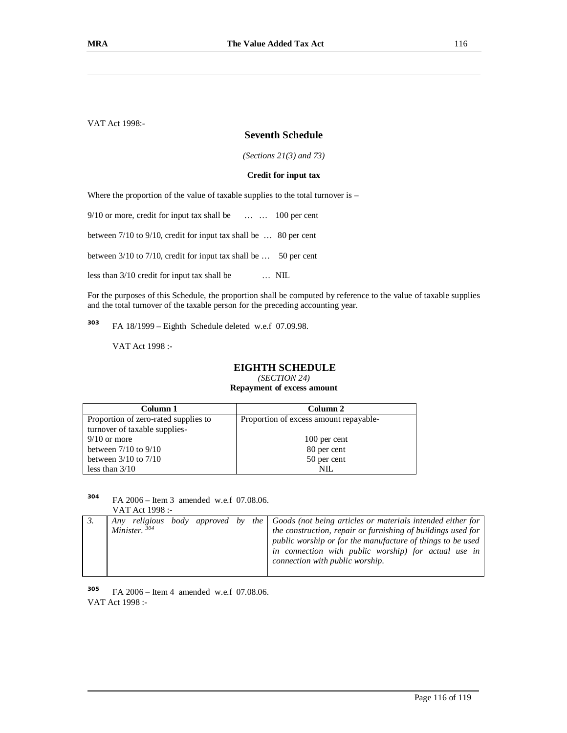VAT Act 1998:-

## **Seventh Schedule**

*(Sections 21(3) and 73)* 

#### **Credit for input tax**

Where the proportion of the value of taxable supplies to the total turnover is –

9/10 or more, credit for input tax shall be ... ... 100 per cent

between 7/10 to 9/10, credit for input tax shall be … 80 per cent

between 3/10 to 7/10, credit for input tax shall be … 50 per cent

less than 3/10 credit for input tax shall be … NIL

For the purposes of this Schedule, the proportion shall be computed by reference to the value of taxable supplies and the total turnover of the taxable person for the preceding accounting year.

**303** FA 18/1999 – Eighth Schedule deleted w.e.f 07.09.98.

VAT Act 1998 :-

#### **EIGHTH SCHEDULE**

*(SECTION 24)*  **Repayment of excess amount** 

| Column 1                             | Column 2                               |
|--------------------------------------|----------------------------------------|
| Proportion of zero-rated supplies to | Proportion of excess amount repayable- |
| turnover of taxable supplies-        |                                        |
| $9/10$ or more                       | 100 per cent                           |
| between $7/10$ to $9/10$             | 80 per cent                            |
| between $3/10$ to $7/10$             | 50 per cent                            |
| less than $3/10$                     | NIL.                                   |

**304** FA 2006 – Item 3 amended w.e.f 07.08.06. VAT Act 1998 :-

|  | .               |  |  |                                                                                                                                                                                                                                                                                                                                |
|--|-----------------|--|--|--------------------------------------------------------------------------------------------------------------------------------------------------------------------------------------------------------------------------------------------------------------------------------------------------------------------------------|
|  | Minister. $304$ |  |  | Any religious body approved by the $\vert$ Goods (not being articles or materials intended either for<br>the construction, repair or furnishing of buildings used for<br>public worship or for the manufacture of things to be used<br>in connection with public worship) for actual use in<br>connection with public worship. |

**305** FA 2006 – Item 4 amended w.e.f 07.08.06. VAT Act 1998 :-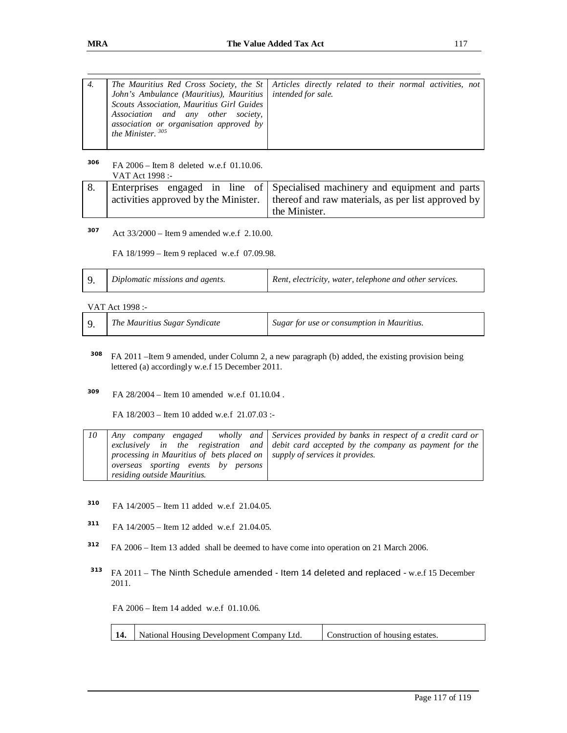| 4. |                                                              | The Mauritius Red Cross Society, the St   Articles directly related to their normal activities, not |
|----|--------------------------------------------------------------|-----------------------------------------------------------------------------------------------------|
|    | John's Ambulance (Mauritius), Mauritius   intended for sale. |                                                                                                     |
|    | Scouts Association, Mauritius Girl Guides                    |                                                                                                     |
|    | Association and any other society,                           |                                                                                                     |
|    | association or organisation approved by                      |                                                                                                     |
|    | the Minister. $305$                                          |                                                                                                     |
|    |                                                              |                                                                                                     |

**306** FA 2006 – Item 8 deleted w.e.f 01.10.06. VAT Act 1998 :-

|  |  |  |  | Enterprises engaged in line of Specialised machinery and equipment and parts                              |  |  |  |
|--|--|--|--|-----------------------------------------------------------------------------------------------------------|--|--|--|
|  |  |  |  | $\alpha$ activities approved by the Minister. $\alpha$ thereof and raw materials, as per list approved by |  |  |  |
|  |  |  |  | the Minister.                                                                                             |  |  |  |

**307** Act 33/2000 – Item 9 amended w.e.f 2.10.00.

FA 18/1999 – Item 9 replaced w.e.f 07.09.98.

|  | Diplomatic missions and agents. | Rent, electricity, water, telephone and other services. |
|--|---------------------------------|---------------------------------------------------------|
|--|---------------------------------|---------------------------------------------------------|

VAT Act 1998 :-

|  | The Mauritius Sugar Syndicate | Sugar for use or consumption in Mauritius. |
|--|-------------------------------|--------------------------------------------|
|--|-------------------------------|--------------------------------------------|

- **<sup>308</sup>**FA 2011 –Item 9 amended, under Column 2, a new paragraph (b) added, the existing provision being lettered (a) accordingly w.e.f 15 December 2011.
- **309** FA 28/2004 – Item 10 amended w.e.f 01.10.04 .

FA 18/2003 – Item 10 added w.e.f 21.07.03 :-

| 10 |                                                                                   | Any company engaged wholly and Services provided by banks in respect of a credit card or  |
|----|-----------------------------------------------------------------------------------|-------------------------------------------------------------------------------------------|
|    |                                                                                   | exclusively in the registration and debit card accepted by the company as payment for the |
|    | processing in Mauritius of bets placed on $\vert$ supply of services it provides. |                                                                                           |
|    | overseas sporting events by persons                                               |                                                                                           |
|    | residing outside Mauritius.                                                       |                                                                                           |

- **310** FA 14/2005 – Item 11 added w.e.f 21.04.05.
- **311** FA 14/2005 – Item 12 added w.e.f 21.04.05.
- **312** FA 2006 – Item 13 added shall be deemed to have come into operation on 21 March 2006.
- **313** FA 2011 – The Ninth Schedule amended - Item 14 deleted and replaced - w.e.f 15 December 2011.

FA 2006 – Item 14 added w.e.f 01.10.06.

| <b>14.</b> National Housing Development Company Ltd. | Construction of housing estates. |
|------------------------------------------------------|----------------------------------|
|                                                      |                                  |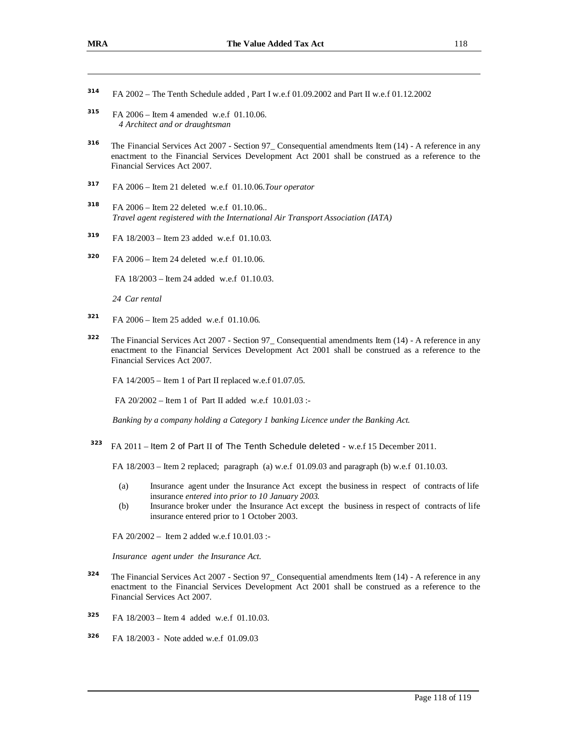- **314** FA 2002 – The Tenth Schedule added , Part I w.e.f 01.09.2002 and Part II w.e.f 01.12.2002
- **315** FA 2006 – Item 4 amended w.e.f 01.10.06. *4 Architect and or draughtsman*
- **316** The Financial Services Act 2007 - Section 97\_ Consequential amendments Item (14) - A reference in any enactment to the Financial Services Development Act 2001 shall be construed as a reference to the Financial Services Act 2007.
- **317** FA 2006 – Item 21 deleted w.e.f 01.10.06.*Tour operator*
- **318** FA 2006 – Item 22 deleted w.e.f 01.10.06.. *Travel agent registered with the International Air Transport Association (IATA)*
- **319** FA 18/2003 – Item 23 added w.e.f 01.10.03.
- **320** FA 2006 – Item 24 deleted w.e.f 01.10.06.

FA 18/2003 – Item 24 added w.e.f 01.10.03.

*24 Car rental* 

- **321** FA 2006 – Item 25 added w.e.f 01.10.06.
- **322** The Financial Services Act 2007 - Section 97\_ Consequential amendments Item (14) - A reference in any enactment to the Financial Services Development Act 2001 shall be construed as a reference to the Financial Services Act 2007.

FA 14/2005 – Item 1 of Part II replaced w.e.f 01.07.05.

FA 20/2002 – Item 1 of Part II added w.e.f 10.01.03 :-

*Banking by a company holding a Category 1 banking Licence under the Banking Act.* 

**<sup>323</sup>** FA 2011 – Item 2 of Part II of The Tenth Schedule deleted - w.e.f 15 December 2011.

FA 18/2003 – Item 2 replaced; paragraph (a) w.e.f 01.09.03 and paragraph (b) w.e.f 01.10.03.

- (a) Insurance agent under the Insurance Act except the business in respect of contracts of life insurance *entered into prior to 10 January 2003.*
- (b) Insurance broker under the Insurance Act except the business in respect of contracts of life insurance entered prior to 1 October 2003.

FA 20/2002 – Item 2 added w.e.f 10.01.03 :-

*Insurance agent under the Insurance Act.* 

- **324** The Financial Services Act 2007 - Section 97\_ Consequential amendments Item (14) - A reference in any enactment to the Financial Services Development Act 2001 shall be construed as a reference to the Financial Services Act 2007.
- **325** FA 18/2003 – Item 4 added w.e.f 01.10.03.
- **326** FA 18/2003 - Note added w.e.f 01.09.03